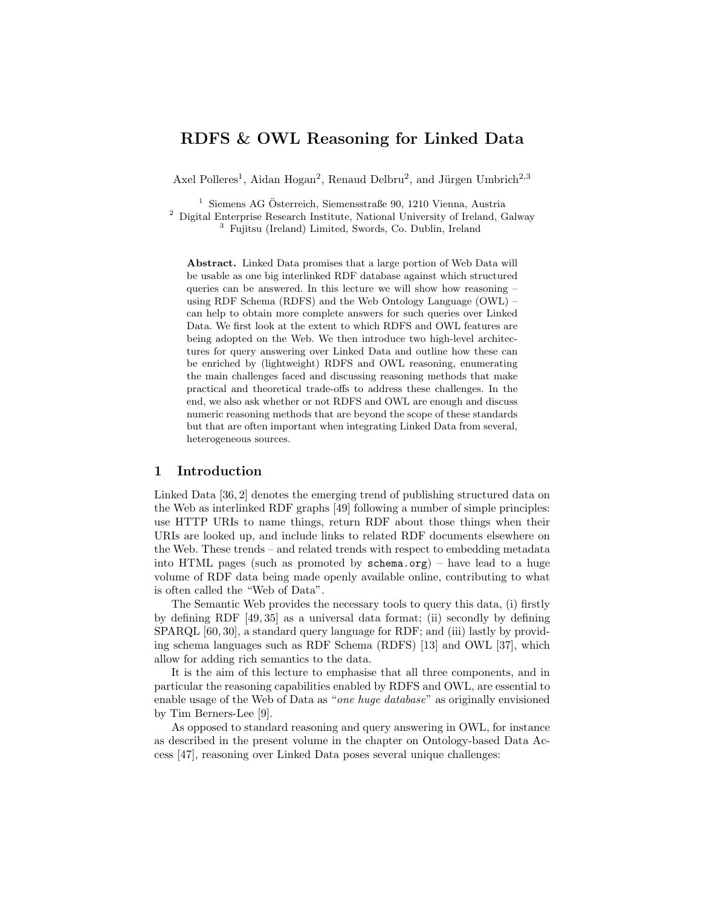# RDFS & OWL Reasoning for Linked Data

Axel Polleres<sup>1</sup>, Aidan Hogan<sup>2</sup>, Renaud Delbru<sup>2</sup>, and Jürgen Umbrich<sup>2,3</sup>

 $^1$  Siemens AG Österreich, Siemensstraße 90, 1210 Vienna, Austria

<sup>2</sup> Digital Enterprise Research Institute, National University of Ireland, Galway <sup>3</sup> Fujitsu (Ireland) Limited, Swords, Co. Dublin, Ireland

Abstract. Linked Data promises that a large portion of Web Data will be usable as one big interlinked RDF database against which structured queries can be answered. In this lecture we will show how reasoning – using RDF Schema (RDFS) and the Web Ontology Language (OWL) – can help to obtain more complete answers for such queries over Linked Data. We first look at the extent to which RDFS and OWL features are being adopted on the Web. We then introduce two high-level architectures for query answering over Linked Data and outline how these can be enriched by (lightweight) RDFS and OWL reasoning, enumerating the main challenges faced and discussing reasoning methods that make practical and theoretical trade-offs to address these challenges. In the end, we also ask whether or not RDFS and OWL are enough and discuss numeric reasoning methods that are beyond the scope of these standards but that are often important when integrating Linked Data from several, heterogeneous sources.

# 1 Introduction

Linked Data [36, 2] denotes the emerging trend of publishing structured data on the Web as interlinked RDF graphs [49] following a number of simple principles: use HTTP URIs to name things, return RDF about those things when their URIs are looked up, and include links to related RDF documents elsewhere on the Web. These trends – and related trends with respect to embedding metadata into HTML pages (such as promoted by schema.org) – have lead to a huge volume of RDF data being made openly available online, contributing to what is often called the "Web of Data".

The Semantic Web provides the necessary tools to query this data, (i) firstly by defining RDF  $[49, 35]$  as a universal data format; (ii) secondly by defining SPARQL [60, 30], a standard query language for RDF; and (iii) lastly by providing schema languages such as RDF Schema (RDFS) [13] and OWL [37], which allow for adding rich semantics to the data.

It is the aim of this lecture to emphasise that all three components, and in particular the reasoning capabilities enabled by RDFS and OWL, are essential to enable usage of the Web of Data as "one huge database" as originally envisioned by Tim Berners-Lee [9].

As opposed to standard reasoning and query answering in OWL, for instance as described in the present volume in the chapter on Ontology-based Data Access [47], reasoning over Linked Data poses several unique challenges: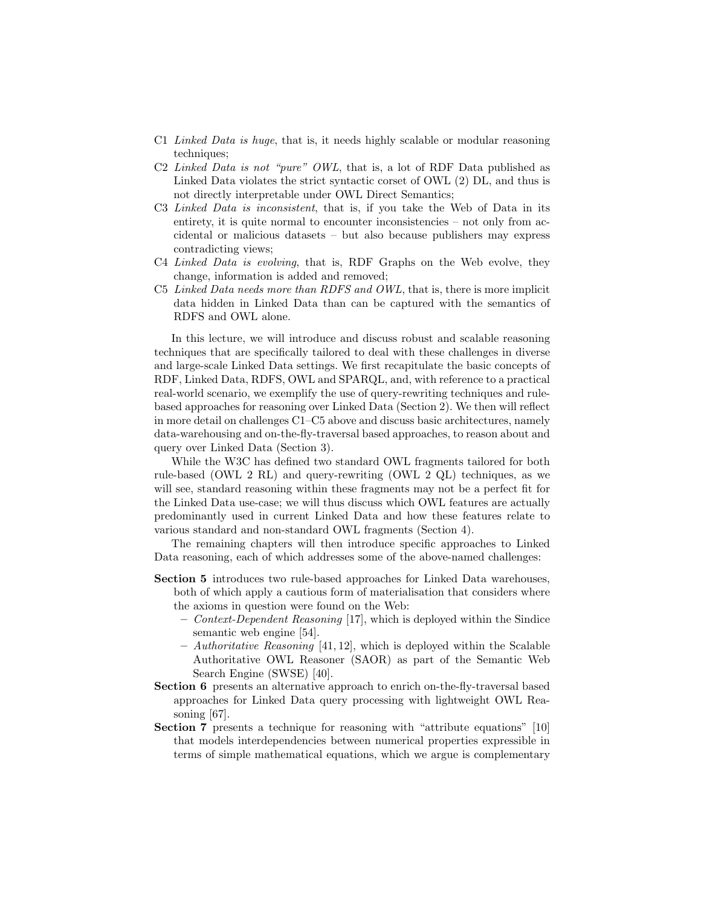- C1 Linked Data is huge, that is, it needs highly scalable or modular reasoning techniques;
- C2 Linked Data is not "pure" OWL, that is, a lot of RDF Data published as Linked Data violates the strict syntactic corset of OWL (2) DL, and thus is not directly interpretable under OWL Direct Semantics;
- C3 Linked Data is inconsistent, that is, if you take the Web of Data in its entirety, it is quite normal to encounter inconsistencies – not only from accidental or malicious datasets – but also because publishers may express contradicting views;
- C4 Linked Data is evolving, that is, RDF Graphs on the Web evolve, they change, information is added and removed;
- C5 Linked Data needs more than RDFS and OWL, that is, there is more implicit data hidden in Linked Data than can be captured with the semantics of RDFS and OWL alone.

In this lecture, we will introduce and discuss robust and scalable reasoning techniques that are specifically tailored to deal with these challenges in diverse and large-scale Linked Data settings. We first recapitulate the basic concepts of RDF, Linked Data, RDFS, OWL and SPARQL, and, with reference to a practical real-world scenario, we exemplify the use of query-rewriting techniques and rulebased approaches for reasoning over Linked Data (Section 2). We then will reflect in more detail on challenges C1–C5 above and discuss basic architectures, namely data-warehousing and on-the-fly-traversal based approaches, to reason about and query over Linked Data (Section 3).

While the W3C has defined two standard OWL fragments tailored for both rule-based (OWL 2 RL) and query-rewriting (OWL 2 QL) techniques, as we will see, standard reasoning within these fragments may not be a perfect fit for the Linked Data use-case; we will thus discuss which OWL features are actually predominantly used in current Linked Data and how these features relate to various standard and non-standard OWL fragments (Section 4).

The remaining chapters will then introduce specific approaches to Linked Data reasoning, each of which addresses some of the above-named challenges:

- Section 5 introduces two rule-based approaches for Linked Data warehouses, both of which apply a cautious form of materialisation that considers where the axioms in question were found on the Web:
	- Context-Dependent Reasoning [17], which is deployed within the Sindice semantic web engine [54].
	- $-$  Authoritative Reasoning [41, 12], which is deployed within the Scalable Authoritative OWL Reasoner (SAOR) as part of the Semantic Web Search Engine (SWSE) [40].
- Section 6 presents an alternative approach to enrich on-the-fly-traversal based approaches for Linked Data query processing with lightweight OWL Reasoning [67].
- Section 7 presents a technique for reasoning with "attribute equations" [10] that models interdependencies between numerical properties expressible in terms of simple mathematical equations, which we argue is complementary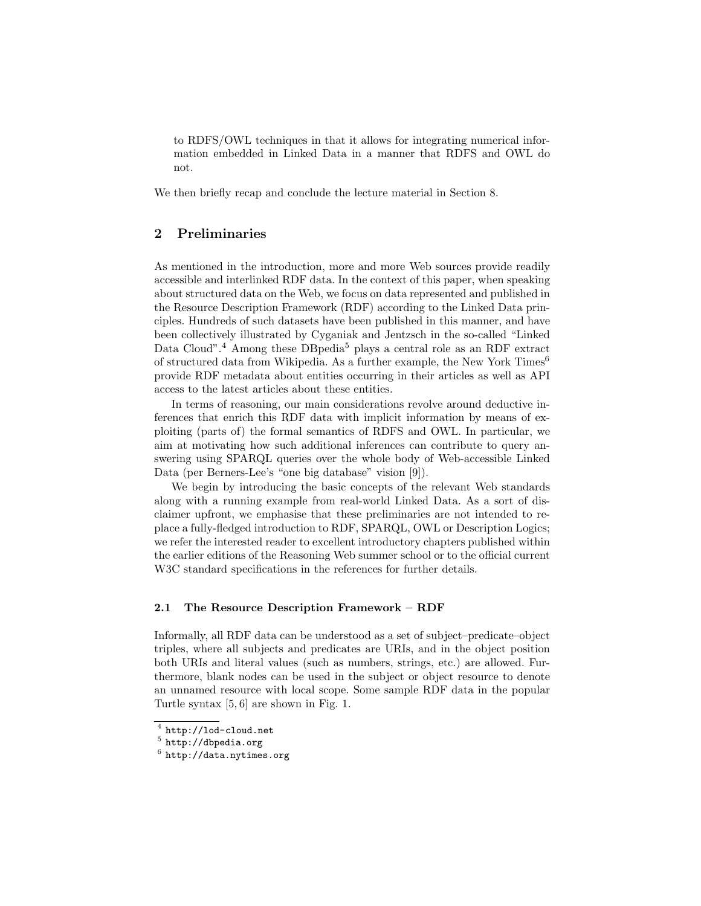to RDFS/OWL techniques in that it allows for integrating numerical information embedded in Linked Data in a manner that RDFS and OWL do not.

We then briefly recap and conclude the lecture material in Section 8.

# 2 Preliminaries

As mentioned in the introduction, more and more Web sources provide readily accessible and interlinked RDF data. In the context of this paper, when speaking about structured data on the Web, we focus on data represented and published in the Resource Description Framework (RDF) according to the Linked Data principles. Hundreds of such datasets have been published in this manner, and have been collectively illustrated by Cyganiak and Jentzsch in the so-called "Linked Data Cloud".<sup>4</sup> Among these DBpedia<sup>5</sup> plays a central role as an RDF extract of structured data from Wikipedia. As a further example, the New York Times<sup>6</sup> provide RDF metadata about entities occurring in their articles as well as API access to the latest articles about these entities.

In terms of reasoning, our main considerations revolve around deductive inferences that enrich this RDF data with implicit information by means of exploiting (parts of) the formal semantics of RDFS and OWL. In particular, we aim at motivating how such additional inferences can contribute to query answering using SPARQL queries over the whole body of Web-accessible Linked Data (per Berners-Lee's "one big database" vision [9]).

We begin by introducing the basic concepts of the relevant Web standards along with a running example from real-world Linked Data. As a sort of disclaimer upfront, we emphasise that these preliminaries are not intended to replace a fully-fledged introduction to RDF, SPARQL, OWL or Description Logics; we refer the interested reader to excellent introductory chapters published within the earlier editions of the Reasoning Web summer school or to the official current W3C standard specifications in the references for further details.

## 2.1 The Resource Description Framework – RDF

Informally, all RDF data can be understood as a set of subject–predicate–object triples, where all subjects and predicates are URIs, and in the object position both URIs and literal values (such as numbers, strings, etc.) are allowed. Furthermore, blank nodes can be used in the subject or object resource to denote an unnamed resource with local scope. Some sample RDF data in the popular Turtle syntax [5, 6] are shown in Fig. 1.

 $^4$  http://lod-cloud.net

 $^5$  http://dbpedia.org

 $^6$  http://data.nytimes.org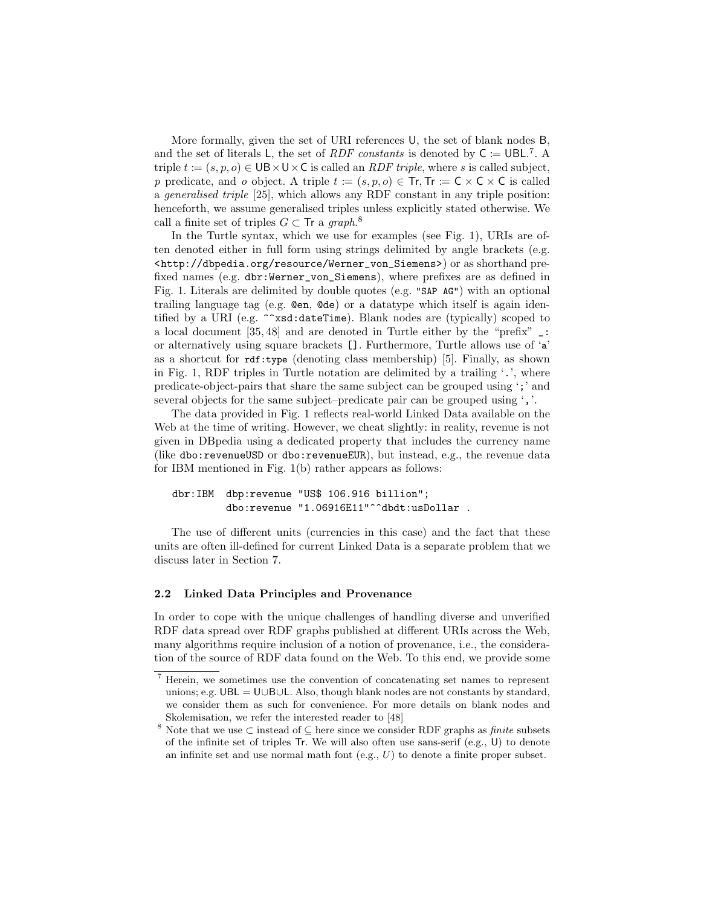More formally, given the set of URI references U, the set of blank nodes B, and the set of literals L, the set of  $RDF$  constants is denoted by  $C := UBL^7$ . A triple  $t := (s, p, o) \in \text{UB} \times \text{U} \times \text{C}$  is called an *RDF triple*, where s is called subject, p predicate, and o object. A triple  $t := (s, p, o) \in \text{Tr}, \text{Tr} := \text{C} \times \text{C} \times \text{C}$  is called a generalised triple [25], which allows any RDF constant in any triple position: henceforth, we assume generalised triples unless explicitly stated otherwise. We call a finite set of triples  $G \subset \mathsf{Tr}$  a graph.<sup>8</sup>

In the Turtle syntax, which we use for examples (see Fig. 1), URIs are often denoted either in full form using strings delimited by angle brackets (e.g. <http://dbpedia.org/resource/Werner\_von\_Siemens>) or as shorthand prefixed names (e.g. dbr:Werner\_von\_Siemens), where prefixes are as defined in Fig. 1. Literals are delimited by double quotes (e.g. "SAP AG") with an optional trailing language tag (e.g. @en, @de) or a datatype which itself is again identified by a URI (e.g.  $\hat{\ }$ xsd:dateTime). Blank nodes are (typically) scoped to a local document [35, 48] and are denoted in Turtle either by the "prefix" \_: or alternatively using square brackets []. Furthermore, Turtle allows use of 'a' as a shortcut for rdf:type (denoting class membership) [5]. Finally, as shown in Fig. 1, RDF triples in Turtle notation are delimited by a trailing  $\cdot$ ., where predicate-object-pairs that share the same subject can be grouped using ';' and several objects for the same subject–predicate pair can be grouped using  $\langle \cdot, \cdot \rangle$ .

The data provided in Fig. 1 reflects real-world Linked Data available on the Web at the time of writing. However, we cheat slightly: in reality, revenue is not given in DBpedia using a dedicated property that includes the currency name (like dbo:revenueUSD or dbo:revenueEUR), but instead, e.g., the revenue data for IBM mentioned in Fig. 1(b) rather appears as follows:

```
dbr:IBM dbp:revenue "US$ 106.916 billion";
         dbo:revenue "1.06916E11"^^dbdt:usDollar.
```
The use of different units (currencies in this case) and the fact that these units are often ill-defined for current Linked Data is a separate problem that we discuss later in Section 7.

#### 2.2 Linked Data Principles and Provenance

In order to cope with the unique challenges of handling diverse and unverified RDF data spread over RDF graphs published at different URIs across the Web, many algorithms require inclusion of a notion of provenance, i.e., the consideration of the source of RDF data found on the Web. To this end, we provide some

<sup>7</sup> Herein, we sometimes use the convention of concatenating set names to represent unions; e.g. UBL = U∪B∪L. Also, though blank nodes are not constants by standard, we consider them as such for convenience. For more details on blank nodes and Skolemisation, we refer the interested reader to [48]

 $^8$  Note that we use  $\subset$  instead of  $\subseteq$  here since we consider RDF graphs as  $\mathit{finite}$  subsets of the infinite set of triples Tr. We will also often use sans-serif (e.g., U) to denote an infinite set and use normal math font  $(e.g., U)$  to denote a finite proper subset.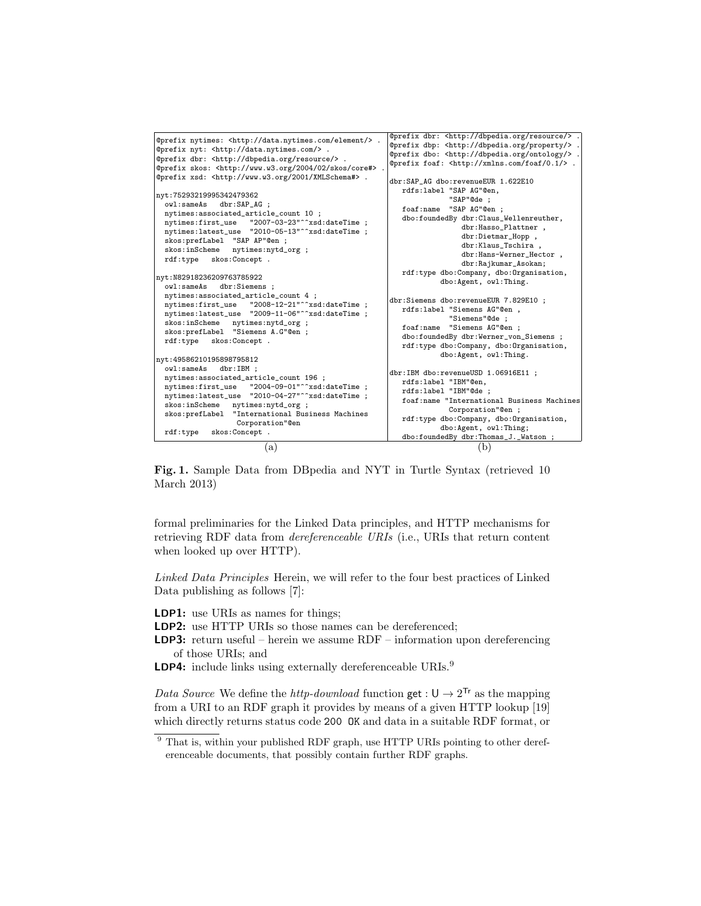| . <td>@prefix dbr: <http: dbpedia.org="" resource=""></http:> .</td>       | @prefix dbr: <http: dbpedia.org="" resource=""></http:> .   |
|----------------------------------------------------------------------------|-------------------------------------------------------------|
| @prefix nyt: <http: data.nytimes.com=""></http:> .                         | @prefix dbp: <http: dbpedia.org="" property=""></http:> .   |
| @prefix dbr: <http: dbpedia.org="" resource=""></http:> .                  | @prefix dbo: <http: dbpedia.org="" ontology=""></http:> .   |
| @prefix skos: <http: 02="" 2004="" core#="" skos="" www.w3.org=""></http:> | @prefix foaf: <http: 0.1="" foaf="" xmlns.com=""></http:> . |
| @prefix xsd: <http: 2001="" www.w3.org="" xmlschema#=""> .</http:>         |                                                             |
|                                                                            | dbr:SAP_AG dbo:revenueEUR 1.622E10                          |
|                                                                            | rdfs:label "SAP AG"@en,                                     |
| nyt:75293219995342479362                                                   | "SAP"@de :                                                  |
| owl:sameAs dbr:SAP_AG ;                                                    | foaf:name "SAP AG"@en :                                     |
| nytimes:associated_article_count 10;                                       | dbo:foundedBy dbr:Claus_Wellenreuther,                      |
| "2007-03-23"^^xsd:dateTime ;<br>nytimes:first_use                          | dbr:Hasso_Plattner,                                         |
| nytimes:latest_use "2010-05-13"^^xsd:dateTime ;                            | dbr:Dietmar_Hopp,                                           |
| skos: prefLabel "SAP AP"@en ;                                              | dbr:Klaus_Tschira,                                          |
| skos:inScheme nytimes:nytd_org;                                            | dbr:Hans-Werner_Hector,                                     |
| rdf:type skos:Concept.                                                     | dbr:Rajkumar_Asokan;                                        |
|                                                                            | rdf:type dbo:Company, dbo:Organisation,                     |
| nyt:N82918236209763785922                                                  | dbo:Agent, owl:Thing.                                       |
| owl:sameAs<br>dbr:Siemens :                                                |                                                             |
| nytimes:associated_article_count 4;                                        | dbr:Siemens dbo:revenueEUR 7.829E10 ;                       |
| nytimes:first_use "2008-12-21"^^xsd:dateTime ;                             | rdfs:label "Siemens AG"@en,                                 |
| nytimes:latest_use "2009-11-06"^^xsd:dateTime ;                            | "Siemens"@de :                                              |
| skos:inScheme nytimes:nytd_org;                                            | foaf:name "Siemens AG"@en :                                 |
| skos: prefLabel "Siemens A.G"@en ;                                         | dbo:foundedBy dbr:Werner_von_Siemens ;                      |
| rdf:type skos:Concept.                                                     | rdf:type dbo:Company, dbo:Organisation,                     |
|                                                                            | dbo:Agent, owl:Thing.                                       |
| nyt:49586210195898795812                                                   |                                                             |
| owl:sameAs dbr:IBM :                                                       | dbr: IBM dbo: revenueUSD 1.06916E11 ;                       |
| nytimes:associated_article_count 196;                                      | rdfs:label "IBM"@en,                                        |
| nytimes:first_use "2004-09-01"^^xsd:dateTime ;                             | rdfs:label "IBM"@de ;                                       |
| nytimes:latest_use "2010-04-27"^^xsd:dateTime ;                            | foaf:name "International Business Machines                  |
| skos:inScheme nytimes:nytd_org ;                                           | Corporation"@en ;                                           |
| skos: prefLabel "International Business Machines                           | rdf:type dbo:Company, dbo:Organisation,                     |
| Corporation"@en                                                            | dbo:Agent, owl:Thing;                                       |
| skos: Concept.<br>$\texttt{rdf:type}$                                      | dbo:foundedBy dbr:Thomas_J._Watson ;                        |
| 'a)                                                                        | (b)                                                         |
|                                                                            |                                                             |

Fig. 1. Sample Data from DBpedia and NYT in Turtle Syntax (retrieved 10 March 2013)

formal preliminaries for the Linked Data principles, and HTTP mechanisms for retrieving RDF data from dereferenceable URIs (i.e., URIs that return content when looked up over HTTP).

Linked Data Principles Herein, we will refer to the four best practices of Linked Data publishing as follows [7]:

- LDP1: use URIs as names for things;
- LDP2: use HTTP URIs so those names can be dereferenced;
- LDP3: return useful herein we assume RDF information upon dereferencing of those URIs; and
- LDP4: include links using externally dereferenceable URIs.<sup>9</sup>

Data Source We define the http-download function get :  $U \rightarrow 2^{Tr}$  as the mapping from a URI to an RDF graph it provides by means of a given HTTP lookup [19] which directly returns status code 200 OK and data in a suitable RDF format, or

<sup>&</sup>lt;sup>9</sup> That is, within your published RDF graph, use HTTP URIs pointing to other dereferenceable documents, that possibly contain further RDF graphs.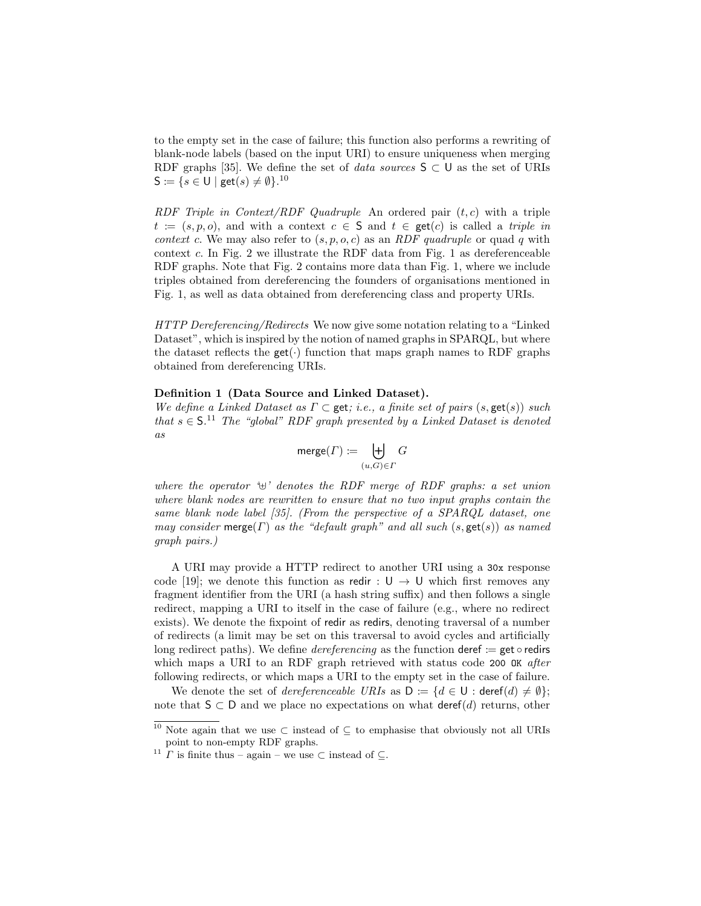to the empty set in the case of failure; this function also performs a rewriting of blank-node labels (based on the input URI) to ensure uniqueness when merging RDF graphs [35]. We define the set of data sources  $S \subset U$  as the set of URIs  $\mathsf{S} := \{ s \in \mathsf{U} \mid \mathsf{get}(s) \neq \emptyset \}$ .<sup>10</sup>

RDF Triple in Context/RDF Quadruple An ordered pair  $(t, c)$  with a triple  $t := (s, p, o)$ , and with a context  $c \in S$  and  $t \in get(c)$  is called a triple in context c. We may also refer to  $(s, p, o, c)$  as an RDF quadruple or quad q with context c. In Fig. 2 we illustrate the RDF data from Fig. 1 as dereferenceable RDF graphs. Note that Fig. 2 contains more data than Fig. 1, where we include triples obtained from dereferencing the founders of organisations mentioned in Fig. 1, as well as data obtained from dereferencing class and property URIs.

HTTP Dereferencing/Redirects We now give some notation relating to a "Linked Dataset", which is inspired by the notion of named graphs in SPARQL, but where the dataset reflects the  $get(\cdot)$  function that maps graph names to RDF graphs obtained from dereferencing URIs.

#### Definition 1 (Data Source and Linked Dataset).

We define a Linked Dataset as  $\Gamma \subset \text{get}$ ; i.e., a finite set of pairs  $(s, \text{get}(s))$  such that  $s \in S$ .<sup>11</sup> The "global" RDF graph presented by a Linked Dataset is denoted as

$$
\mathrm{merge}(\varGamma):=\biguplus_{(u,G)\in\varGamma}G
$$

where the operator  $\mathcal{H}'$  denotes the RDF merge of RDF graphs: a set union where blank nodes are rewritten to ensure that no two input graphs contain the same blank node label [35]. (From the perspective of a SPARQL dataset, one may consider merge(Γ) as the "default graph" and all such  $(s, get(s))$  as named graph pairs.)

A URI may provide a HTTP redirect to another URI using a 30x response code [19]; we denote this function as redir :  $U \rightarrow U$  which first removes any fragment identifier from the URI (a hash string suffix) and then follows a single redirect, mapping a URI to itself in the case of failure (e.g., where no redirect exists). We denote the fixpoint of redir as redirs, denoting traversal of a number of redirects (a limit may be set on this traversal to avoid cycles and artificially long redirect paths). We define *dereferencing* as the function deref  $:=$  get  $\circ$  redirs which maps a URI to an RDF graph retrieved with status code 200 OK after following redirects, or which maps a URI to the empty set in the case of failure.

We denote the set of *dereferenceable URIs* as  $D := \{d \in U : \text{derf}(d) \neq \emptyset\};$ note that  $S \subset D$  and we place no expectations on what deref(d) returns, other

<sup>&</sup>lt;sup>10</sup> Note again that we use  $\subset$  instead of  $\subseteq$  to emphasise that obviously not all URIs point to non-empty RDF graphs.

<sup>&</sup>lt;sup>11</sup>  $\Gamma$  is finite thus – again – we use  $\subset$  instead of  $\subset$ .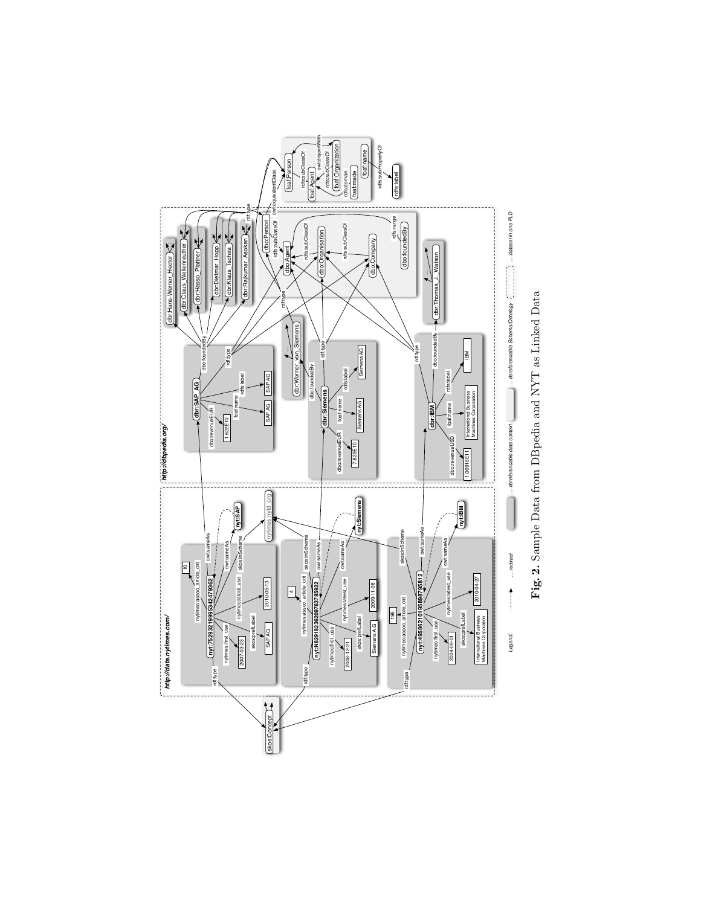

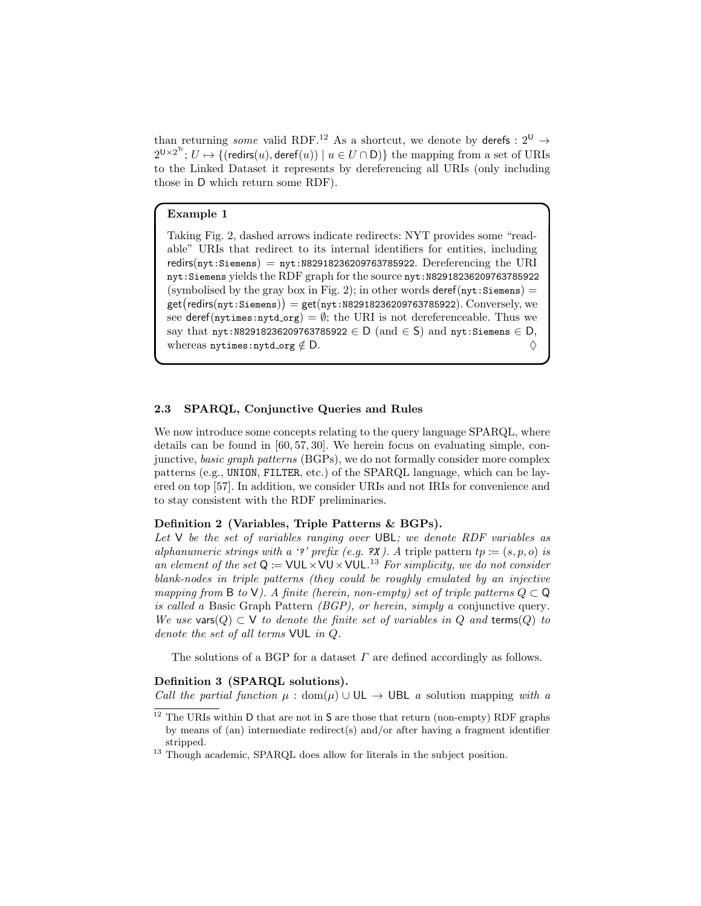than returning *some* valid RDF.<sup>12</sup> As a shortcut, we denote by derefs :  $2^U \rightarrow$  $2^{U\times 2^{Tr}}$ ;  $U \mapsto \{(\text{redirs}(u), \text{deref}(u)) \mid u \in U \cap D)\}$  the mapping from a set of URIs to the Linked Dataset it represents by dereferencing all URIs (only including those in D which return some RDF).

# Example 1

Taking Fig. 2, dashed arrows indicate redirects: NYT provides some "readable" URIs that redirect to its internal identifiers for entities, including  $redirs(nyt:Siemens) = nyt:N82918236209763785922. Dereferencing the URI$ nyt:Siemens yields the RDF graph for the source nyt:N82918236209763785922 (symbolised by the gray box in Fig. 2); in other words  $\text{deref}(\text{nyt:Siemens}) =$ get redirs(nyt:Siemens) = get(nyt:N82918236209763785922). Conversely, we see deref(nytimes:nytd\_org) =  $\emptyset$ ; the URI is not dereferenceable. Thus we say that nyt:N82918236209763785922  $\in$  D (and  $\in$  S) and nyt:Siemens  $\in$  D, whereas nytimes:nytd\_org  $\notin$  D.  $\diamondsuit$ 

## 2.3 SPARQL, Conjunctive Queries and Rules

We now introduce some concepts relating to the query language SPARQL, where details can be found in [60, 57, 30]. We herein focus on evaluating simple, conjunctive, basic graph patterns (BGPs), we do not formally consider more complex patterns (e.g., UNION, FILTER, etc.) of the SPARQL language, which can be layered on top [57]. In addition, we consider URIs and not IRIs for convenience and to stay consistent with the RDF preliminaries.

#### Definition 2 (Variables, Triple Patterns & BGPs).

Let  $V$  be the set of variables ranging over UBL; we denote RDF variables as alphanumeric strings with a '?' prefix (e.g. ?X). A triple pattern  $tp := (s, p, o)$  is an element of the set  $Q := \text{VUL} \times \text{VU} \times \text{VUL}.^{13}$  For simplicity, we do not consider blank-nodes in triple patterns (they could be roughly emulated by an injective mapping from B to V). A finite (herein, non-empty) set of triple patterns  $Q \subset \mathbb{Q}$ is called a Basic Graph Pattern (BGP), or herein, simply a conjunctive query. We use vars $(Q) \subset V$  to denote the finite set of variables in Q and terms $(Q)$  to denote the set of all terms VUL in Q.

The solutions of a BGP for a dataset  $\Gamma$  are defined accordingly as follows.

### Definition 3 (SPARQL solutions).

Call the partial function  $\mu : dom(\mu) \cup UL \rightarrow UBL$  a solution mapping with a

 $12$  The URIs within D that are not in S are those that return (non-empty) RDF graphs by means of (an) intermediate redirect(s) and/or after having a fragment identifier stripped.

<sup>&</sup>lt;sup>13</sup> Though academic, SPARQL does allow for literals in the subject position.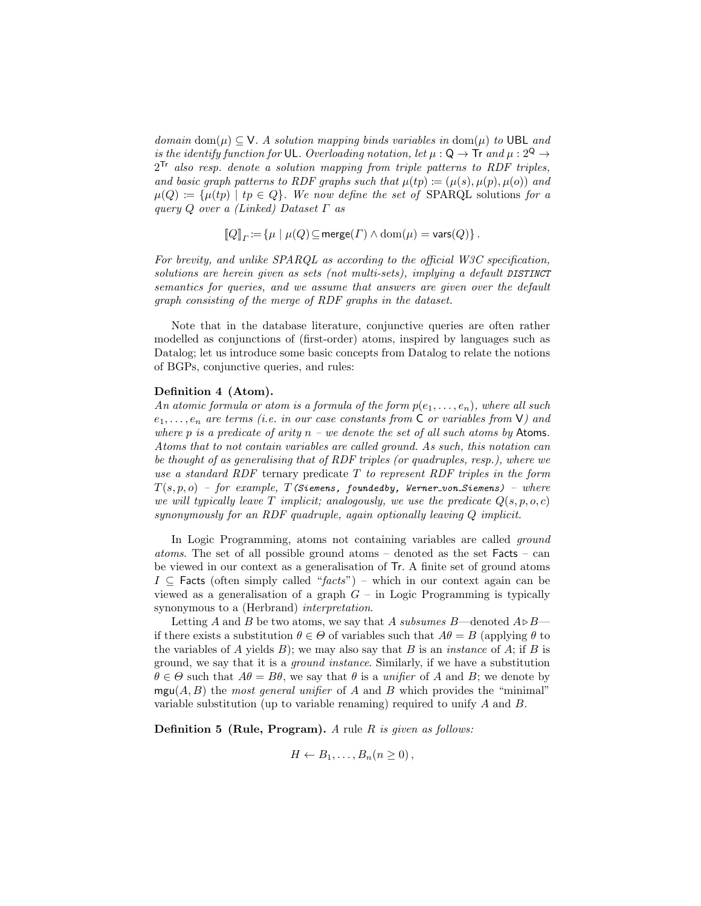domain dom( $\mu$ )  $\subseteq$  V. A solution mapping binds variables in dom( $\mu$ ) to UBL and is the identify function for UL. Overloading notation, let  $\mu: \mathsf{Q} \to \mathsf{Tr}$  and  $\mu: 2^{\mathsf{Q}} \to$  $2^{Tr}$  also resp. denote a solution mapping from triple patterns to RDF triples, and basic graph patterns to RDF graphs such that  $\mu(tp) := (\mu(s), \mu(p), \mu(o))$  and  $\mu(Q) := {\mu(tp) \mid tp \in Q}.$  We now define the set of SPARQL solutions for a query Q over a (Linked) Dataset  $\Gamma$  as

$$
\llbracket Q \rrbracket_{\varGamma} \coloneqq \{ \mu \mid \mu(Q) \subseteq \mathsf{merge}(\varGamma) \land \mathsf{dom}(\mu) = \mathsf{vars}(Q) \} \, .
$$

For brevity, and unlike SPARQL as according to the official W3C specification, solutions are herein given as sets (not multi-sets), implying a default DISTINCT semantics for queries, and we assume that answers are given over the default graph consisting of the merge of RDF graphs in the dataset.

Note that in the database literature, conjunctive queries are often rather modelled as conjunctions of (first-order) atoms, inspired by languages such as Datalog; let us introduce some basic concepts from Datalog to relate the notions of BGPs, conjunctive queries, and rules:

#### Definition 4 (Atom).

An atomic formula or atom is a formula of the form  $p(e_1, \ldots, e_n)$ , where all such  $e_1, \ldots, e_n$  are terms (i.e. in our case constants from C or variables from V) and where p is a predicate of arity  $n - we$  denote the set of all such atoms by Atoms. Atoms that to not contain variables are called ground. As such, this notation can be thought of as generalising that of RDF triples (or quadruples, resp.), where we use a standard RDF ternary predicate  $T$  to represent RDF triples in the form  $T(s, p, o)$  – for example,  $T$  (Siemens, foundedby, Werner-von-Siemens) – where we will typically leave T implicit; analogously, we use the predicate  $Q(s, p, o, c)$ synonymously for an RDF quadruple, again optionally leaving Q implicit.

In Logic Programming, atoms not containing variables are called *ground atoms*. The set of all possible ground atoms – denoted as the set  $\text{Facts}$  – can be viewed in our context as a generalisation of Tr. A finite set of ground atoms I  $\subseteq$  Facts (often simply called "facts") – which in our context again can be viewed as a generalisation of a graph  $G$  – in Logic Programming is typically synonymous to a (Herbrand) *interpretation*.

Letting A and B be two atoms, we say that A subsumes B—denoted  $A \triangleright B$  if there exists a substitution  $\theta \in \Theta$  of variables such that  $A\theta = B$  (applying  $\theta$  to the variables of A yields B); we may also say that B is an *instance* of A; if B is ground, we say that it is a ground instance. Similarly, if we have a substitution  $\theta \in \Theta$  such that  $A\theta = B\theta$ , we say that  $\theta$  is a *unifier* of A and B; we denote by  $mgu(A, B)$  the most general unifier of A and B which provides the "minimal" variable substitution (up to variable renaming) required to unify A and B.

**Definition 5 (Rule, Program).** A rule  $R$  is given as follows:

$$
H \leftarrow B_1, \ldots, B_n (n \geq 0),
$$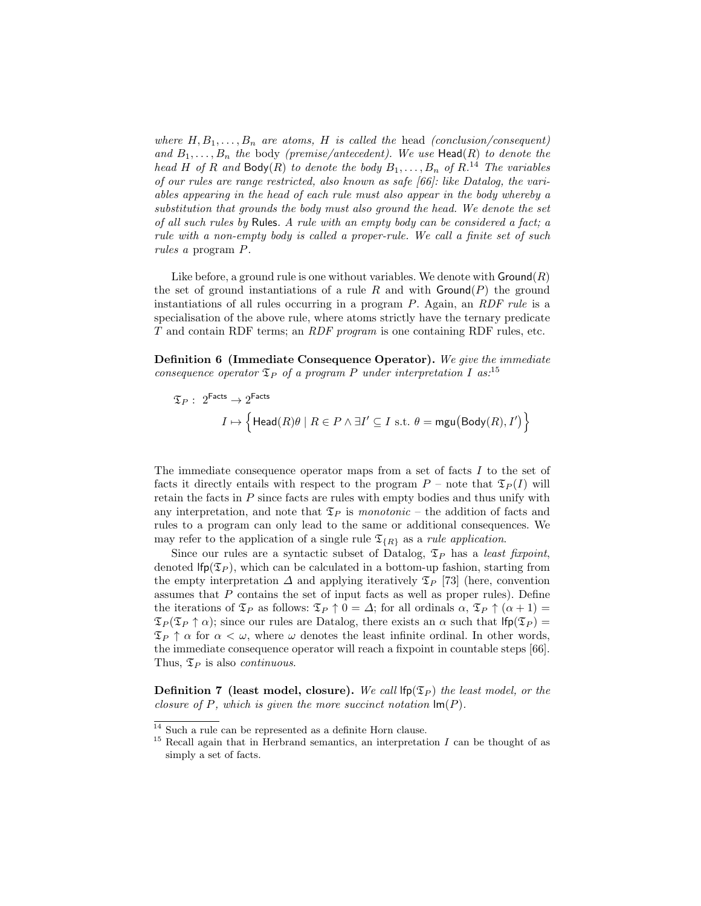where  $H, B_1, \ldots, B_n$  are atoms, H is called the head (conclusion/consequent) and  $B_1, \ldots, B_n$  the body (premise/antecedent). We use Head(R) to denote the head H of R and  $\textsf{Body}(R)$  to denote the body  $B_1, \ldots, B_n$  of  $R^{14}$  The variables of our rules are range restricted, also known as safe [66]: like Datalog, the variables appearing in the head of each rule must also appear in the body whereby a substitution that grounds the body must also ground the head. We denote the set of all such rules by Rules. A rule with an empty body can be considered a fact; a rule with a non-empty body is called a proper-rule. We call a finite set of such rules a program P.

Like before, a ground rule is one without variables. We denote with  $\mathsf{Ground}(R)$ the set of ground instantiations of a rule R and with  $Group(P)$  the ground instantiations of all rules occurring in a program  $P$ . Again, an RDF rule is a specialisation of the above rule, where atoms strictly have the ternary predicate T and contain RDF terms; an RDF program is one containing RDF rules, etc.

Definition 6 (Immediate Consequence Operator). We give the immediate consequence operator  $\mathfrak{T}_P$  of a program P under interpretation I as:<sup>15</sup>

$$
\mathfrak{T}_P: \begin{array}{l} 2^{{\rm Facts}} \to 2^{{\rm Facts}} \\ I \mapsto \Big\{{\rm Head}(R) \theta \mid R \in P \wedge \exists I' \subseteq I \text{ s.t. } \theta = {\rm mgu}\big( {\rm Body}(R), I'\big)\Big\} \end{array}
$$

The immediate consequence operator maps from a set of facts  $I$  to the set of facts it directly entails with respect to the program  $P$  – note that  $\mathfrak{T}_P(I)$  will retain the facts in  $P$  since facts are rules with empty bodies and thus unify with any interpretation, and note that  $\mathfrak{T}_P$  is monotonic – the addition of facts and rules to a program can only lead to the same or additional consequences. We may refer to the application of a single rule  $\mathfrak{T}_{\{R\}}$  as a *rule application*.

Since our rules are a syntactic subset of Datalog,  $\mathfrak{T}_P$  has a least fixpoint, denoted  $\mathsf{Ifp}(\mathfrak{T}_P)$ , which can be calculated in a bottom-up fashion, starting from the empty interpretation  $\Delta$  and applying iteratively  $\mathfrak{T}_P$  [73] (here, convention assumes that P contains the set of input facts as well as proper rules). Define the iterations of  $\mathfrak{T}_P$  as follows:  $\mathfrak{T}_P \uparrow 0 = \Delta$ ; for all ordinals  $\alpha$ ,  $\mathfrak{T}_P \uparrow (\alpha + 1) =$  $\mathfrak{T}_P(\mathfrak{T}_P \uparrow \alpha)$ ; since our rules are Datalog, there exists an  $\alpha$  such that lfp( $\mathfrak{T}_P$ ) =  $\mathfrak{T}_P \uparrow \alpha$  for  $\alpha < \omega$ , where  $\omega$  denotes the least infinite ordinal. In other words, the immediate consequence operator will reach a fixpoint in countable steps [66]. Thus,  $\mathfrak{T}_P$  is also *continuous*.

**Definition 7** (least model, closure). We call  $\mathsf{lfp}(\mathfrak{T}_P)$  the least model, or the closure of P, which is given the more succinct notation  $\text{Im}(P)$ .

 $14$  Such a rule can be represented as a definite Horn clause.

 $15$  Recall again that in Herbrand semantics, an interpretation  $I$  can be thought of as simply a set of facts.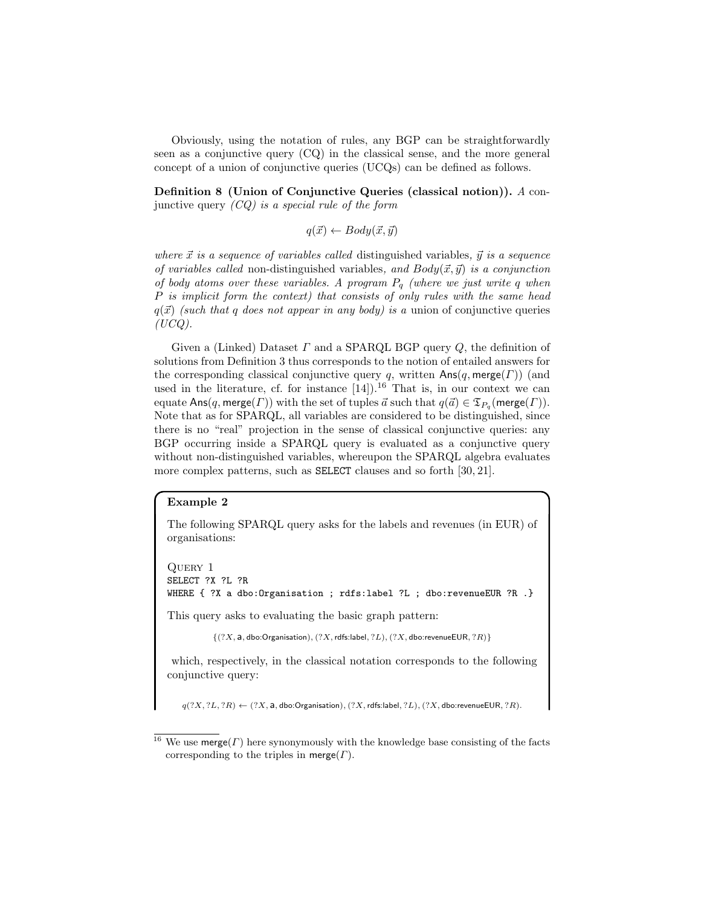Obviously, using the notation of rules, any BGP can be straightforwardly seen as a conjunctive query (CQ) in the classical sense, and the more general concept of a union of conjunctive queries (UCQs) can be defined as follows.

Definition 8 (Union of Conjunctive Queries (classical notion)). A conjunctive query  $(CQ)$  is a special rule of the form

$$
q(\vec{x}) \leftarrow Body(\vec{x}, \vec{y})
$$

where  $\vec{x}$  is a sequence of variables called distinguished variables,  $\vec{y}$  is a sequence of variables called non-distinguished variables, and  $Body(\vec{x}, \vec{y})$  is a conjunction of body atoms over these variables. A program  $P_q$  (where we just write q when P is implicit form the context) that consists of only rules with the same head  $q(\vec{x})$  (such that q does not appear in any body) is a union of conjunctive queries  $(UCQ).$ 

Given a (Linked) Dataset  $\Gamma$  and a SPARQL BGP query  $Q$ , the definition of solutions from Definition 3 thus corresponds to the notion of entailed answers for the corresponding classical conjunctive query q, written  $\textsf{Ans}(q, \textsf{merge}(\Gamma))$  (and used in the literature, cf. for instance  $[14]$ .<sup>16</sup> That is, in our context we can equate  $\mathsf{Ans}(q,\mathsf{merge}(\varGamma))$  with the set of tuples  $\vec{a}$  such that  $q(\vec{a}) \in \mathfrak{T}_{P_q}(\mathsf{merge}(\varGamma)).$ Note that as for SPARQL, all variables are considered to be distinguished, since there is no "real" projection in the sense of classical conjunctive queries: any BGP occurring inside a SPARQL query is evaluated as a conjunctive query without non-distinguished variables, whereupon the SPARQL algebra evaluates more complex patterns, such as **SELECT** clauses and so forth [30, 21].

## Example 2

The following SPARQL query asks for the labels and revenues (in EUR) of organisations:

Query 1 SELECT ?X ?L ?R WHERE { ?X a dbo: Organisation ; rdfs: label ?L ; dbo: revenueEUR ?R .}

This query asks to evaluating the basic graph pattern:

 $\{(?X, \mathsf{a}, \mathsf{dbo}:\mathsf{Organisation}), (?X, \mathsf{rdfs}:\mathsf{label}, ?L), (?X, \mathsf{dbo}:\mathsf{revenueEUR}, ?R)\}$ 

which, respectively, in the classical notation corresponds to the following conjunctive query:

 $q(?X, ?L, ?R) \leftarrow (?X, a, dbo:Organisation), (?X, rdfs:label, ?L), (?X, dbo:revenue EUR, ?R).$ 

<sup>&</sup>lt;sup>16</sup> We use merge( $\Gamma$ ) here synonymously with the knowledge base consisting of the facts corresponding to the triples in merge $(\Gamma)$ .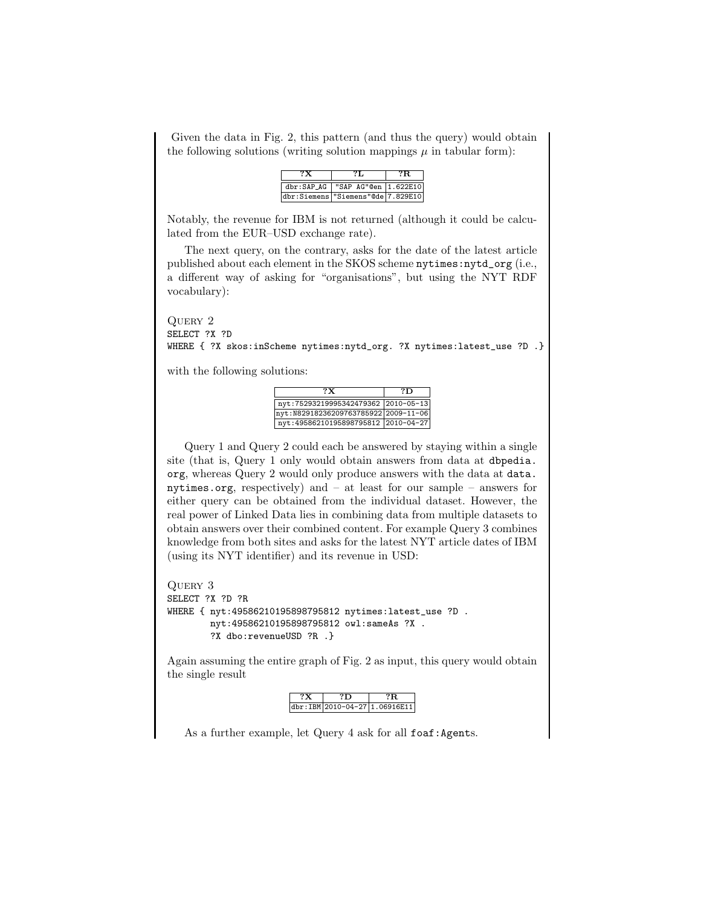Given the data in Fig. 2, this pattern (and thus the query) would obtain the following solutions (writing solution mappings  $\mu$  in tabular form):

| ?L                                     | ?R |
|----------------------------------------|----|
| $dbr: SAP_AG$   "SAP AG"@en   1.622E10 |    |
| dbr:Siemens   "Siemens "@de 7.829E10   |    |

Notably, the revenue for IBM is not returned (although it could be calculated from the EUR–USD exchange rate).

The next query, on the contrary, asks for the date of the latest article published about each element in the SKOS scheme nytimes:nytd\_org (i.e., a different way of asking for "organisations", but using the NYT RDF vocabulary):

Query 2 SELECT ?X ?D WHERE { ?X skos: inScheme nytimes: nytd\_org. ?X nytimes: latest\_use ?D .}

with the following solutions:

| ?X                                   | ?D |
|--------------------------------------|----|
| nyt:75293219995342479362 2010-05-13  |    |
| nyt:N82918236209763785922 2009-11-06 |    |
| nyt:49586210195898795812 2010-04-27  |    |

Query 1 and Query 2 could each be answered by staying within a single site (that is, Query 1 only would obtain answers from data at dbpedia. org, whereas Query 2 would only produce answers with the data at data. nytimes.org, respectively) and – at least for our sample – answers for either query can be obtained from the individual dataset. However, the real power of Linked Data lies in combining data from multiple datasets to obtain answers over their combined content. For example Query 3 combines knowledge from both sites and asks for the latest NYT article dates of IBM (using its NYT identifier) and its revenue in USD:

```
Query 3
SELECT ?X ?D ?R
WHERE { nyt:49586210195898795812 nytimes:latest_use ?D .
        nyt:49586210195898795812 owl:sameAs ?X .
        ?X dbo:revenueUSD ?R .}
```
Again assuming the entire graph of Fig. 2 as input, this query would obtain the single result

| $\left( \cdot \right)$ |  |                                    |
|------------------------|--|------------------------------------|
|                        |  | $ dbr: IBM 2010-04-27 1.06916E11 $ |

As a further example, let Query 4 ask for all foaf:Agents.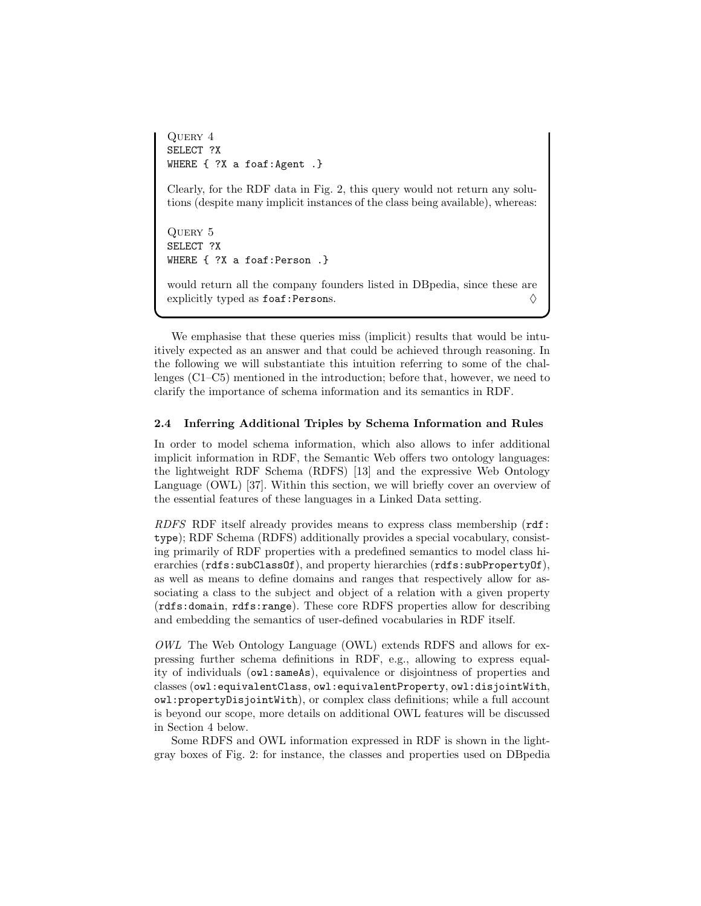Query 4 SELECT ?X WHERE { ?X a foaf:Agent .}

Clearly, for the RDF data in Fig. 2, this query would not return any solutions (despite many implicit instances of the class being available), whereas:

Query 5 SELECT ?X WHERE { ?X a foaf: Person .}

would return all the company founders listed in DBpedia, since these are explicitly typed as  $\texttt{foaf:Persons.}$   $\Diamond$ 

We emphasise that these queries miss (implicit) results that would be intuitively expected as an answer and that could be achieved through reasoning. In the following we will substantiate this intuition referring to some of the challenges (C1–C5) mentioned in the introduction; before that, however, we need to clarify the importance of schema information and its semantics in RDF.

#### 2.4 Inferring Additional Triples by Schema Information and Rules

In order to model schema information, which also allows to infer additional implicit information in RDF, the Semantic Web offers two ontology languages: the lightweight RDF Schema (RDFS) [13] and the expressive Web Ontology Language (OWL) [37]. Within this section, we will briefly cover an overview of the essential features of these languages in a Linked Data setting.

RDFS RDF itself already provides means to express class membership (rdf: type); RDF Schema (RDFS) additionally provides a special vocabulary, consisting primarily of RDF properties with a predefined semantics to model class hierarchies (rdfs:subClassOf), and property hierarchies (rdfs:subPropertyOf), as well as means to define domains and ranges that respectively allow for associating a class to the subject and object of a relation with a given property (rdfs:domain, rdfs:range). These core RDFS properties allow for describing and embedding the semantics of user-defined vocabularies in RDF itself.

OWL The Web Ontology Language (OWL) extends RDFS and allows for expressing further schema definitions in RDF, e.g., allowing to express equality of individuals (owl:sameAs), equivalence or disjointness of properties and classes (owl:equivalentClass, owl:equivalentProperty, owl:disjointWith, owl:propertyDisjointWith), or complex class definitions; while a full account is beyond our scope, more details on additional OWL features will be discussed in Section 4 below.

Some RDFS and OWL information expressed in RDF is shown in the lightgray boxes of Fig. 2: for instance, the classes and properties used on DBpedia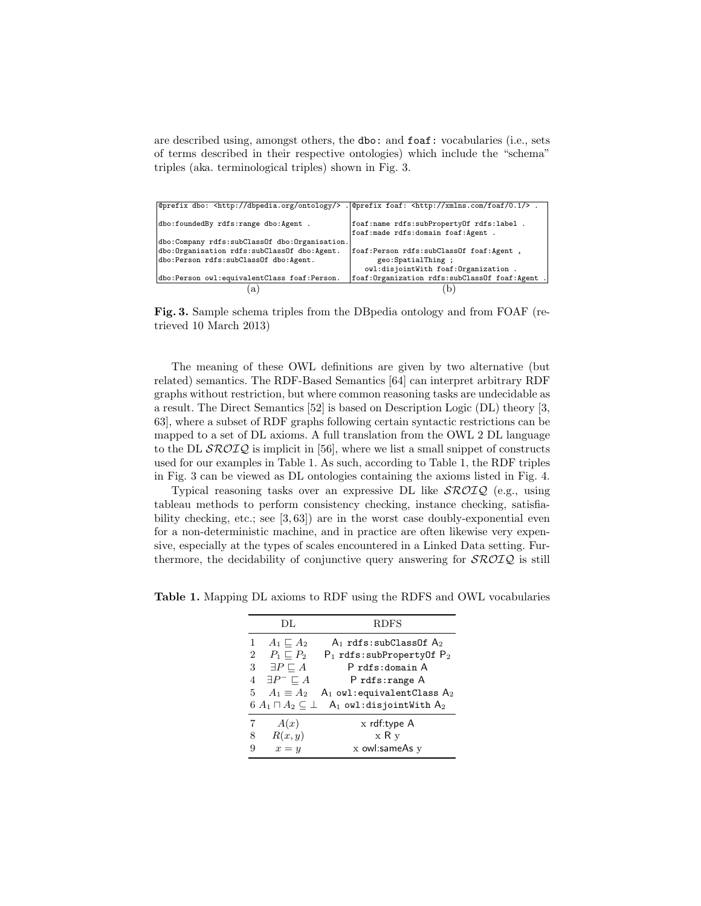are described using, amongst others, the dbo: and foaf: vocabularies (i.e., sets of terms described in their respective ontologies) which include the "schema" triples (aka. terminological triples) shown in Fig. 3.

| @prefix dbo: <http: dbpedia.org="" ontology=""></http:> . @prefix foaf: <http: 0.1="" foaf="" xmlns.com=""></http:> . |                                                                               |
|-----------------------------------------------------------------------------------------------------------------------|-------------------------------------------------------------------------------|
| dbo:foundedBy rdfs:range dbo:Agent .                                                                                  | foaf:name rdfs:subPropertyOf rdfs:label.<br>foaf:made rdfs:domain foaf:Agent. |
| dbo: Company rdfs: subClassOf dbo: Organisation.                                                                      |                                                                               |
| dbo:Organisation rdfs:subClassOf dbo:Agent.                                                                           | foaf:Person rdfs:subClassOf foaf:Agent,                                       |
| dbo:Person rdfs:subClassOf dbo:Agent.                                                                                 | geo:SpatialThing ;                                                            |
|                                                                                                                       | owl:disjointWith foaf:Organization.                                           |
| dbo: Person owl: equivalentClass foaf: Person.                                                                        | foaf:Organization rdfs:subClassOf foaf:Agent.                                 |
| a                                                                                                                     | <sub>b</sub>                                                                  |

Fig. 3. Sample schema triples from the DBpedia ontology and from FOAF (retrieved 10 March 2013)

The meaning of these OWL definitions are given by two alternative (but related) semantics. The RDF-Based Semantics [64] can interpret arbitrary RDF graphs without restriction, but where common reasoning tasks are undecidable as a result. The Direct Semantics [52] is based on Description Logic (DL) theory [3, 63], where a subset of RDF graphs following certain syntactic restrictions can be mapped to a set of DL axioms. A full translation from the OWL 2 DL language to the DL  $\mathcal{SROIQ}$  is implicit in [56], where we list a small snippet of constructs used for our examples in Table 1. As such, according to Table 1, the RDF triples in Fig. 3 can be viewed as DL ontologies containing the axioms listed in Fig. 4.

Typical reasoning tasks over an expressive DL like  $\mathcal{SROIQ}$  (e.g., using tableau methods to perform consistency checking, instance checking, satisfiability checking, etc.; see  $[3, 63]$  are in the worst case doubly-exponential even for a non-deterministic machine, and in practice are often likewise very expensive, especially at the types of scales encountered in a Linked Data setting. Furthermore, the decidability of conjunctive query answering for  $\mathcal{SROIQ}$  is still

|                | DL                        | RDFS                                                                                                      |
|----------------|---------------------------|-----------------------------------------------------------------------------------------------------------|
| 1              | $A_1 \sqsubset A_2$       | $A_1$ rdfs:subClassOf $A_2$                                                                               |
| $\overline{2}$ | $P_1 \sqsubset P_2$       | $P_1$ rdfs:subPropertyOf $P_2$                                                                            |
| $3 -$          | $\exists P \sqsubset A$   | P rdfs:domain A                                                                                           |
| $\overline{4}$ | $\exists P^- \sqsubset A$ | P rdfs:range A                                                                                            |
| $5^{\circ}$    |                           | $A_1 \equiv A_2$ A <sub>1</sub> owl:equivalentClass A <sub>2</sub>                                        |
|                |                           | $6\ A_1 \sqcap A_2 \subseteq \bot$ $\blacksquare$ $\vdash$ A <sub>1</sub> owl:disjointWith $\mathsf{A}_2$ |
| 7              | A(x)                      | $x$ rdf:type $A$                                                                                          |
| 8              | R(x, y)                   | x R y                                                                                                     |
| 9              | $x = y$                   | x owl:sameAs y                                                                                            |

Table 1. Mapping DL axioms to RDF using the RDFS and OWL vocabularies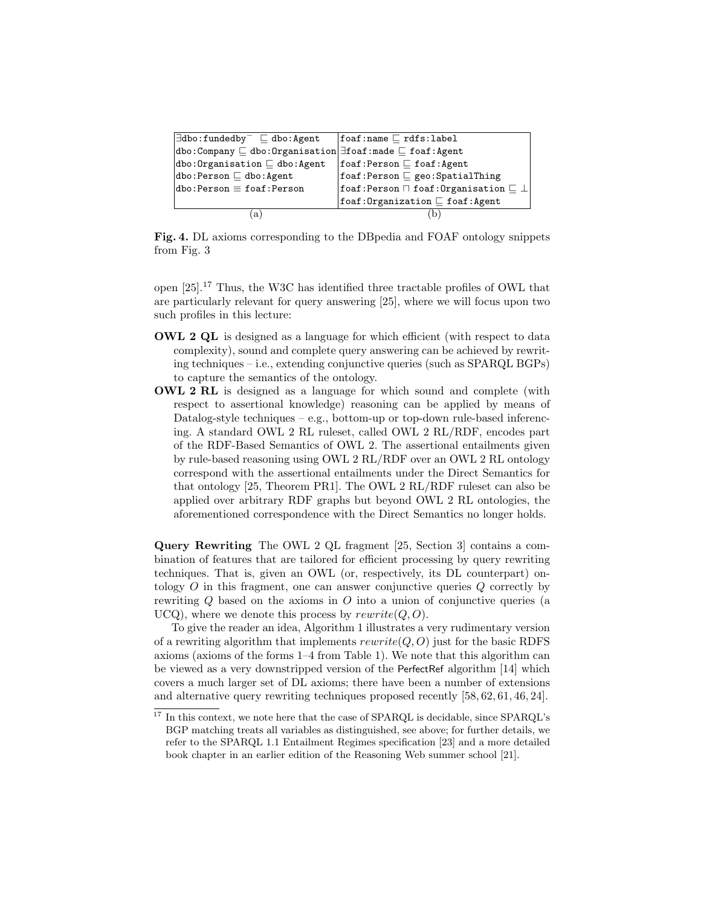| a                                                                                                                         |                                                         |
|---------------------------------------------------------------------------------------------------------------------------|---------------------------------------------------------|
|                                                                                                                           | $ $ foaf:Organization $\sqsubseteq$ foaf:Agent          |
| $\mathsf{ldbo}\!:\!\mathsf{Person}\equiv\mathsf{foaf}\!:\!\mathsf{Person}$                                                | foaf:Person $\sqcap$ foaf:Organisation $\sqsubset \bot$ |
| $dbo:Person \sqsubset dbo:Agent$                                                                                          | $\vert$ foaf:Person $\sqsubseteq$ geo:SpatialThing      |
| $ $ dbo:Organisation $\Box$ dbo:Agent                                                                                     | $ $ foaf:Person $\sqsubset$ foaf:Agent                  |
| $ \texttt{dbo:Company} \sqsubseteq \texttt{dbo:Organisation}  \exists \texttt{foaf:made} \sqsubseteq \texttt{foaf:Agent}$ |                                                         |
| $\exists$ dbo:fundedby $^-\subseteq$ dbo:Agent                                                                            | $ $ foaf:name $\sqsubset$ rdfs:label                    |
|                                                                                                                           |                                                         |

Fig. 4. DL axioms corresponding to the DBpedia and FOAF ontology snippets from Fig. 3

open [25].<sup>17</sup> Thus, the W3C has identified three tractable profiles of OWL that are particularly relevant for query answering [25], where we will focus upon two such profiles in this lecture:

- OWL 2 QL is designed as a language for which efficient (with respect to data complexity), sound and complete query answering can be achieved by rewriting techniques – i.e., extending conjunctive queries (such as SPARQL BGPs) to capture the semantics of the ontology.
- OWL 2 RL is designed as a language for which sound and complete (with respect to assertional knowledge) reasoning can be applied by means of Datalog-style techniques – e.g., bottom-up or top-down rule-based inferencing. A standard OWL 2 RL ruleset, called OWL 2 RL/RDF, encodes part of the RDF-Based Semantics of OWL 2. The assertional entailments given by rule-based reasoning using OWL 2 RL/RDF over an OWL 2 RL ontology correspond with the assertional entailments under the Direct Semantics for that ontology [25, Theorem PR1]. The OWL 2 RL/RDF ruleset can also be applied over arbitrary RDF graphs but beyond OWL 2 RL ontologies, the aforementioned correspondence with the Direct Semantics no longer holds.

Query Rewriting The OWL 2 QL fragment [25, Section 3] contains a combination of features that are tailored for efficient processing by query rewriting techniques. That is, given an OWL (or, respectively, its DL counterpart) ontology  $O$  in this fragment, one can answer conjunctive queries  $Q$  correctly by rewriting  $Q$  based on the axioms in  $Q$  into a union of conjunctive queries (a UCQ), where we denote this process by  $rewrite(Q, O)$ .

To give the reader an idea, Algorithm 1 illustrates a very rudimentary version of a rewriting algorithm that implements  $rewrite(Q, O)$  just for the basic RDFS axioms (axioms of the forms 1–4 from Table 1). We note that this algorithm can be viewed as a very downstripped version of the PerfectRef algorithm [14] which covers a much larger set of DL axioms; there have been a number of extensions and alternative query rewriting techniques proposed recently [58, 62, 61, 46, 24].

 $^{17}$  In this context, we note here that the case of SPARQL is decidable, since SPARQL's BGP matching treats all variables as distinguished, see above; for further details, we refer to the SPARQL 1.1 Entailment Regimes specification [23] and a more detailed book chapter in an earlier edition of the Reasoning Web summer school [21].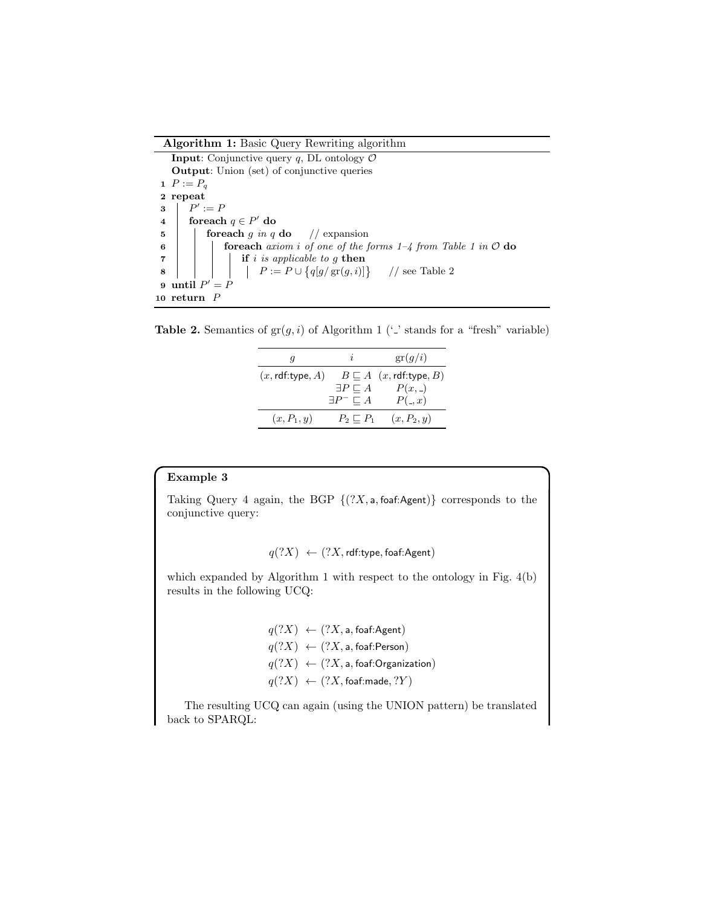Algorithm 1: Basic Query Rewriting algorithm

**Input:** Conjunctive query  $q$ , DL ontology  $\mathcal{O}$ Output: Union (set) of conjunctive queries 1  $P := P_q$ 2 repeat  $3 \mid P' := P$  $4 \mid$  for each  $q \in P'$  do 5  $\vert$  foreach g in q do // expansion 6 **for for foreach** axiom i of one of the forms  $1-4$  from Table 1 in  $\mathcal{O}$  do  $\begin{array}{|c|c|c|c|c|c|c|c|c|} \hline \end{array}$  if i is applicable to g then 8 | | | |  $P := P \cup \{q[g/\operatorname{gr}(g,i)]\}$ // see Table 2 9 until  $P' = P$ 10 return P

**Table 2.** Semantics of  $gr(g, i)$  of Algorithm 1 (' ' stands for a "fresh" variable)

| q                         | i.                      | gr(q/i)                                     |
|---------------------------|-------------------------|---------------------------------------------|
|                           |                         |                                             |
| $(x, \text{rdf:type}, A)$ |                         | $B \sqsubseteq A$ $(x, \text{rdf-type}, B)$ |
|                           | $\exists P \sqsubset A$ | P(x, z)                                     |
|                           |                         | $\exists P^{-} \sqsubseteq A$ $P(.,x)$      |
| $(x, P_1, y)$             | $P_2 \sqsubset P_1$     | $(x, P_2, y)$                               |

# Example 3

Taking Query 4 again, the BGP  $\{(?X, a, foaf:Agent)\}\$  corresponds to the conjunctive query:

 $q(?X) \leftarrow (?X, \text{rdf:type}, \text{foaf:Agent})$ 

which expanded by Algorithm 1 with respect to the ontology in Fig. 4(b) results in the following UCQ:

> $q(?X) \leftarrow (?X, \mathsf{a}, \mathsf{foaf:Agent})$  $q(?X) \leftarrow (?X, \mathsf{a}, \mathsf{foaf:Person})$  $q(?X) \leftarrow (?X, \mathsf{a}, \mathsf{foaf:Organization})$  $q(?X) \leftarrow (?X, \text{foaf:made}, ?Y)$

The resulting UCQ can again (using the UNION pattern) be translated back to SPARQL: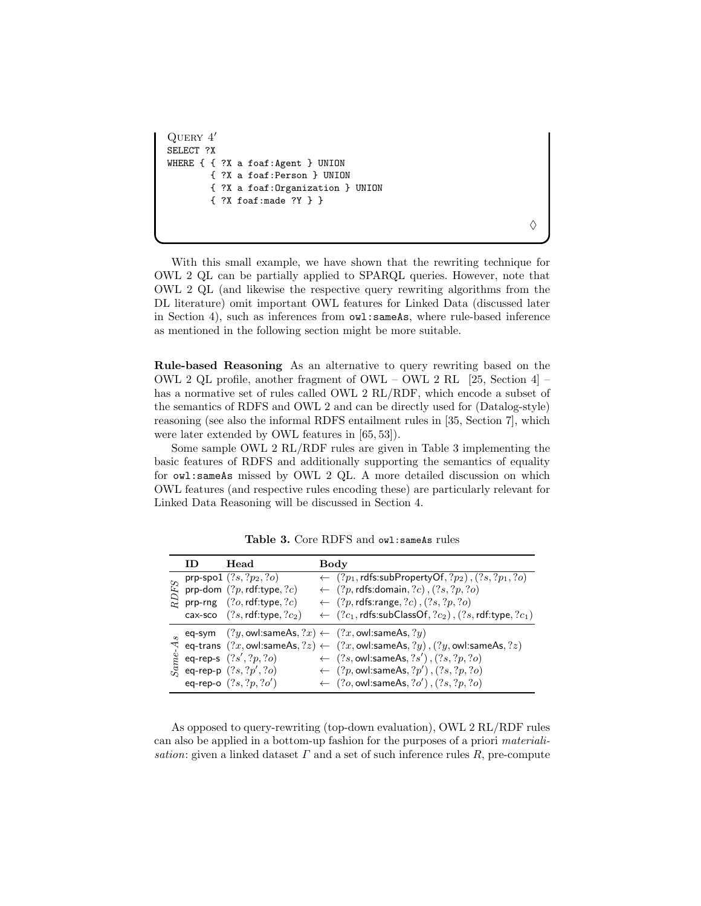```
QUERY 4'SELECT ?X
WHERE { { ?X a foaf:Agent } UNION
        { ?X a foaf:Person } UNION
        { ?X a foaf:Organization } UNION
        { ?X foaf:made ?Y } }
```
With this small example, we have shown that the rewriting technique for OWL 2 QL can be partially applied to SPARQL queries. However, note that OWL 2 QL (and likewise the respective query rewriting algorithms from the DL literature) omit important OWL features for Linked Data (discussed later in Section 4), such as inferences from owl:sameAs, where rule-based inference as mentioned in the following section might be more suitable.

♦

Rule-based Reasoning As an alternative to query rewriting based on the OWL 2 QL profile, another fragment of OWL – OWL 2 RL [25, Section 4] – has a normative set of rules called OWL 2 RL/RDF, which encode a subset of the semantics of RDFS and OWL 2 and can be directly used for (Datalog-style) reasoning (see also the informal RDFS entailment rules in [35, Section 7], which were later extended by OWL features in [65, 53]).

Some sample OWL 2 RL/RDF rules are given in Table 3 implementing the basic features of RDFS and additionally supporting the semantics of equality for owl:sameAs missed by OWL 2 QL. A more detailed discussion on which OWL features (and respective rules encoding these) are particularly relevant for Linked Data Reasoning will be discussed in Section 4.

| ID. | Head                                                                                                                                                                                                                          | Body                                                                                                                                                                                                                             |
|-----|-------------------------------------------------------------------------------------------------------------------------------------------------------------------------------------------------------------------------------|----------------------------------------------------------------------------------------------------------------------------------------------------------------------------------------------------------------------------------|
|     | prp-spo $1$ $(?\overline{s}, ?\overline{p_2}, ?\overline{o})$                                                                                                                                                                 | $\leftarrow$ $(?p_1, \text{rdfs:subPropertyOf}, ?p_2), (?s, ?p_1, ?o)$                                                                                                                                                           |
|     | $\sum_{i=1}^{\infty}$ prp-dom $(?p, rdf.type, ?c)$                                                                                                                                                                            | $\leftarrow$ (?p, rdfs:domain, ?c), (?s, ?p, ?o)                                                                                                                                                                                 |
|     | $\sum_{i=1}^{n}$ prp-rng $(?o,$ rdf:type, $?c)$                                                                                                                                                                               | $\leftarrow$ (?p, rdfs:range, ?c), (?s, ?p, ?o)                                                                                                                                                                                  |
|     | cax-sco $(?s, rdf:type, ?c2)$                                                                                                                                                                                                 | $\leftarrow$ (?c <sub>1</sub> , rdfs:subClassOf, ?c <sub>2</sub> ), (?s, rdf:type, ?c <sub>1</sub> )                                                                                                                             |
|     |                                                                                                                                                                                                                               | eq-sym $(?y, \text{owl:sameAs}, ?x) \leftarrow (?x, \text{owl:sameAs}, ?y)$<br>$\stackrel{\text{eq}}{\rightarrow}$ eq-trans $(?x, \text{owl:sameAs}, ?z) \leftarrow (?x, \text{owl:sameAs}, ?y)$ , $(?y, \text{owl:sameAs}, ?z)$ |
|     |                                                                                                                                                                                                                               |                                                                                                                                                                                                                                  |
|     | eq-rep-s $(?s', ?p, ?o)$                                                                                                                                                                                                      | $\leftarrow$ (?s, owl:sameAs, ?s'), (?s, ?p, ?o)                                                                                                                                                                                 |
|     | $\mathop{\stackrel{\smash{\stackrel{\smash{0}}{\scriptscriptstyle{\sim}}}}{\scriptscriptstyle{\sim}}} \mathop{\mathsf{eq-rep-s}}\nolimits\enspace(?s', ?p, ?o)$<br>$\mathop{\mathsf{eq-rep-p}}\nolimits\enspace(?s, ?p', ?o)$ | $\leftarrow$ (?p, owl:sameAs, ?p'), (?s, ?p, ?o)                                                                                                                                                                                 |
|     | eq-rep-o $(?s, ?p, ?o')$                                                                                                                                                                                                      | $\leftarrow$ (?o, owl:sameAs, ?o'), (?s, ?p, ?o)                                                                                                                                                                                 |

Table 3. Core RDFS and owl: sameAs rules

As opposed to query-rewriting (top-down evaluation), OWL 2 RL/RDF rules can also be applied in a bottom-up fashion for the purposes of a priori materialisation: given a linked dataset  $\Gamma$  and a set of such inference rules  $R$ , pre-compute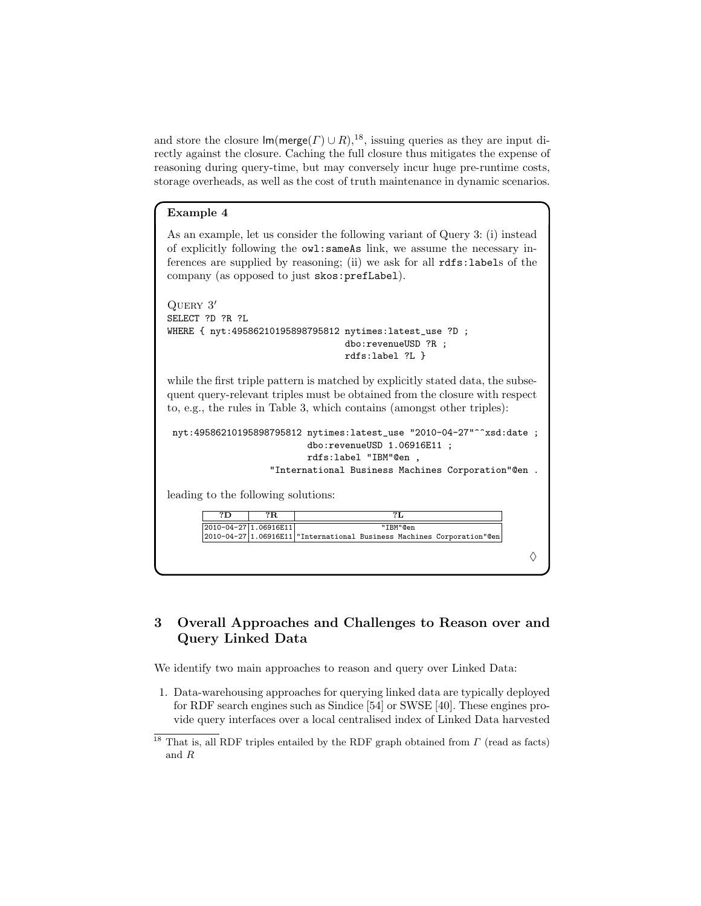and store the closure  $\textsf{Im}(\textsf{merge}(F) \cup R)$ ,<sup>18</sup>, issuing queries as they are input directly against the closure. Caching the full closure thus mitigates the expense of reasoning during query-time, but may conversely incur huge pre-runtime costs, storage overheads, as well as the cost of truth maintenance in dynamic scenarios.

# Example 4

As an example, let us consider the following variant of Query 3: (i) instead of explicitly following the owl:sameAs link, we assume the necessary inferences are supplied by reasoning; (ii) we ask for all rdfs:labels of the company (as opposed to just skos:prefLabel).

```
OUPRY 3'SELECT ?D ?R ?L
WHERE { nyt:49586210195898795812 nytimes:latest_use ?D ;
                                 dbo:revenueUSD ?R ;
                                 rdfs:label ?L }
```
while the first triple pattern is matched by explicitly stated data, the subsequent query-relevant triples must be obtained from the closure with respect to, e.g., the rules in Table 3, which contains (amongst other triples):

```
nyt:49586210195898795812 nytimes:latest_use "2010-04-27"^^xsd:date ;
                         dbo:revenueUSD 1.06916E11 ;
                         rdfs:label "IBM"@en ,
                  "International Business Machines Corporation"@en .
```
leading to the following solutions:



# 3 Overall Approaches and Challenges to Reason over and Query Linked Data

We identify two main approaches to reason and query over Linked Data:

1. Data-warehousing approaches for querying linked data are typically deployed for RDF search engines such as Sindice [54] or SWSE [40]. These engines provide query interfaces over a local centralised index of Linked Data harvested

<sup>&</sup>lt;sup>18</sup> That is, all RDF triples entailed by the RDF graph obtained from  $\Gamma$  (read as facts) and R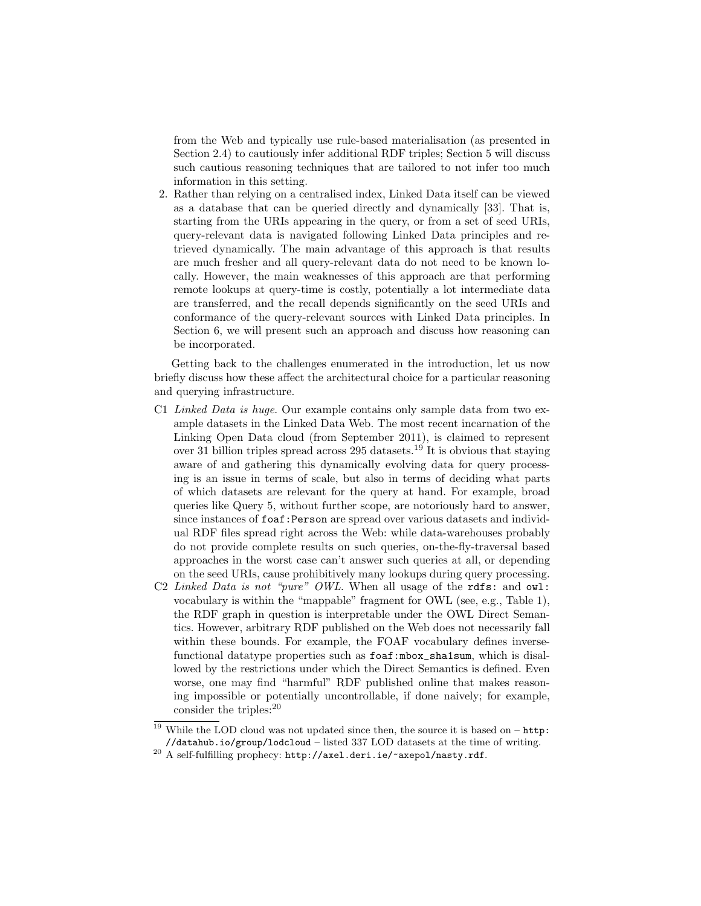from the Web and typically use rule-based materialisation (as presented in Section 2.4) to cautiously infer additional RDF triples; Section 5 will discuss such cautious reasoning techniques that are tailored to not infer too much information in this setting.

2. Rather than relying on a centralised index, Linked Data itself can be viewed as a database that can be queried directly and dynamically [33]. That is, starting from the URIs appearing in the query, or from a set of seed URIs, query-relevant data is navigated following Linked Data principles and retrieved dynamically. The main advantage of this approach is that results are much fresher and all query-relevant data do not need to be known locally. However, the main weaknesses of this approach are that performing remote lookups at query-time is costly, potentially a lot intermediate data are transferred, and the recall depends significantly on the seed URIs and conformance of the query-relevant sources with Linked Data principles. In Section 6, we will present such an approach and discuss how reasoning can be incorporated.

Getting back to the challenges enumerated in the introduction, let us now briefly discuss how these affect the architectural choice for a particular reasoning and querying infrastructure.

- C1 Linked Data is huge. Our example contains only sample data from two example datasets in the Linked Data Web. The most recent incarnation of the Linking Open Data cloud (from September 2011), is claimed to represent over 31 billion triples spread across 295 datasets.<sup>19</sup> It is obvious that staying aware of and gathering this dynamically evolving data for query processing is an issue in terms of scale, but also in terms of deciding what parts of which datasets are relevant for the query at hand. For example, broad queries like Query 5, without further scope, are notoriously hard to answer, since instances of foaf:Person are spread over various datasets and individual RDF files spread right across the Web: while data-warehouses probably do not provide complete results on such queries, on-the-fly-traversal based approaches in the worst case can't answer such queries at all, or depending on the seed URIs, cause prohibitively many lookups during query processing.
- C2 Linked Data is not "pure" OWL. When all usage of the rdfs: and owl: vocabulary is within the "mappable" fragment for OWL (see, e.g., Table 1), the RDF graph in question is interpretable under the OWL Direct Semantics. However, arbitrary RDF published on the Web does not necessarily fall within these bounds. For example, the FOAF vocabulary defines inversefunctional datatype properties such as foaf:mbox\_sha1sum, which is disallowed by the restrictions under which the Direct Semantics is defined. Even worse, one may find "harmful" RDF published online that makes reasoning impossible or potentially uncontrollable, if done naively; for example, consider the triples:<sup>20</sup>

<sup>19</sup> While the LOD cloud was not updated since then, the source it is based on – http: //datahub.io/group/lodcloud – listed 337 LOD datasets at the time of writing.

<sup>20</sup> A self-fulfilling prophecy: http://axel.deri.ie/~axepol/nasty.rdf.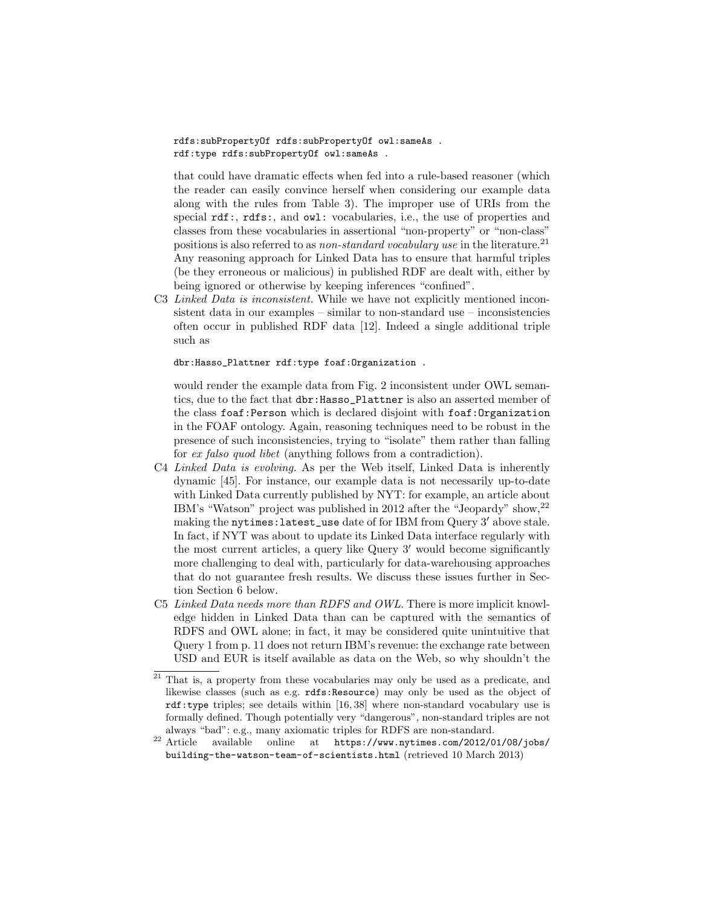rdfs:subPropertyOf rdfs:subPropertyOf owl:sameAs . rdf:type rdfs:subPropertyOf owl:sameAs .

that could have dramatic effects when fed into a rule-based reasoner (which the reader can easily convince herself when considering our example data along with the rules from Table 3). The improper use of URIs from the special rdf:, rdfs:, and owl: vocabularies, i.e., the use of properties and classes from these vocabularies in assertional "non-property" or "non-class" positions is also referred to as *non-standard vocabulary use* in the literature.<sup>21</sup> Any reasoning approach for Linked Data has to ensure that harmful triples (be they erroneous or malicious) in published RDF are dealt with, either by being ignored or otherwise by keeping inferences "confined".

C3 Linked Data is inconsistent. While we have not explicitly mentioned inconsistent data in our examples – similar to non-standard use – inconsistencies often occur in published RDF data [12]. Indeed a single additional triple such as

#### dbr:Hasso\_Plattner rdf:type foaf:Organization .

would render the example data from Fig. 2 inconsistent under OWL semantics, due to the fact that dbr:Hasso\_Plattner is also an asserted member of the class foaf: Person which is declared disjoint with foaf: Organization in the FOAF ontology. Again, reasoning techniques need to be robust in the presence of such inconsistencies, trying to "isolate" them rather than falling for ex falso quod libet (anything follows from a contradiction).

- C4 Linked Data is evolving. As per the Web itself, Linked Data is inherently dynamic [45]. For instance, our example data is not necessarily up-to-date with Linked Data currently published by NYT: for example, an article about IBM's "Watson" project was published in 2012 after the "Jeopardy" show,<sup>22</sup> making the nytimes: latest\_use date of for IBM from Query 3' above stale. In fact, if NYT was about to update its Linked Data interface regularly with the most current articles, a query like Query  $3'$  would become significantly more challenging to deal with, particularly for data-warehousing approaches that do not guarantee fresh results. We discuss these issues further in Section Section 6 below.
- C5 Linked Data needs more than RDFS and OWL. There is more implicit knowledge hidden in Linked Data than can be captured with the semantics of RDFS and OWL alone; in fact, it may be considered quite unintuitive that Query 1 from p. 11 does not return IBM's revenue: the exchange rate between USD and EUR is itself available as data on the Web, so why shouldn't the

<sup>&</sup>lt;sup>21</sup> That is, a property from these vocabularies may only be used as a predicate, and likewise classes (such as e.g. rdfs:Resource) may only be used as the object of rdf:type triples; see details within [16, 38] where non-standard vocabulary use is formally defined. Though potentially very "dangerous", non-standard triples are not always "bad": e.g., many axiomatic triples for RDFS are non-standard.

<sup>22</sup> Article available online at https://www.nytimes.com/2012/01/08/jobs/ building-the-watson-team-of-scientists.html (retrieved 10 March 2013)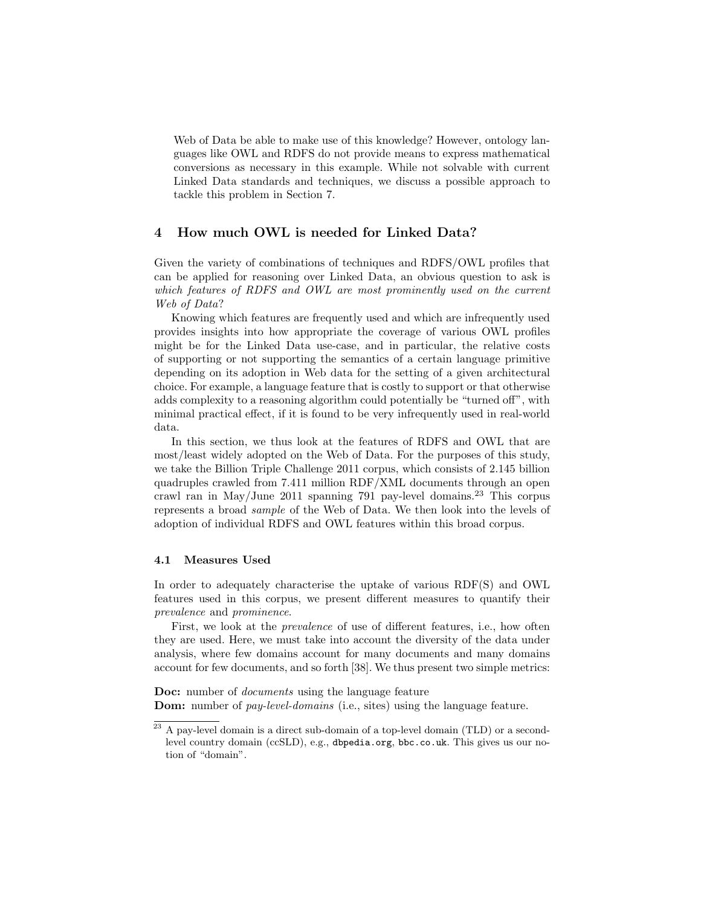Web of Data be able to make use of this knowledge? However, ontology languages like OWL and RDFS do not provide means to express mathematical conversions as necessary in this example. While not solvable with current Linked Data standards and techniques, we discuss a possible approach to tackle this problem in Section 7.

# 4 How much OWL is needed for Linked Data?

Given the variety of combinations of techniques and RDFS/OWL profiles that can be applied for reasoning over Linked Data, an obvious question to ask is which features of RDFS and OWL are most prominently used on the current Web of Data?

Knowing which features are frequently used and which are infrequently used provides insights into how appropriate the coverage of various OWL profiles might be for the Linked Data use-case, and in particular, the relative costs of supporting or not supporting the semantics of a certain language primitive depending on its adoption in Web data for the setting of a given architectural choice. For example, a language feature that is costly to support or that otherwise adds complexity to a reasoning algorithm could potentially be "turned off", with minimal practical effect, if it is found to be very infrequently used in real-world data.

In this section, we thus look at the features of RDFS and OWL that are most/least widely adopted on the Web of Data. For the purposes of this study, we take the Billion Triple Challenge 2011 corpus, which consists of 2.145 billion quadruples crawled from 7.411 million RDF/XML documents through an open crawl ran in May/June 2011 spanning 791 pay-level domains.<sup>23</sup> This corpus represents a broad sample of the Web of Data. We then look into the levels of adoption of individual RDFS and OWL features within this broad corpus.

## 4.1 Measures Used

In order to adequately characterise the uptake of various RDF(S) and OWL features used in this corpus, we present different measures to quantify their prevalence and prominence.

First, we look at the prevalence of use of different features, i.e., how often they are used. Here, we must take into account the diversity of the data under analysis, where few domains account for many documents and many domains account for few documents, and so forth [38]. We thus present two simple metrics:

Doc: number of *documents* using the language feature Dom: number of pay-level-domains (i.e., sites) using the language feature.

<sup>&</sup>lt;sup>23</sup> A pay-level domain is a direct sub-domain of a top-level domain (TLD) or a secondlevel country domain (ccSLD), e.g., dbpedia.org, bbc.co.uk. This gives us our notion of "domain".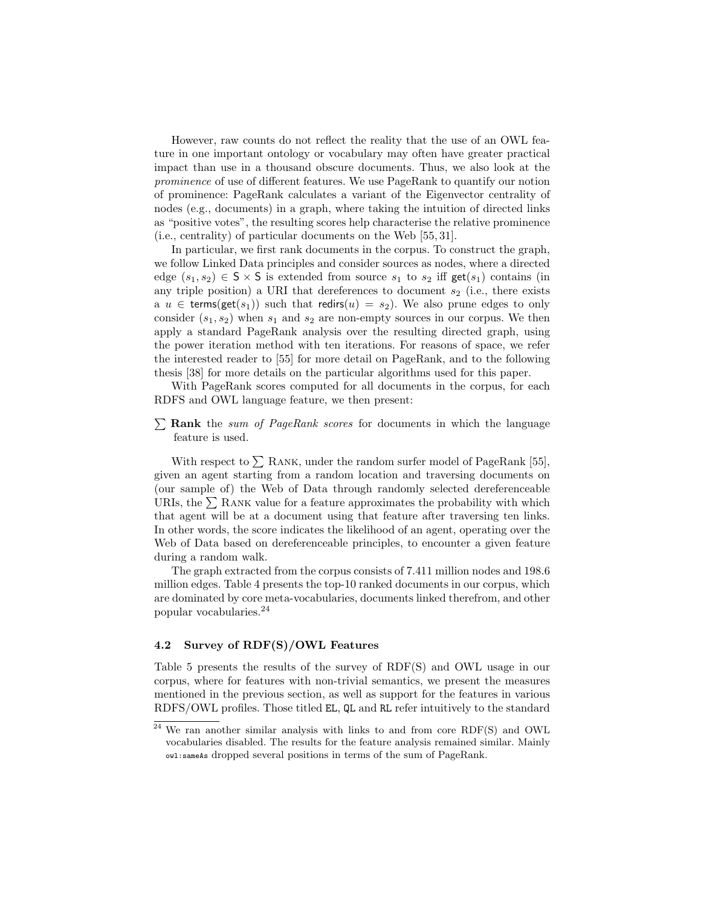However, raw counts do not reflect the reality that the use of an OWL feature in one important ontology or vocabulary may often have greater practical impact than use in a thousand obscure documents. Thus, we also look at the prominence of use of different features. We use PageRank to quantify our notion of prominence: PageRank calculates a variant of the Eigenvector centrality of nodes (e.g., documents) in a graph, where taking the intuition of directed links as "positive votes", the resulting scores help characterise the relative prominence (i.e., centrality) of particular documents on the Web [55, 31].

In particular, we first rank documents in the corpus. To construct the graph, we follow Linked Data principles and consider sources as nodes, where a directed edge  $(s_1, s_2) \in S \times S$  is extended from source  $s_1$  to  $s_2$  iff  $\text{get}(s_1)$  contains (in any triple position) a URI that dereferences to document  $s_2$  (i.e., there exists a  $u \in \text{terms}(\text{get}(s_1))$  such that redirs( $u = s_2$ ). We also prune edges to only consider  $(s_1, s_2)$  when  $s_1$  and  $s_2$  are non-empty sources in our corpus. We then apply a standard PageRank analysis over the resulting directed graph, using the power iteration method with ten iterations. For reasons of space, we refer the interested reader to [55] for more detail on PageRank, and to the following thesis [38] for more details on the particular algorithms used for this paper.

With PageRank scores computed for all documents in the corpus, for each RDFS and OWL language feature, we then present:

 $\sum$  Rank the sum of PageRank scores for documents in which the language feature is used.

With respect to  $\sum$  RANK, under the random surfer model of PageRank [55], given an agent starting from a random location and traversing documents on (our sample of) the Web of Data through randomly selected dereferenceable URIs, the  $\Sigma$  RANK value for a feature approximates the probability with which that agent will be at a document using that feature after traversing ten links. In other words, the score indicates the likelihood of an agent, operating over the Web of Data based on dereferenceable principles, to encounter a given feature during a random walk.

The graph extracted from the corpus consists of 7.411 million nodes and 198.6 million edges. Table 4 presents the top-10 ranked documents in our corpus, which are dominated by core meta-vocabularies, documents linked therefrom, and other popular vocabularies.<sup>24</sup>

## 4.2 Survey of RDF(S)/OWL Features

Table 5 presents the results of the survey of RDF(S) and OWL usage in our corpus, where for features with non-trivial semantics, we present the measures mentioned in the previous section, as well as support for the features in various RDFS/OWL profiles. Those titled EL, QL and RL refer intuitively to the standard

<sup>24</sup> We ran another similar analysis with links to and from core RDF(S) and OWL vocabularies disabled. The results for the feature analysis remained similar. Mainly owl:sameAs dropped several positions in terms of the sum of PageRank.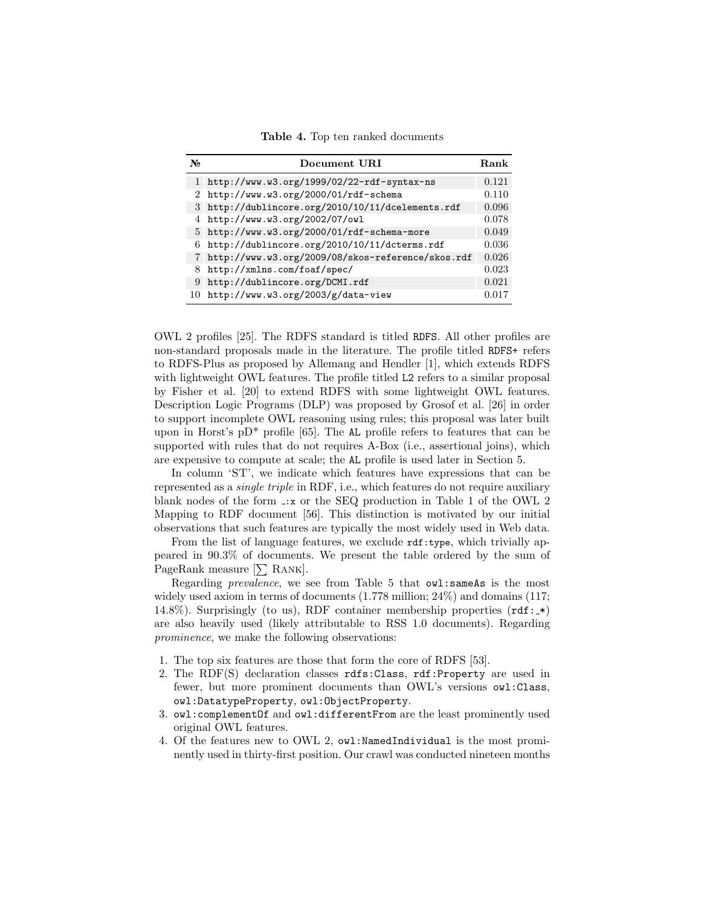Table 4. Top ten ranked documents

| N2             | Document URI                                      | Rank  |
|----------------|---------------------------------------------------|-------|
|                | 1 http://www.w3.org/1999/02/22-rdf-syntax-ns      | 0.121 |
|                | 2 http://www.w3.org/2000/01/rdf-schema            | 0.110 |
|                | 3 http://dublincore.org/2010/10/11/dcelements.rdf | 0.096 |
|                | 4 http://www.w3.org/2002/07/owl                   | 0.078 |
|                | 5 http://www.w3.org/2000/01/rdf-schema-more       | 0.049 |
| 6              | http://dublincore.org/2010/10/11/dcterms.rdf      | 0.036 |
| $\overline{7}$ | http://www.w3.org/2009/08/skos-reference/skos.rdf | 0.026 |
| 8              | http://xmlns.com/foaf/spec/                       | 0.023 |
|                | 9 http://dublincore.org/DCMI.rdf                  | 0.021 |
| 10             | http://www.w3.org/2003/g/data-view                | 0.017 |

OWL 2 profiles [25]. The RDFS standard is titled RDFS. All other profiles are non-standard proposals made in the literature. The profile titled RDFS+ refers to RDFS-Plus as proposed by Allemang and Hendler [1], which extends RDFS with lightweight OWL features. The profile titled L2 refers to a similar proposal by Fisher et al. [20] to extend RDFS with some lightweight OWL features. Description Logic Programs (DLP) was proposed by Grosof et al. [26] in order to support incomplete OWL reasoning using rules; this proposal was later built upon in Horst's  $pD^*$  profile [65]. The AL profile refers to features that can be supported with rules that do not requires A-Box (i.e., assertional joins), which are expensive to compute at scale; the AL profile is used later in Section 5.

In column 'ST', we indicate which features have expressions that can be represented as a single triple in RDF, i.e., which features do not require auxiliary blank nodes of the form  $\exists x$  or the SEQ production in Table 1 of the OWL 2 Mapping to RDF document [56]. This distinction is motivated by our initial observations that such features are typically the most widely used in Web data.

From the list of language features, we exclude rdf:type, which trivially appeared in 90.3% of documents. We present the table ordered by the sum of PageRank measure  $[\sum RANK]$ .

Regarding prevalence, we see from Table 5 that owl:sameAs is the most widely used axiom in terms of documents (1.778 million; 24%) and domains (117; 14.8%). Surprisingly (to us), RDF container membership properties  $(\text{rdf}:*)$ are also heavily used (likely attributable to RSS 1.0 documents). Regarding prominence, we make the following observations:

- 1. The top six features are those that form the core of RDFS [53].
- 2. The RDF(S) declaration classes rdfs:Class, rdf:Property are used in fewer, but more prominent documents than OWL's versions owl:Class, owl:DatatypeProperty, owl:ObjectProperty.
- 3. owl:complementOf and owl:differentFrom are the least prominently used original OWL features.
- 4. Of the features new to OWL 2, owl:NamedIndividual is the most prominently used in thirty-first position. Our crawl was conducted nineteen months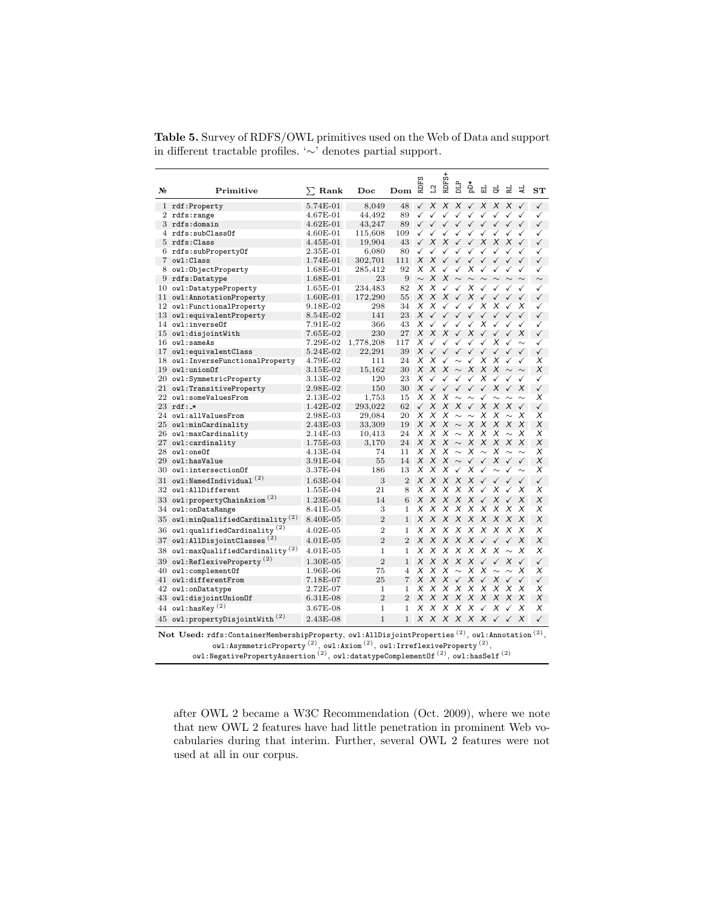Table 5. Survey of RDFS/OWL primitives used on the Web of Data and support in different tractable profiles. '∼' denotes partial support.

| Nº. | Primitive                                                                                                                                                                                                                                                                                                                                                                  | $\Sigma$ Rank              | Doc            | Dom            | <b>RDFS</b>  | $\overline{\mathfrak{c}}$ | RDFS+                           | DLP          |                                                                            |              |                                            |                  |              | ST           |
|-----|----------------------------------------------------------------------------------------------------------------------------------------------------------------------------------------------------------------------------------------------------------------------------------------------------------------------------------------------------------------------------|----------------------------|----------------|----------------|--------------|---------------------------|---------------------------------|--------------|----------------------------------------------------------------------------|--------------|--------------------------------------------|------------------|--------------|--------------|
|     | 1 rdf:Property                                                                                                                                                                                                                                                                                                                                                             | 5.74E-01                   | 8,049          | 48             | $\checkmark$ |                           |                                 |              | $X$ $X$ $X$ $Y$                                                            |              | $X$ $X$ $X$                                |                  | $\checkmark$ | ✓            |
|     | $2$ rdfs:range                                                                                                                                                                                                                                                                                                                                                             | $4.67E-01$                 | 44,492         | 89             | ✓            | $\checkmark$              | $\checkmark$                    | $\checkmark$ | $\checkmark$                                                               | $\checkmark$ | $\checkmark$                               | ✓                | ✓            | ✓            |
|     | $3$ rdfs: domain                                                                                                                                                                                                                                                                                                                                                           | $4.62E-01$                 | 43,247         | 89             | ✓            | $\checkmark$              | $\checkmark$                    | $\checkmark$ | $\checkmark$                                                               | $\checkmark$ | $\checkmark$                               |                  |              | ✓            |
|     | $4$ $rdfs:subClassOf$                                                                                                                                                                                                                                                                                                                                                      | $4.60E-01$                 | 115,608        | 109            | ✓            | $\checkmark$              | ✓                               | $\checkmark$ | $\checkmark$                                                               | ✓            | $\checkmark$                               | $\checkmark$     |              | ✓            |
|     | $5$ $rdfs:Class$                                                                                                                                                                                                                                                                                                                                                           | 4.45E-01                   | 19,904         | 43             | ✓            | X                         | X                               | $\checkmark$ | ✓                                                                          | X            | $\boldsymbol{X}$                           | X                |              | ✓            |
|     | $6$ rdfs:subPropertyOf                                                                                                                                                                                                                                                                                                                                                     | $2.35\mathrm{E}\text{-}01$ | 6,080          | 80             | $\checkmark$ | ✓                         | $\checkmark$                    | $\checkmark$ | $\checkmark$                                                               | $\checkmark$ | $\checkmark$                               |                  |              | ✓            |
|     | 7 owl:Class                                                                                                                                                                                                                                                                                                                                                                | 1.74E-01                   | 302,701        | 111            | X            | X                         | $\checkmark$                    | $\checkmark$ | $\checkmark$                                                               | ✓            | $\checkmark$                               | ✓                |              | ✓            |
|     | 8 owl:ObjectProperty                                                                                                                                                                                                                                                                                                                                                       | $1.68E-01$                 | 285,412        | 92             | X            | X                         |                                 | ✓            | X                                                                          |              |                                            |                  |              | ✓            |
|     | 9 rdfs:Datatype                                                                                                                                                                                                                                                                                                                                                            | 1.68E-01                   | 23             | 9              | $\sim$       | $\chi$                    | $\boldsymbol{X}$                | $\sim$       | $\sim$                                                                     | $\sim$       | $\sim$                                     | $\sim$           |              | $\sim$       |
|     | 10 owl:DatatypeProperty                                                                                                                                                                                                                                                                                                                                                    | $1.65E-01$                 | 234,483        | 82             | Χ            |                           | $X \checkmark$                  |              | $\checkmark$ X $\checkmark$                                                |              | $\checkmark$                               |                  |              | ✓            |
|     | 11 owl:AnnotationProperty                                                                                                                                                                                                                                                                                                                                                  | 1.60E-01                   | 172,290        | 55             |              |                           |                                 |              | $X$ $X$ $X$ $\checkmark$ $X$ $\checkmark$                                  |              | $\checkmark$                               |                  |              | ✓            |
|     | 12 owl:FunctionalProperty                                                                                                                                                                                                                                                                                                                                                  | $9.18E-02$                 | 298            | 34             | Х            | X                         | $\checkmark$                    | $\checkmark$ | ✓                                                                          | X            | X                                          |                  |              | ✓            |
|     | 13 owl:equivalentProperty                                                                                                                                                                                                                                                                                                                                                  | 8.54E-02                   | 141            | 23             | X            | $\checkmark$              | $\checkmark$                    | $\checkmark$ | $\checkmark$                                                               | $\checkmark$ | $\checkmark$                               |                  |              | ✓            |
|     | 14 owl:inverseOf                                                                                                                                                                                                                                                                                                                                                           | 7.91E-02                   | 366            | 43             |              |                           | $X \; \checkmark \; \checkmark$ | $\checkmark$ |                                                                            |              | $\checkmark$ $X$ $\checkmark$ $\checkmark$ |                  | ✓            | ✓            |
|     | 15 owl:disjointWith                                                                                                                                                                                                                                                                                                                                                        | 7.65E-02                   | 230            | 27             |              |                           | $X$ $X$ $X$ $\checkmark$        |              | X                                                                          | $\checkmark$ | $\checkmark$                               | ✓                | X            | ✓            |
|     | 16 owl:sameAs                                                                                                                                                                                                                                                                                                                                                              | 7.29E-02                   | 1,778,208      | 117            | X.           | $\checkmark$              | $\checkmark$                    | $\checkmark$ | $\checkmark$                                                               | $\checkmark$ | X.                                         | $\checkmark$     |              | ✓            |
|     | 17 owl:equivalentClass                                                                                                                                                                                                                                                                                                                                                     | 5.24E-02                   | 22,291         | 39             | X            | $\checkmark$              | $\checkmark$                    |              | $\checkmark$                                                               | $\checkmark$ | $\checkmark$                               |                  |              | $\checkmark$ |
|     | 18 owl:InverseFunctionalProperty                                                                                                                                                                                                                                                                                                                                           | 4.79E-02                   | 111            | 24             | Х            | $\boldsymbol{X}$          | $\checkmark$                    | $\sim$       | $\checkmark$                                                               | X            | $\boldsymbol{\mathsf{X}}$                  |                  |              | Х            |
|     | 19 owl:unionOf                                                                                                                                                                                                                                                                                                                                                             | 3.15E-02                   | 15,162         | 30             | $\chi$       |                           |                                 |              | $X$ $X \sim$ $X$ $X$ $X \sim$                                              |              |                                            |                  | $\sim$       | X            |
|     | 20 owl:SymmetricProperty                                                                                                                                                                                                                                                                                                                                                   | 3.13E-02                   | 120            | 23             | $\chi$       | $\checkmark$              |                                 |              | $\checkmark$ $\checkmark$ $\checkmark$                                     |              | $X \checkmark$                             |                  |              | ✓            |
|     | 21 owl:TransitiveProperty                                                                                                                                                                                                                                                                                                                                                  | $2.98E-02$                 | 150            | 30             | $\chi$       | $\checkmark$              | $\checkmark$                    | $\checkmark$ | $\checkmark$                                                               | $\checkmark$ |                                            | $X \checkmark$   | X            | ✓            |
|     | 22 owl:someValuesFrom                                                                                                                                                                                                                                                                                                                                                      | $2.13E-02$                 | 1,753          | 15             |              |                           | x x x                           | $\sim$       | $\sim$                                                                     | ✓            | $\sim$                                     |                  |              | Х            |
|     | $23$ rdf: $*$                                                                                                                                                                                                                                                                                                                                                              | 1.42E-02                   | 293,022        | 62             | $\checkmark$ | X                         | $\chi$                          | X            | $\checkmark$                                                               | X            | X                                          | X                |              | $\checkmark$ |
|     | 24 owl:allValuesFrom                                                                                                                                                                                                                                                                                                                                                       | $2.98E-03$                 | 29,084         | 20             |              |                           |                                 |              | $X$ $X$ $X$ $\sim$ $\sim$                                                  |              | $X \times \sim$                            |                  | X            | Х            |
|     | 25 owl:minCardinality                                                                                                                                                                                                                                                                                                                                                      | 2.43E-03                   | 33,309         | 19             |              | $X \ X$                   |                                 |              | $X \sim X X X$                                                             |              |                                            |                  | $X$ X        | X            |
|     | 26 owl:maxCardinality                                                                                                                                                                                                                                                                                                                                                      | 2.14E-03                   | 10,413         | 24             | X            | X                         |                                 | $X \sim X$   |                                                                            | $\times$     | X                                          | $\sim$           | X            | X            |
|     | 27 owl: cardinality                                                                                                                                                                                                                                                                                                                                                        | 1.75E-03                   | 3,170          | 24             |              |                           |                                 |              | $X$ $X$ $X$ $\sim$ $X$ $X$ $X$ $X$ $X$                                     |              |                                            |                  |              | X            |
|     | 28 owl:oneOf                                                                                                                                                                                                                                                                                                                                                               | 4.13E-04                   | 74             | 11             |              |                           |                                 |              | $X$ $X$ $X$ $\sim$ $X$ $\sim$ $X$ $\sim$                                   |              |                                            |                  |              | X            |
|     | 29 owl:hasValue                                                                                                                                                                                                                                                                                                                                                            | 3.91E-04                   | 55             | 14             |              |                           |                                 |              | $X$ $X$ $X$ $\sim$ $\checkmark$ $\checkmark$ $X$ $\checkmark$ $\checkmark$ |              |                                            |                  |              | X            |
|     | 30 owl:intersectionOf                                                                                                                                                                                                                                                                                                                                                      | 3.37E-04                   | 186            | 13             | Χ            | X                         | X                               | $\checkmark$ | Х                                                                          |              | $\sim$                                     |                  |              | Х            |
|     | 31 owl:NamedIndividual $^{(2)}$                                                                                                                                                                                                                                                                                                                                            | 1.63E-04                   | 3              | $\overline{2}$ |              |                           |                                 |              | $X$ $X$ $X$ $X$ $Y$ $Y$ $Y$                                                |              |                                            |                  |              | ✓            |
|     | 32 owl:AllDifferent                                                                                                                                                                                                                                                                                                                                                        | 1.55E-04                   | 21             | 8              | X            | X                         | X                               | X            | $\boldsymbol{\mathsf{X}}$                                                  | $\checkmark$ | X                                          |                  | X            | X            |
|     | 33 owl: propertyChainAxiom <sup>(2)</sup>                                                                                                                                                                                                                                                                                                                                  | 1.23E-04                   | 14             | 6              |              |                           |                                 |              | $X$ $X$ $X$ $X$ $X$ $Y$ $X$ $Y$                                            |              |                                            |                  | X            | X            |
|     | 34 owl:onDataRange                                                                                                                                                                                                                                                                                                                                                         | $8.41E-05$                 | 3              | 1              | X            | X                         |                                 |              | $X$ $X$ $X$ $X$                                                            |              | X                                          | $\boldsymbol{X}$ | $\times$     | X            |
|     | 35 owl:minQualifiedCardinality <sup>(2)</sup>                                                                                                                                                                                                                                                                                                                              | 8.40E-05                   | $\overline{2}$ | $\mathbf{1}$   |              |                           |                                 |              | x x x x x x x x x                                                          |              |                                            |                  |              | X            |
|     | 36 owl:qualifiedCardinality <sup>(2)</sup>                                                                                                                                                                                                                                                                                                                                 | $4.02E-05$                 | $\overline{2}$ | 1              | X            |                           | $X$ $X$ $X$ $X$                 |              |                                                                            |              | $X$ $X$ $X$ $X$                            |                  |              | X            |
|     |                                                                                                                                                                                                                                                                                                                                                                            |                            |                |                |              |                           |                                 |              |                                                                            |              |                                            |                  |              |              |
|     | 37 owl:AllDisjointClasses <sup>(2)</sup>                                                                                                                                                                                                                                                                                                                                   | $4.01E-05$                 | $\overline{2}$ | $\overline{2}$ | X            | $\boldsymbol{X}$          | $\boldsymbol{X}$                | $\chi$       | $\boldsymbol{X}$                                                           |              | $\checkmark$ $\checkmark$ $\checkmark$     |                  | $\times$     | X            |
|     | 38 owl:maxQualifiedCardinality <sup>(2)</sup>                                                                                                                                                                                                                                                                                                                              | $4.01E-05$                 | 1              | 1              | X            | X                         | $\boldsymbol{X}$                |              | X X                                                                        | X            | $X~\sim$                                   |                  | X            | Х            |
|     | 39 owl:ReflexiveProperty <sup>(2)</sup>                                                                                                                                                                                                                                                                                                                                    | 1.30E-05                   | $\overline{2}$ | $\mathbf 1$    |              | XX                        |                                 | $X$ $X$ $X$  |                                                                            |              | $\checkmark$ $\checkmark$ $\checkmark$     |                  | $\checkmark$ | ✓            |
|     | 40 owl:complementOf                                                                                                                                                                                                                                                                                                                                                        | $1.96E-06$                 | 75             | 4              | X            | X                         | X                               | $\sim$       | $\boldsymbol{X}$                                                           | X            | $\sim$                                     | $\sim$           |              | Х            |
|     | 41 owl:differentFrom                                                                                                                                                                                                                                                                                                                                                       | 7.18E-07                   | 25             | $\overline{7}$ | X            | $\boldsymbol{X}$          |                                 |              | $X \lor X \lor$                                                            |              | X                                          | $\checkmark$     | $\checkmark$ | ✓            |
|     | 42 owl:onDatatype                                                                                                                                                                                                                                                                                                                                                          | 2.72E-07                   | 1              | 1              | X            |                           |                                 |              | $X$ $X$ $X$ $X$                                                            |              | $X$ $X$                                    | X                | X            | Х            |
|     | 43 owl:disjointUnionOf                                                                                                                                                                                                                                                                                                                                                     | 6.31E-08                   | $\overline{2}$ | $\overline{2}$ |              | $X \times X$              |                                 |              | <i>x x x x x x x</i>                                                       |              |                                            |                  |              | X            |
|     | 44 owl:hasKey $^{(2)}$                                                                                                                                                                                                                                                                                                                                                     | $3.67E-08$                 | 1              | 1              |              |                           |                                 |              | x x x x x √ x √                                                            |              |                                            |                  | X            | X            |
|     | 45 owl: propertyDisjointWith <sup>(2)</sup>                                                                                                                                                                                                                                                                                                                                | 2.43E-08                   | $\mathbf{1}$   | $\mathbf{1}$   |              |                           |                                 |              | <i>x x x x x x √ √ x</i>                                                   |              |                                            |                  |              | $\checkmark$ |
|     | Not Used: rdfs:ContainerMembershipProperty, owl:AllDisjointProperties <sup>(2)</sup> , owl:Annotation <sup>(2)</sup> ,<br>$\texttt{owl:AsymmetricProperty} \,^{(2)}, \, \texttt{owl:Axiom} \,^{(2)}, \, \texttt{owl:IrreflexiveProperty} \,^{(2)},$<br>owl:NegativePropertyAssertion <sup>(2)</sup> , owl:datatypeComplementOf <sup>(2)</sup> , owl:hasSelf <sup>(2)</sup> |                            |                |                |              |                           |                                 |              |                                                                            |              |                                            |                  |              |              |

after OWL 2 became a W3C Recommendation (Oct. 2009), where we note that new OWL 2 features have had little penetration in prominent Web vocabularies during that interim. Further, several OWL 2 features were not used at all in our corpus.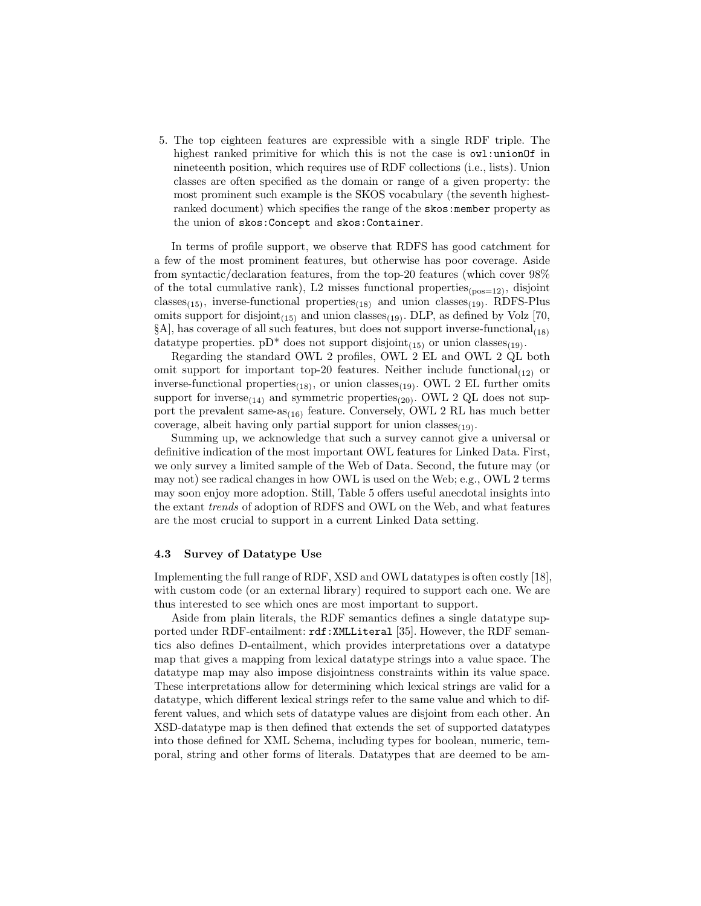5. The top eighteen features are expressible with a single RDF triple. The highest ranked primitive for which this is not the case is  $\text{owl:unionOf}$  in nineteenth position, which requires use of RDF collections (i.e., lists). Union classes are often specified as the domain or range of a given property: the most prominent such example is the SKOS vocabulary (the seventh highestranked document) which specifies the range of the skos: member property as the union of skos:Concept and skos:Container.

In terms of profile support, we observe that RDFS has good catchment for a few of the most prominent features, but otherwise has poor coverage. Aside from syntactic/declaration features, from the top-20 features (which cover 98% of the total cumulative rank), L2 misses functional properties<sub>(pos=12)</sub>, disjoint classes<sub>(15)</sub>, inverse-functional properties<sub>(18)</sub> and union classes<sub>(19)</sub>. RDFS-Plus omits support for disjoint<sub>(15)</sub> and union classes<sub>(19)</sub>. DLP, as defined by Volz [70,  $\S$ A], has coverage of all such features, but does not support inverse-functional<sub>(18)</sub> datatype properties.  $pD^*$  does not support disjoint<sub>(15)</sub> or union classes<sub>(19)</sub>.

Regarding the standard OWL 2 profiles, OWL 2 EL and OWL 2 QL both omit support for important top-20 features. Neither include functional $_{(12)}$  or inverse-functional properties<sub>(18)</sub>, or union classes<sub>(19)</sub>. OWL 2 EL further omits support for inverse<sub>(14)</sub> and symmetric properties<sub>(20)</sub>. OWL 2 QL does not support the prevalent same- $as_{(16)}$  feature. Conversely, OWL 2 RL has much better coverage, albeit having only partial support for union classes<sub>(19)</sub>.

Summing up, we acknowledge that such a survey cannot give a universal or definitive indication of the most important OWL features for Linked Data. First, we only survey a limited sample of the Web of Data. Second, the future may (or may not) see radical changes in how OWL is used on the Web; e.g., OWL 2 terms may soon enjoy more adoption. Still, Table 5 offers useful anecdotal insights into the extant trends of adoption of RDFS and OWL on the Web, and what features are the most crucial to support in a current Linked Data setting.

## 4.3 Survey of Datatype Use

Implementing the full range of RDF, XSD and OWL datatypes is often costly [18], with custom code (or an external library) required to support each one. We are thus interested to see which ones are most important to support.

Aside from plain literals, the RDF semantics defines a single datatype supported under RDF-entailment: rdf:XMLLiteral [35]. However, the RDF semantics also defines D-entailment, which provides interpretations over a datatype map that gives a mapping from lexical datatype strings into a value space. The datatype map may also impose disjointness constraints within its value space. These interpretations allow for determining which lexical strings are valid for a datatype, which different lexical strings refer to the same value and which to different values, and which sets of datatype values are disjoint from each other. An XSD-datatype map is then defined that extends the set of supported datatypes into those defined for XML Schema, including types for boolean, numeric, temporal, string and other forms of literals. Datatypes that are deemed to be am-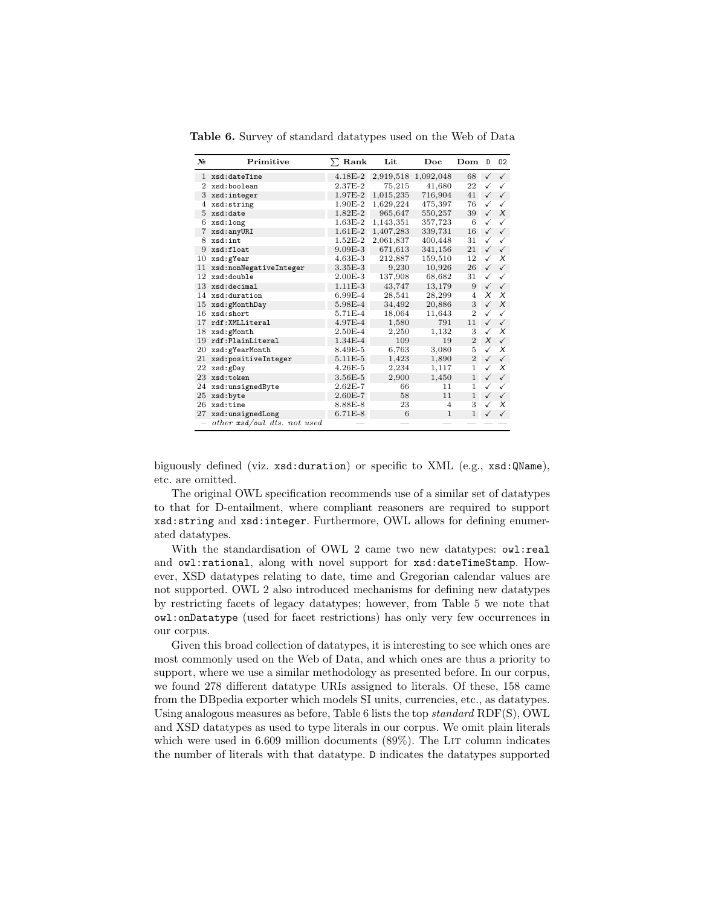| N.                       | Primitive                   | $\Sigma$ Rank | Lit       | Doc            | Dom            | D            | 02                        |
|--------------------------|-----------------------------|---------------|-----------|----------------|----------------|--------------|---------------------------|
| $\mathbf{1}$             | xsd:dateTime                | $4.18E - 2$   | 2,919,518 | 1,092,048      | 68             | $\checkmark$ | $\checkmark$              |
|                          | 2 xsd:boolean               | 2.37E-2       | 75,215    | 41,680         | 22             | ✓            | ✓                         |
|                          | xsd: integer                | 1.97E-2       | 1,015,235 | 716,904        | 41             | $\checkmark$ | $\checkmark$              |
| 4                        | xsd:string                  | 1.90E-2       | 1,629,224 | 475,397        | 76             | ✓            | ✓                         |
| 5.                       | xsd:date                    | 1.82E-2       | 965,647   | 550,257        | 39             | $\checkmark$ | $\chi$                    |
| 6                        | xsd:long                    | $1.63E-2$     | 1,143,351 | 357,723        | 6              | ✓            | ✓                         |
| 7                        | xsd:anyURI                  | $1.61E-2$     | 1,407,283 | 339,731        | 16             | $\checkmark$ | $\checkmark$              |
| 8                        | xsd:int                     | $1.52E-2$     | 2,061,837 | 400,448        | 31             | ✓            | ✓                         |
| 9                        | xsd:float                   | $9.09E-3$     | 671,613   | 341,156        | 21             | $\checkmark$ | $\checkmark$              |
| 10                       | xsd:gYear                   | $4.63E - 3$   | 212,887   | 159,510        | 12             | ✓            | X                         |
| 11                       | xsd:nonNegativeInteger      | $3.35E-3$     | 9,230     | 10.926         | 26             | ✓            | $\checkmark$              |
| 12                       | xsd:double                  | $2.00E - 3$   | 137,908   | 68,682         | 31             | ✓            | ✓                         |
| 13                       | xsd:decimal                 | $1.11E-3$     | 43,747    | 13,179         | 9              | $\checkmark$ | $\checkmark$              |
|                          | 14 xsd:duration             | $6.99E-4$     | 28,541    | 28,299         | $\overline{4}$ | X            | X                         |
| 15                       | xsd:gMonthDay               | 5.98E-4       | 34,492    | 20,886         | 3              | $\checkmark$ | $\boldsymbol{\mathsf{x}}$ |
| 16                       | xsd:short                   | 5.71E-4       | 18,064    | 11,643         | $\overline{2}$ | ✓            | $\checkmark$              |
| 17                       | rdf:XMLLiteral              | 4.97E-4       | 1,580     | 791            | 11             | $\checkmark$ | $\checkmark$              |
| 18                       | xsd:gMonth                  | 2.50E-4       | 2,250     | 1.132          | 3              | $\checkmark$ | X                         |
| 19                       | rdf:PlainLiteral            | 1.34E-4       | 109       | 19             | 2              | X            | $\checkmark$              |
| 20                       | xsd:gYearMonth              | 8.49E-5       | 6,763     | 3.080          | 5              | $\checkmark$ | X                         |
| 21                       | xsd:positiveInteger         | $5.11E-5$     | 1,423     | 1,890          | $\overline{2}$ | $\checkmark$ | $\checkmark$              |
| 22                       | xsd:gDay                    | $4.26E - 5$   | 2,234     | 1,117          | $\mathbf{1}$   | ✓            | X                         |
| 23                       | xsd:token                   | 3.56E-5       | 2,900     | 1,450          | $\mathbf{1}$   | $\checkmark$ | $\checkmark$              |
| 24                       | xsd:unsignedByte            | $2.62E - 7$   | 66        | 11             | $\mathbf{1}$   | ✓            | ✓                         |
| 25                       | xsd:byte                    | 2.60E-7       | 58        | 11             | $\mathbf{1}$   | $\checkmark$ | $\checkmark$              |
| 26                       | xsd:time                    | 8.88E-8       | 23        | $\overline{4}$ | 3              | ✓            | X                         |
|                          | 27 xsd:unsignedLong         | 6.71E-8       | 6         | $\mathbf{1}$   | $\mathbf{1}$   | ✓            | $\checkmark$              |
| $\overline{\phantom{0}}$ | other xsd/owl dts. not used |               |           |                |                |              |                           |

Table 6. Survey of standard datatypes used on the Web of Data

biguously defined (viz. xsd:duration) or specific to XML (e.g., xsd:QName), etc. are omitted.

The original OWL specification recommends use of a similar set of datatypes to that for D-entailment, where compliant reasoners are required to support xsd:string and xsd:integer. Furthermore, OWL allows for defining enumerated datatypes.

With the standardisation of OWL 2 came two new datatypes:  $ovl:real$ and owl:rational, along with novel support for xsd:dateTimeStamp. However, XSD datatypes relating to date, time and Gregorian calendar values are not supported. OWL 2 also introduced mechanisms for defining new datatypes by restricting facets of legacy datatypes; however, from Table 5 we note that owl:onDatatype (used for facet restrictions) has only very few occurrences in our corpus.

Given this broad collection of datatypes, it is interesting to see which ones are most commonly used on the Web of Data, and which ones are thus a priority to support, where we use a similar methodology as presented before. In our corpus, we found 278 different datatype URIs assigned to literals. Of these, 158 came from the DBpedia exporter which models SI units, currencies, etc., as datatypes. Using analogous measures as before, Table 6 lists the top standard RDF(S), OWL and XSD datatypes as used to type literals in our corpus. We omit plain literals which were used in  $6.609$  million documents  $(89\%)$ . The LIT column indicates the number of literals with that datatype. D indicates the datatypes supported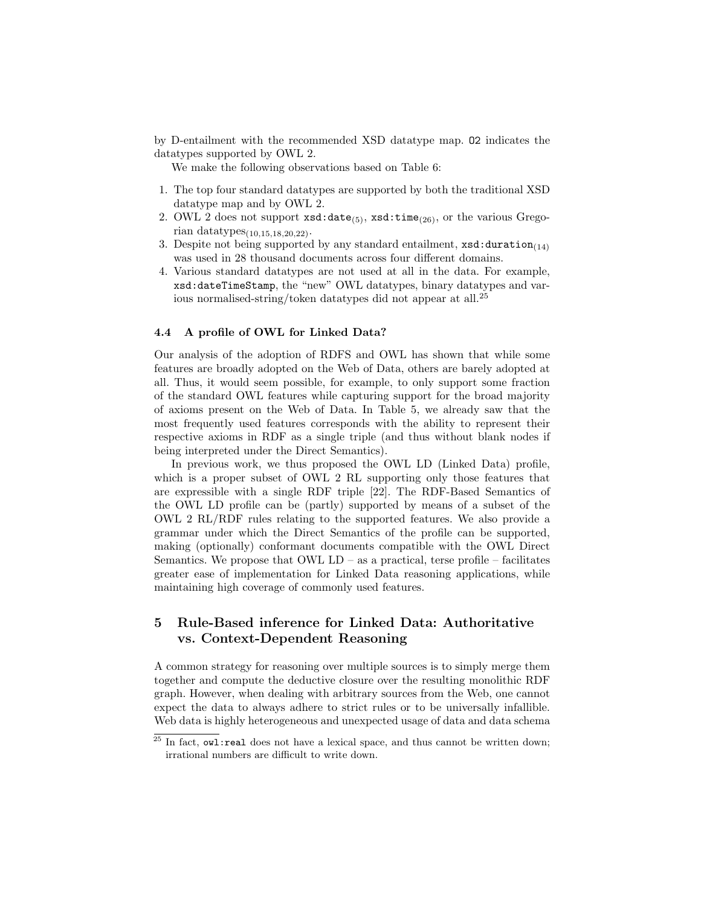by D-entailment with the recommended XSD datatype map. O2 indicates the datatypes supported by OWL 2.

We make the following observations based on Table 6:

- 1. The top four standard datatypes are supported by both the traditional XSD datatype map and by OWL 2.
- 2. OWL 2 does not support  $xsd:date_{(5)}$ ,  $xsd:time_{(26)}$ , or the various Gregorian datatypes $(10, 15, 18, 20, 22)$ .
- 3. Despite not being supported by any standard entailment,  $xsd:duration_{(14)}$ was used in 28 thousand documents across four different domains.
- 4. Various standard datatypes are not used at all in the data. For example, xsd:dateTimeStamp, the "new" OWL datatypes, binary datatypes and various normalised-string/token datatypes did not appear at all.<sup>25</sup>

# 4.4 A profile of OWL for Linked Data?

Our analysis of the adoption of RDFS and OWL has shown that while some features are broadly adopted on the Web of Data, others are barely adopted at all. Thus, it would seem possible, for example, to only support some fraction of the standard OWL features while capturing support for the broad majority of axioms present on the Web of Data. In Table 5, we already saw that the most frequently used features corresponds with the ability to represent their respective axioms in RDF as a single triple (and thus without blank nodes if being interpreted under the Direct Semantics).

In previous work, we thus proposed the OWL LD (Linked Data) profile, which is a proper subset of OWL 2 RL supporting only those features that are expressible with a single RDF triple [22]. The RDF-Based Semantics of the OWL LD profile can be (partly) supported by means of a subset of the OWL 2 RL/RDF rules relating to the supported features. We also provide a grammar under which the Direct Semantics of the profile can be supported, making (optionally) conformant documents compatible with the OWL Direct Semantics. We propose that  $\text{OWL}$  LD – as a practical, terse profile – facilitates greater ease of implementation for Linked Data reasoning applications, while maintaining high coverage of commonly used features.

# 5 Rule-Based inference for Linked Data: Authoritative vs. Context-Dependent Reasoning

A common strategy for reasoning over multiple sources is to simply merge them together and compute the deductive closure over the resulting monolithic RDF graph. However, when dealing with arbitrary sources from the Web, one cannot expect the data to always adhere to strict rules or to be universally infallible. Web data is highly heterogeneous and unexpected usage of data and data schema

 $^{25}$  In fact, owl:real does not have a lexical space, and thus cannot be written down; irrational numbers are difficult to write down.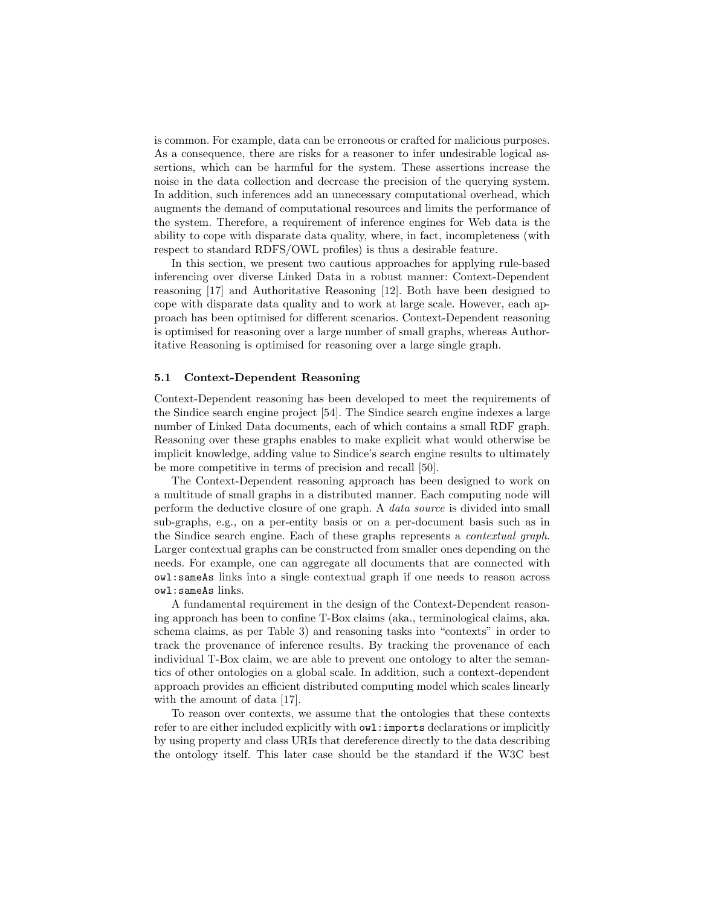is common. For example, data can be erroneous or crafted for malicious purposes. As a consequence, there are risks for a reasoner to infer undesirable logical assertions, which can be harmful for the system. These assertions increase the noise in the data collection and decrease the precision of the querying system. In addition, such inferences add an unnecessary computational overhead, which augments the demand of computational resources and limits the performance of the system. Therefore, a requirement of inference engines for Web data is the ability to cope with disparate data quality, where, in fact, incompleteness (with respect to standard RDFS/OWL profiles) is thus a desirable feature.

In this section, we present two cautious approaches for applying rule-based inferencing over diverse Linked Data in a robust manner: Context-Dependent reasoning [17] and Authoritative Reasoning [12]. Both have been designed to cope with disparate data quality and to work at large scale. However, each approach has been optimised for different scenarios. Context-Dependent reasoning is optimised for reasoning over a large number of small graphs, whereas Authoritative Reasoning is optimised for reasoning over a large single graph.

#### 5.1 Context-Dependent Reasoning

Context-Dependent reasoning has been developed to meet the requirements of the Sindice search engine project [54]. The Sindice search engine indexes a large number of Linked Data documents, each of which contains a small RDF graph. Reasoning over these graphs enables to make explicit what would otherwise be implicit knowledge, adding value to Sindice's search engine results to ultimately be more competitive in terms of precision and recall [50].

The Context-Dependent reasoning approach has been designed to work on a multitude of small graphs in a distributed manner. Each computing node will perform the deductive closure of one graph. A data source is divided into small sub-graphs, e.g., on a per-entity basis or on a per-document basis such as in the Sindice search engine. Each of these graphs represents a contextual graph. Larger contextual graphs can be constructed from smaller ones depending on the needs. For example, one can aggregate all documents that are connected with owl:sameAs links into a single contextual graph if one needs to reason across owl:sameAs links.

A fundamental requirement in the design of the Context-Dependent reasoning approach has been to confine T-Box claims (aka., terminological claims, aka. schema claims, as per Table 3) and reasoning tasks into "contexts" in order to track the provenance of inference results. By tracking the provenance of each individual T-Box claim, we are able to prevent one ontology to alter the semantics of other ontologies on a global scale. In addition, such a context-dependent approach provides an efficient distributed computing model which scales linearly with the amount of data [17].

To reason over contexts, we assume that the ontologies that these contexts refer to are either included explicitly with owl:imports declarations or implicitly by using property and class URIs that dereference directly to the data describing the ontology itself. This later case should be the standard if the W3C best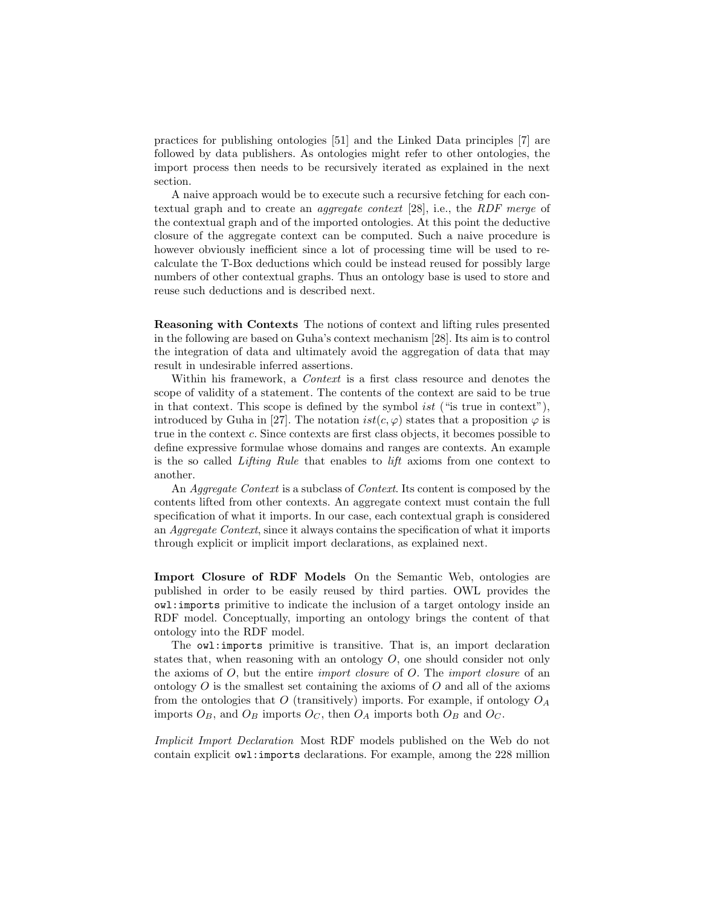practices for publishing ontologies [51] and the Linked Data principles [7] are followed by data publishers. As ontologies might refer to other ontologies, the import process then needs to be recursively iterated as explained in the next section.

A naive approach would be to execute such a recursive fetching for each contextual graph and to create an aggregate context [28], i.e., the RDF merge of the contextual graph and of the imported ontologies. At this point the deductive closure of the aggregate context can be computed. Such a naive procedure is however obviously inefficient since a lot of processing time will be used to recalculate the T-Box deductions which could be instead reused for possibly large numbers of other contextual graphs. Thus an ontology base is used to store and reuse such deductions and is described next.

Reasoning with Contexts The notions of context and lifting rules presented in the following are based on Guha's context mechanism [28]. Its aim is to control the integration of data and ultimately avoid the aggregation of data that may result in undesirable inferred assertions.

Within his framework, a *Context* is a first class resource and denotes the scope of validity of a statement. The contents of the context are said to be true in that context. This scope is defined by the symbol *ist* ("is true in context"), introduced by Guha in [27]. The notation  $ist(c, \varphi)$  states that a proposition  $\varphi$  is true in the context c. Since contexts are first class objects, it becomes possible to define expressive formulae whose domains and ranges are contexts. An example is the so called Lifting Rule that enables to lift axioms from one context to another.

An *Aggregate Context* is a subclass of *Context*. Its content is composed by the contents lifted from other contexts. An aggregate context must contain the full specification of what it imports. In our case, each contextual graph is considered an Aggregate Context, since it always contains the specification of what it imports through explicit or implicit import declarations, as explained next.

Import Closure of RDF Models On the Semantic Web, ontologies are published in order to be easily reused by third parties. OWL provides the owl:imports primitive to indicate the inclusion of a target ontology inside an RDF model. Conceptually, importing an ontology brings the content of that ontology into the RDF model.

The owl:imports primitive is transitive. That is, an import declaration states that, when reasoning with an ontology  $O$ , one should consider not only the axioms of O, but the entire import closure of O. The import closure of an ontology  $O$  is the smallest set containing the axioms of  $O$  and all of the axioms from the ontologies that O (transitively) imports. For example, if ontology  $O<sub>A</sub>$ imports  $O_B$ , and  $O_B$  imports  $O_C$ , then  $O_A$  imports both  $O_B$  and  $O_C$ .

Implicit Import Declaration Most RDF models published on the Web do not contain explicit owl:imports declarations. For example, among the 228 million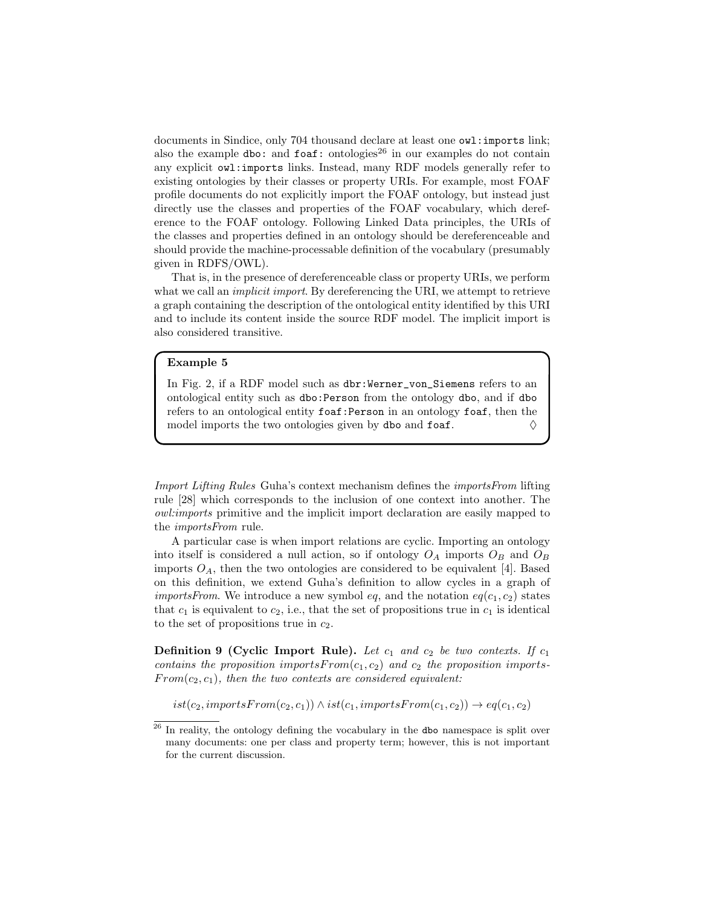documents in Sindice, only 704 thousand declare at least one  $\text{owl:}$  imports link; also the example  $\text{dbo}:$  and  $\text{foaf}:$  ontologies<sup>26</sup> in our examples do not contain any explicit owl:imports links. Instead, many RDF models generally refer to existing ontologies by their classes or property URIs. For example, most FOAF profile documents do not explicitly import the FOAF ontology, but instead just directly use the classes and properties of the FOAF vocabulary, which dereference to the FOAF ontology. Following Linked Data principles, the URIs of the classes and properties defined in an ontology should be dereferenceable and should provide the machine-processable definition of the vocabulary (presumably given in RDFS/OWL).

That is, in the presence of dereferenceable class or property URIs, we perform what we call an *implicit import*. By dereferencing the URI, we attempt to retrieve a graph containing the description of the ontological entity identified by this URI and to include its content inside the source RDF model. The implicit import is also considered transitive.

## Example 5

In Fig. 2, if a RDF model such as dbr:Werner\_von\_Siemens refers to an ontological entity such as dbo:Person from the ontology dbo, and if dbo refers to an ontological entity foaf:Person in an ontology foaf, then the model imports the two ontologies given by **dbo** and **foaf**.  $\diamondsuit$ 

Import Lifting Rules Guha's context mechanism defines the importsFrom lifting rule [28] which corresponds to the inclusion of one context into another. The owl:imports primitive and the implicit import declaration are easily mapped to the importsFrom rule.

A particular case is when import relations are cyclic. Importing an ontology into itself is considered a null action, so if ontology  $O_A$  imports  $O_B$  and  $O_B$ imports  $O<sub>A</sub>$ , then the two ontologies are considered to be equivalent [4]. Based on this definition, we extend Guha's definition to allow cycles in a graph of *importsFrom.* We introduce a new symbol eq, and the notation  $eq(c_1, c_2)$  states that  $c_1$  is equivalent to  $c_2$ , i.e., that the set of propositions true in  $c_1$  is identical to the set of propositions true in  $c_2$ .

**Definition 9 (Cyclic Import Rule).** Let  $c_1$  and  $c_2$  be two contexts. If  $c_1$ contains the proposition imports  $From(c_1, c_2)$  and  $c_2$  the proposition imports- $From(c_2, c_1), then the two contexts are considered equivalent:$ 

 $ist(c_2, importsFrom(c_2, c_1)) \wedge ist(c_1, importsFrom(c_1, c_2)) \rightarrow eq(c_1, c_2)$ 

<sup>&</sup>lt;sup>26</sup> In reality, the ontology defining the vocabulary in the dbo namespace is split over many documents: one per class and property term; however, this is not important for the current discussion.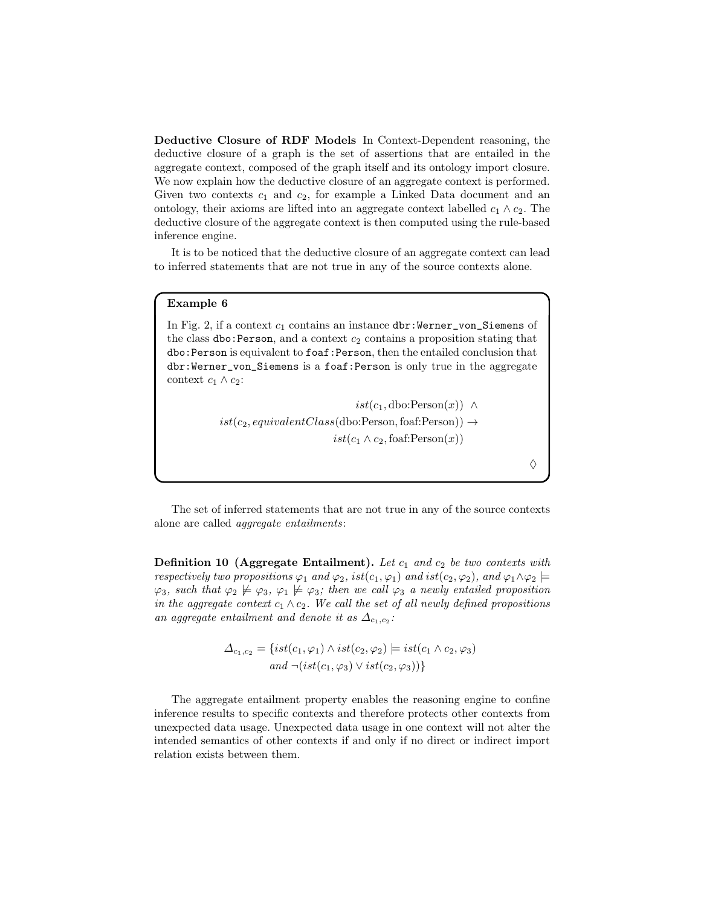Deductive Closure of RDF Models In Context-Dependent reasoning, the deductive closure of a graph is the set of assertions that are entailed in the aggregate context, composed of the graph itself and its ontology import closure. We now explain how the deductive closure of an aggregate context is performed. Given two contexts  $c_1$  and  $c_2$ , for example a Linked Data document and an ontology, their axioms are lifted into an aggregate context labelled  $c_1 \wedge c_2$ . The deductive closure of the aggregate context is then computed using the rule-based inference engine.

It is to be noticed that the deductive closure of an aggregate context can lead to inferred statements that are not true in any of the source contexts alone.

#### Example 6

In Fig. 2, if a context  $c_1$  contains an instance  $\text{dbr:Werner\_von\_Siemens}$  of the class dbo: Person, and a context  $c_2$  contains a proposition stating that dbo:Person is equivalent to foaf:Person, then the entailed conclusion that dbr:Werner\_von\_Siemens is a foaf:Person is only true in the aggregate context  $c_1 \wedge c_2$ :

> *ist*( $c_1$ , dbo:Person(x)) ∧  $ist(c_2, equivalentClass(dbo:Person, foaf:Person)) \rightarrow$  $ist(c_1 \wedge c_2, \text{foaf:Person}(x))$

The set of inferred statements that are not true in any of the source contexts alone are called aggregate entailments:

 $\Diamond$ 

**Definition 10 (Aggregate Entailment).** Let  $c_1$  and  $c_2$  be two contexts with respectively two propositions  $\varphi_1$  and  $\varphi_2$ , ist $(c_1, \varphi_1)$  and ist $(c_2, \varphi_2)$ , and  $\varphi_1 \wedge \varphi_2 \models$  $\varphi_3$ , such that  $\varphi_2 \not\models \varphi_3$ ,  $\varphi_1 \not\models \varphi_3$ ; then we call  $\varphi_3$  a newly entailed proposition in the aggregate context  $c_1 \wedge c_2$ . We call the set of all newly defined propositions an aggregate entailment and denote it as  $\Delta_{c_1,c_2}$ :

$$
\Delta_{c_1,c_2} = \{ist(c_1,\varphi_1) \land ist(c_2,\varphi_2) \models ist(c_1 \land c_2,\varphi_3)
$$
  
and  $\neg (ist(c_1,\varphi_3) \lor ist(c_2,\varphi_3))\}$ 

The aggregate entailment property enables the reasoning engine to confine inference results to specific contexts and therefore protects other contexts from unexpected data usage. Unexpected data usage in one context will not alter the intended semantics of other contexts if and only if no direct or indirect import relation exists between them.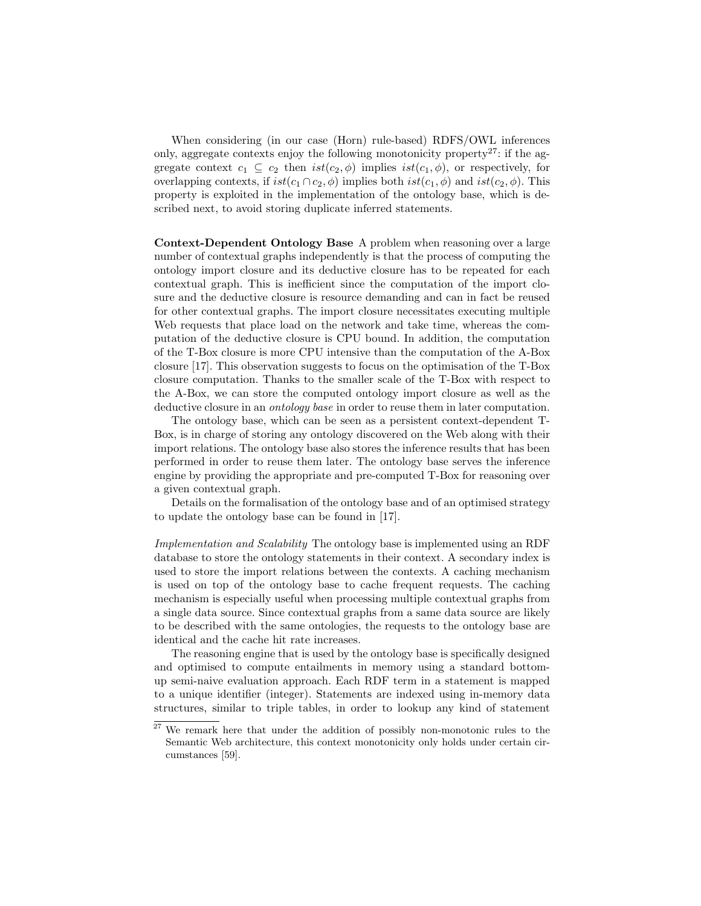When considering (in our case (Horn) rule-based) RDFS/OWL inferences only, aggregate contexts enjoy the following monotonicity property<sup>27</sup>: if the aggregate context  $c_1 \subseteq c_2$  then  $ist(c_2, \phi)$  implies  $ist(c_1, \phi)$ , or respectively, for overlapping contexts, if  $ist(c_1 \cap c_2, \phi)$  implies both  $ist(c_1, \phi)$  and  $ist(c_2, \phi)$ . This property is exploited in the implementation of the ontology base, which is described next, to avoid storing duplicate inferred statements.

Context-Dependent Ontology Base A problem when reasoning over a large number of contextual graphs independently is that the process of computing the ontology import closure and its deductive closure has to be repeated for each contextual graph. This is inefficient since the computation of the import closure and the deductive closure is resource demanding and can in fact be reused for other contextual graphs. The import closure necessitates executing multiple Web requests that place load on the network and take time, whereas the computation of the deductive closure is CPU bound. In addition, the computation of the T-Box closure is more CPU intensive than the computation of the A-Box closure [17]. This observation suggests to focus on the optimisation of the T-Box closure computation. Thanks to the smaller scale of the T-Box with respect to the A-Box, we can store the computed ontology import closure as well as the deductive closure in an *ontology base* in order to reuse them in later computation.

The ontology base, which can be seen as a persistent context-dependent T-Box, is in charge of storing any ontology discovered on the Web along with their import relations. The ontology base also stores the inference results that has been performed in order to reuse them later. The ontology base serves the inference engine by providing the appropriate and pre-computed T-Box for reasoning over a given contextual graph.

Details on the formalisation of the ontology base and of an optimised strategy to update the ontology base can be found in [17].

Implementation and Scalability The ontology base is implemented using an RDF database to store the ontology statements in their context. A secondary index is used to store the import relations between the contexts. A caching mechanism is used on top of the ontology base to cache frequent requests. The caching mechanism is especially useful when processing multiple contextual graphs from a single data source. Since contextual graphs from a same data source are likely to be described with the same ontologies, the requests to the ontology base are identical and the cache hit rate increases.

The reasoning engine that is used by the ontology base is specifically designed and optimised to compute entailments in memory using a standard bottomup semi-naive evaluation approach. Each RDF term in a statement is mapped to a unique identifier (integer). Statements are indexed using in-memory data structures, similar to triple tables, in order to lookup any kind of statement

 $27$  We remark here that under the addition of possibly non-monotonic rules to the Semantic Web architecture, this context monotonicity only holds under certain circumstances [59].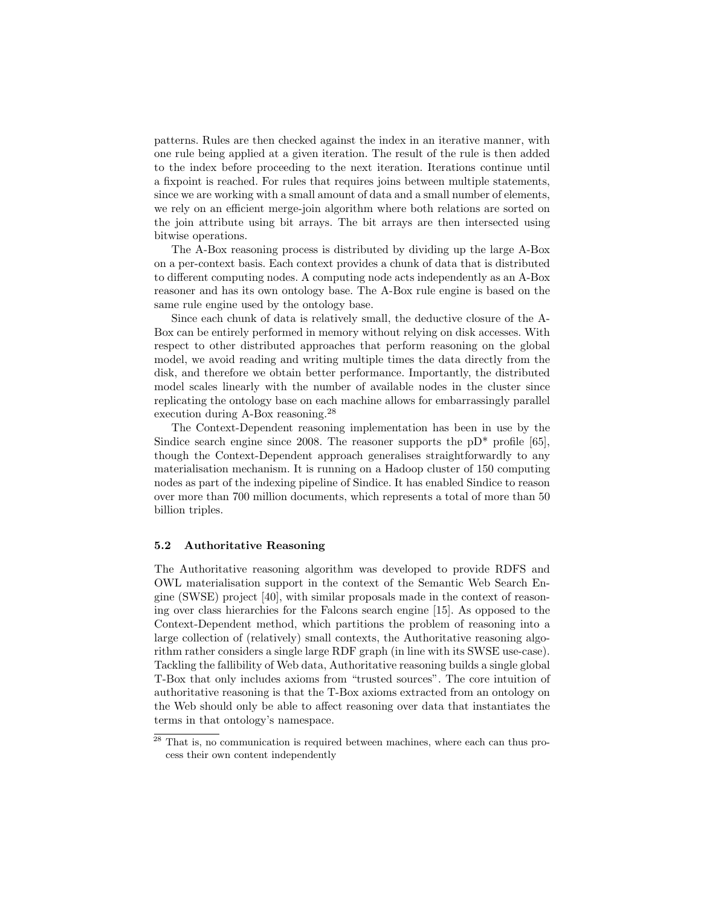patterns. Rules are then checked against the index in an iterative manner, with one rule being applied at a given iteration. The result of the rule is then added to the index before proceeding to the next iteration. Iterations continue until a fixpoint is reached. For rules that requires joins between multiple statements, since we are working with a small amount of data and a small number of elements, we rely on an efficient merge-join algorithm where both relations are sorted on the join attribute using bit arrays. The bit arrays are then intersected using bitwise operations.

The A-Box reasoning process is distributed by dividing up the large A-Box on a per-context basis. Each context provides a chunk of data that is distributed to different computing nodes. A computing node acts independently as an A-Box reasoner and has its own ontology base. The A-Box rule engine is based on the same rule engine used by the ontology base.

Since each chunk of data is relatively small, the deductive closure of the A-Box can be entirely performed in memory without relying on disk accesses. With respect to other distributed approaches that perform reasoning on the global model, we avoid reading and writing multiple times the data directly from the disk, and therefore we obtain better performance. Importantly, the distributed model scales linearly with the number of available nodes in the cluster since replicating the ontology base on each machine allows for embarrassingly parallel execution during A-Box reasoning.<sup>28</sup>

The Context-Dependent reasoning implementation has been in use by the Sindice search engine since 2008. The reasoner supports the  $pD^*$  profile [65], though the Context-Dependent approach generalises straightforwardly to any materialisation mechanism. It is running on a Hadoop cluster of 150 computing nodes as part of the indexing pipeline of Sindice. It has enabled Sindice to reason over more than 700 million documents, which represents a total of more than 50 billion triples.

## 5.2 Authoritative Reasoning

The Authoritative reasoning algorithm was developed to provide RDFS and OWL materialisation support in the context of the Semantic Web Search Engine (SWSE) project [40], with similar proposals made in the context of reasoning over class hierarchies for the Falcons search engine [15]. As opposed to the Context-Dependent method, which partitions the problem of reasoning into a large collection of (relatively) small contexts, the Authoritative reasoning algorithm rather considers a single large RDF graph (in line with its SWSE use-case). Tackling the fallibility of Web data, Authoritative reasoning builds a single global T-Box that only includes axioms from "trusted sources". The core intuition of authoritative reasoning is that the T-Box axioms extracted from an ontology on the Web should only be able to affect reasoning over data that instantiates the terms in that ontology's namespace.

<sup>28</sup> That is, no communication is required between machines, where each can thus process their own content independently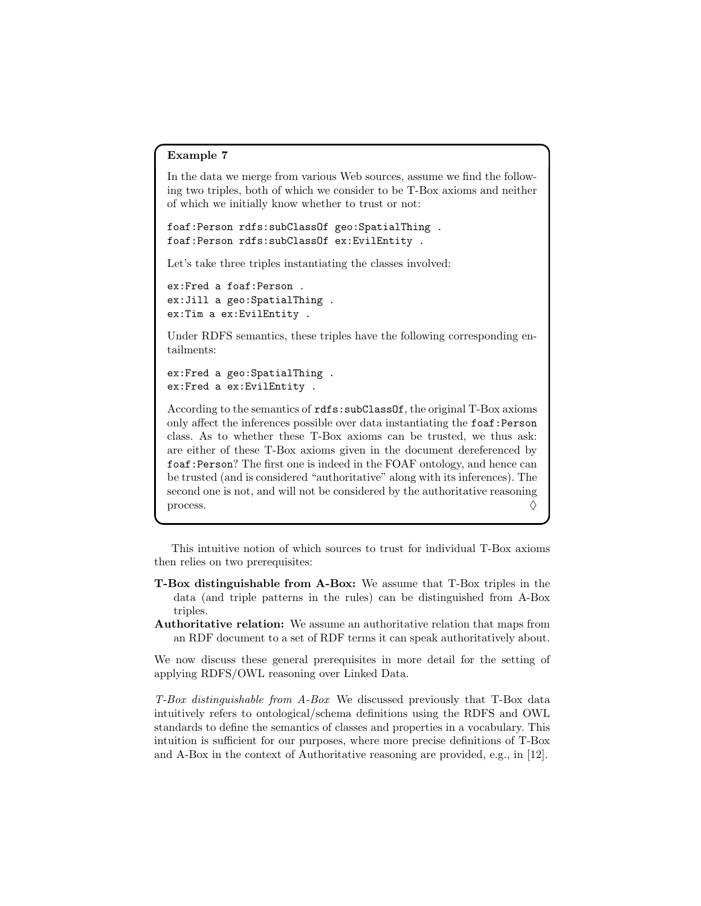## Example 7

In the data we merge from various Web sources, assume we find the following two triples, both of which we consider to be T-Box axioms and neither of which we initially know whether to trust or not:

foaf:Person rdfs:subClassOf geo:SpatialThing . foaf:Person rdfs:subClassOf ex:EvilEntity .

Let's take three triples instantiating the classes involved:

ex:Fred a foaf:Person . ex:Jill a geo:SpatialThing . ex:Tim a ex:EvilEntity .

Under RDFS semantics, these triples have the following corresponding entailments:

```
ex:Fred a geo:SpatialThing .
ex:Fred a ex:EvilEntity .
```
According to the semantics of rdfs:subClassOf, the original T-Box axioms only affect the inferences possible over data instantiating the foaf:Person class. As to whether these T-Box axioms can be trusted, we thus ask: are either of these T-Box axioms given in the document dereferenced by foaf:Person? The first one is indeed in the FOAF ontology, and hence can be trusted (and is considered "authoritative" along with its inferences). The second one is not, and will not be considered by the authoritative reasoning process.  $\Diamond$ 

This intuitive notion of which sources to trust for individual T-Box axioms then relies on two prerequisites:

- T-Box distinguishable from A-Box: We assume that T-Box triples in the data (and triple patterns in the rules) can be distinguished from A-Box triples.
- Authoritative relation: We assume an authoritative relation that maps from an RDF document to a set of RDF terms it can speak authoritatively about.

We now discuss these general prerequisites in more detail for the setting of applying RDFS/OWL reasoning over Linked Data.

T-Box distinguishable from A-Box We discussed previously that T-Box data intuitively refers to ontological/schema definitions using the RDFS and OWL standards to define the semantics of classes and properties in a vocabulary. This intuition is sufficient for our purposes, where more precise definitions of T-Box and A-Box in the context of Authoritative reasoning are provided, e.g., in [12].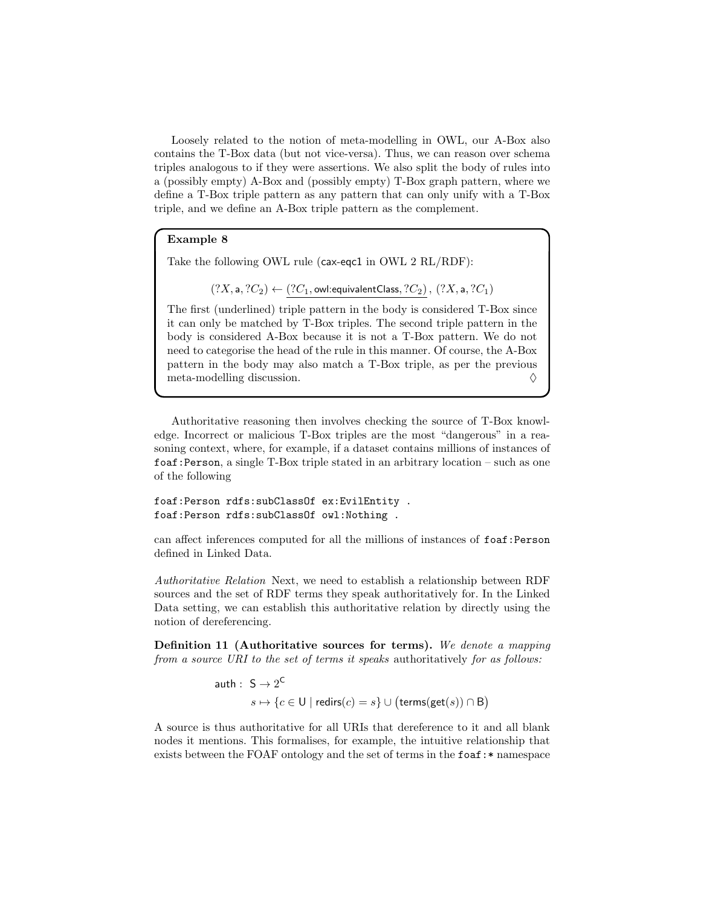Loosely related to the notion of meta-modelling in OWL, our A-Box also contains the T-Box data (but not vice-versa). Thus, we can reason over schema triples analogous to if they were assertions. We also split the body of rules into a (possibly empty) A-Box and (possibly empty) T-Box graph pattern, where we define a T-Box triple pattern as any pattern that can only unify with a T-Box triple, and we define an A-Box triple pattern as the complement.

# Example 8

Take the following OWL rule (cax-eqc1 in OWL 2 RL/RDF):

 $(?X, a, ?C<sub>2</sub>) \leftarrow (?C<sub>1</sub>, \text{owl:equivalentClass}, ?C<sub>2</sub>)$ ,  $(?X, a, ?C<sub>1</sub>)$ 

The first (underlined) triple pattern in the body is considered T-Box since it can only be matched by T-Box triples. The second triple pattern in the body is considered A-Box because it is not a T-Box pattern. We do not need to categorise the head of the rule in this manner. Of course, the A-Box pattern in the body may also match a T-Box triple, as per the previous meta-modelling discussion.  $\Diamond$ 

Authoritative reasoning then involves checking the source of T-Box knowledge. Incorrect or malicious T-Box triples are the most "dangerous" in a reasoning context, where, for example, if a dataset contains millions of instances of foaf:Person, a single T-Box triple stated in an arbitrary location – such as one of the following

```
foaf:Person rdfs:subClassOf ex:EvilEntity .
foaf:Person rdfs:subClassOf owl:Nothing .
```
can affect inferences computed for all the millions of instances of foaf:Person defined in Linked Data.

Authoritative Relation Next, we need to establish a relationship between RDF sources and the set of RDF terms they speak authoritatively for. In the Linked Data setting, we can establish this authoritative relation by directly using the notion of dereferencing.

Definition 11 (Authoritative sources for terms). We denote a mapping from a source URI to the set of terms it speaks authoritatively for as follows:

$$
\begin{aligned}\n\text{auth}: \ \mathsf{S} &\rightarrow 2^{\mathsf{C}} \\
\text{ } s &\mapsto \{c \in \mathsf{U} \mid \mathsf{redirs}(c) = s\} \cup \big(\mathsf{terms}(\mathsf{get}(s)) \cap \mathsf{B}\big)\n\end{aligned}
$$

A source is thus authoritative for all URIs that dereference to it and all blank nodes it mentions. This formalises, for example, the intuitive relationship that exists between the FOAF ontology and the set of terms in the foaf: \* namespace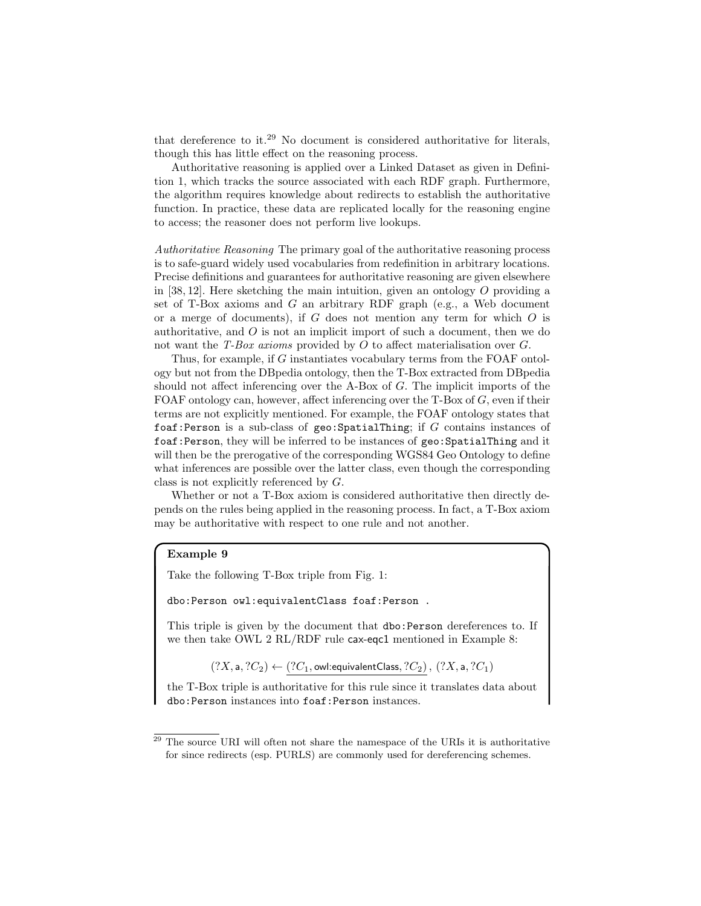that dereference to it.<sup>29</sup> No document is considered authoritative for literals, though this has little effect on the reasoning process.

Authoritative reasoning is applied over a Linked Dataset as given in Definition 1, which tracks the source associated with each RDF graph. Furthermore, the algorithm requires knowledge about redirects to establish the authoritative function. In practice, these data are replicated locally for the reasoning engine to access; the reasoner does not perform live lookups.

Authoritative Reasoning The primary goal of the authoritative reasoning process is to safe-guard widely used vocabularies from redefinition in arbitrary locations. Precise definitions and guarantees for authoritative reasoning are given elsewhere in [38, 12]. Here sketching the main intuition, given an ontology  $O$  providing a set of T-Box axioms and G an arbitrary RDF graph (e.g., a Web document or a merge of documents), if  $G$  does not mention any term for which  $O$  is authoritative, and O is not an implicit import of such a document, then we do not want the  $T$ -Box axioms provided by  $O$  to affect materialisation over  $G$ .

Thus, for example, if G instantiates vocabulary terms from the FOAF ontology but not from the DBpedia ontology, then the T-Box extracted from DBpedia should not affect inferencing over the A-Box of  $G$ . The implicit imports of the FOAF ontology can, however, affect inferencing over the  $T$ -Box of  $G$ , even if their terms are not explicitly mentioned. For example, the FOAF ontology states that foaf: Person is a sub-class of geo: SpatialThing; if  $G$  contains instances of foaf:Person, they will be inferred to be instances of geo:SpatialThing and it will then be the prerogative of the corresponding WGS84 Geo Ontology to define what inferences are possible over the latter class, even though the corresponding class is not explicitly referenced by G.

Whether or not a T-Box axiom is considered authoritative then directly depends on the rules being applied in the reasoning process. In fact, a T-Box axiom may be authoritative with respect to one rule and not another.

### Example 9

Take the following T-Box triple from Fig. 1:

dbo:Person owl:equivalentClass foaf:Person .

This triple is given by the document that dbo:Person dereferences to. If we then take OWL 2 RL/RDF rule cax-eqc1 mentioned in Example 8:

 $(?X, \mathsf{a}, ?C_2) \leftarrow (?C_1, \mathsf{owl:equivalentClass}, ?C_2), (?X, \mathsf{a}, ?C_1)$ 

the T-Box triple is authoritative for this rule since it translates data about dbo:Person instances into foaf:Person instances.

 $29$  The source URI will often not share the namespace of the URIs it is authoritative for since redirects (esp. PURLS) are commonly used for dereferencing schemes.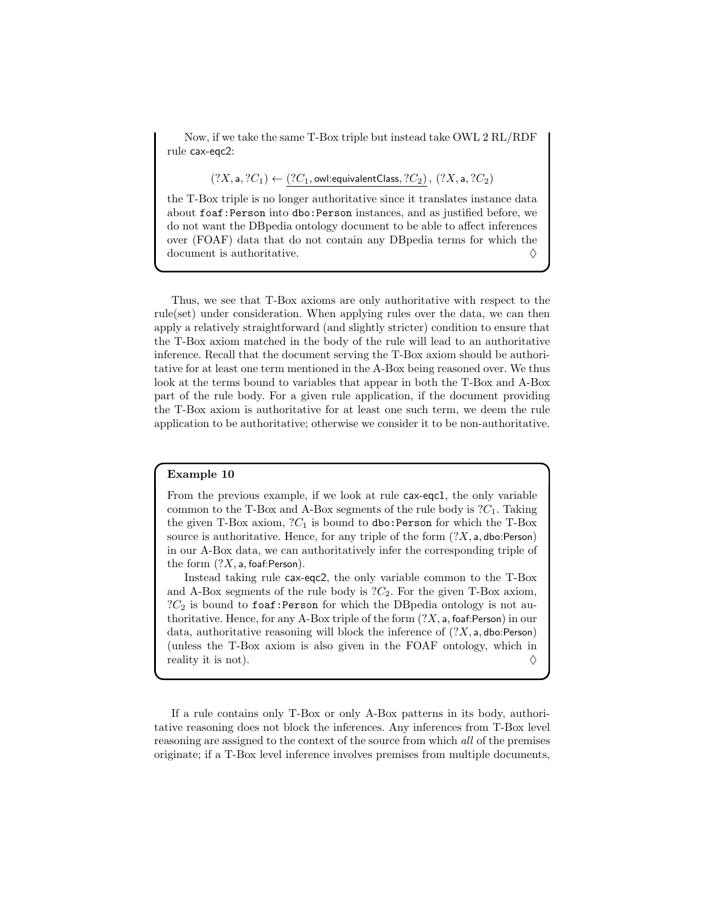Now, if we take the same T-Box triple but instead take OWL 2 RL/RDF rule cax-eqc2:

 $(?X, \mathsf{a}, ?C_1) \leftarrow (?C_1, \mathsf{owl:equivalentClass}, ?C_2)$ ,  $(?X, \mathsf{a}, ?C_2)$ 

the T-Box triple is no longer authoritative since it translates instance data about foaf:Person into dbo:Person instances, and as justified before, we do not want the DBpedia ontology document to be able to affect inferences over (FOAF) data that do not contain any DBpedia terms for which the document is authoritative.  $\Diamond$ 

Thus, we see that T-Box axioms are only authoritative with respect to the rule(set) under consideration. When applying rules over the data, we can then apply a relatively straightforward (and slightly stricter) condition to ensure that the T-Box axiom matched in the body of the rule will lead to an authoritative inference. Recall that the document serving the T-Box axiom should be authoritative for at least one term mentioned in the A-Box being reasoned over. We thus look at the terms bound to variables that appear in both the T-Box and A-Box part of the rule body. For a given rule application, if the document providing the T-Box axiom is authoritative for at least one such term, we deem the rule application to be authoritative; otherwise we consider it to be non-authoritative.

## Example 10

From the previous example, if we look at rule cax-eqc1, the only variable common to the T-Box and A-Box segments of the rule body is  $?C_1$ . Taking the given T-Box axiom,  $?C_1$  is bound to dbo: Person for which the T-Box source is authoritative. Hence, for any triple of the form  $(?X, a, dbo:Person)$ in our A-Box data, we can authoritatively infer the corresponding triple of the form  $(?X, a, foaf:Person).$ 

Instead taking rule cax-eqc2, the only variable common to the T-Box and A-Box segments of the rule body is  $?C_2$ . For the given T-Box axiom,  $?C<sub>2</sub>$  is bound to foaf: Person for which the DB pedia ontology is not authoritative. Hence, for any A-Box triple of the form  $(?X, a, foaf:Person)$  in our data, authoritative reasoning will block the inference of  $(?X, a, dbo:Person)$ (unless the T-Box axiom is also given in the FOAF ontology, which in reality it is not).  $\Diamond$ 

If a rule contains only T-Box or only A-Box patterns in its body, authoritative reasoning does not block the inferences. Any inferences from T-Box level reasoning are assigned to the context of the source from which all of the premises originate; if a T-Box level inference involves premises from multiple documents,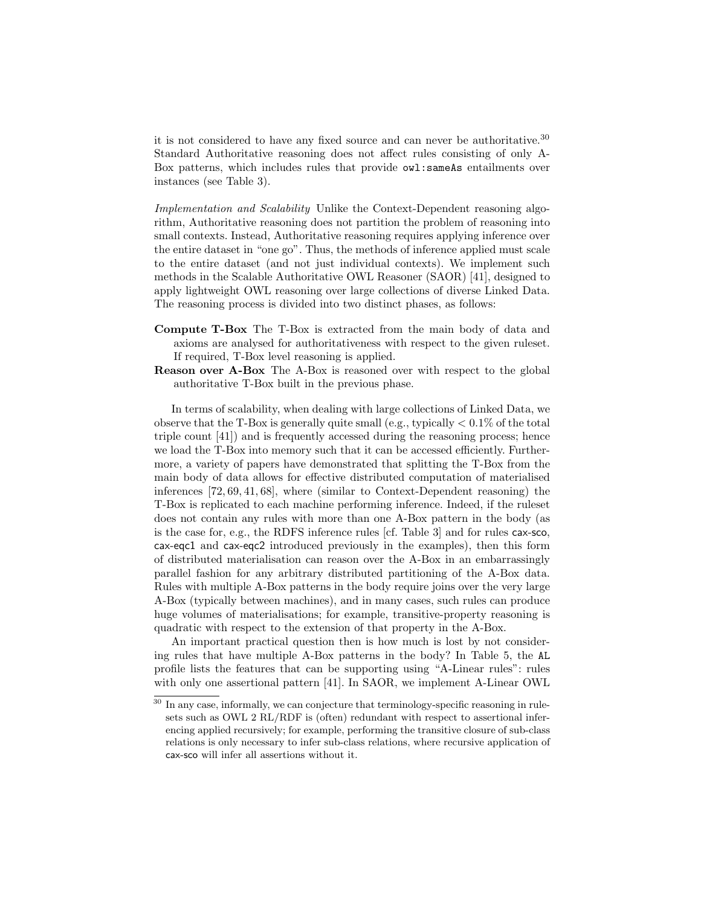it is not considered to have any fixed source and can never be authoritative.<sup>30</sup> Standard Authoritative reasoning does not affect rules consisting of only A-Box patterns, which includes rules that provide owl:sameAs entailments over instances (see Table 3).

Implementation and Scalability Unlike the Context-Dependent reasoning algorithm, Authoritative reasoning does not partition the problem of reasoning into small contexts. Instead, Authoritative reasoning requires applying inference over the entire dataset in "one go". Thus, the methods of inference applied must scale to the entire dataset (and not just individual contexts). We implement such methods in the Scalable Authoritative OWL Reasoner (SAOR) [41], designed to apply lightweight OWL reasoning over large collections of diverse Linked Data. The reasoning process is divided into two distinct phases, as follows:

- Compute T-Box The T-Box is extracted from the main body of data and axioms are analysed for authoritativeness with respect to the given ruleset. If required, T-Box level reasoning is applied.
- Reason over A-Box The A-Box is reasoned over with respect to the global authoritative T-Box built in the previous phase.

In terms of scalability, when dealing with large collections of Linked Data, we observe that the T-Box is generally quite small (e.g., typically  $< 0.1\%$  of the total triple count [41]) and is frequently accessed during the reasoning process; hence we load the T-Box into memory such that it can be accessed efficiently. Furthermore, a variety of papers have demonstrated that splitting the T-Box from the main body of data allows for effective distributed computation of materialised inferences [72, 69, 41, 68], where (similar to Context-Dependent reasoning) the T-Box is replicated to each machine performing inference. Indeed, if the ruleset does not contain any rules with more than one A-Box pattern in the body (as is the case for, e.g., the RDFS inference rules [cf. Table 3] and for rules cax-sco, cax-eqc1 and cax-eqc2 introduced previously in the examples), then this form of distributed materialisation can reason over the A-Box in an embarrassingly parallel fashion for any arbitrary distributed partitioning of the A-Box data. Rules with multiple A-Box patterns in the body require joins over the very large A-Box (typically between machines), and in many cases, such rules can produce huge volumes of materialisations; for example, transitive-property reasoning is quadratic with respect to the extension of that property in the A-Box.

An important practical question then is how much is lost by not considering rules that have multiple A-Box patterns in the body? In Table 5, the AL profile lists the features that can be supporting using "A-Linear rules": rules with only one assertional pattern [41]. In SAOR, we implement A-Linear OWL

<sup>&</sup>lt;sup>30</sup> In any case, informally, we can conjecture that terminology-specific reasoning in rulesets such as OWL 2 RL/RDF is (often) redundant with respect to assertional inferencing applied recursively; for example, performing the transitive closure of sub-class relations is only necessary to infer sub-class relations, where recursive application of cax-sco will infer all assertions without it.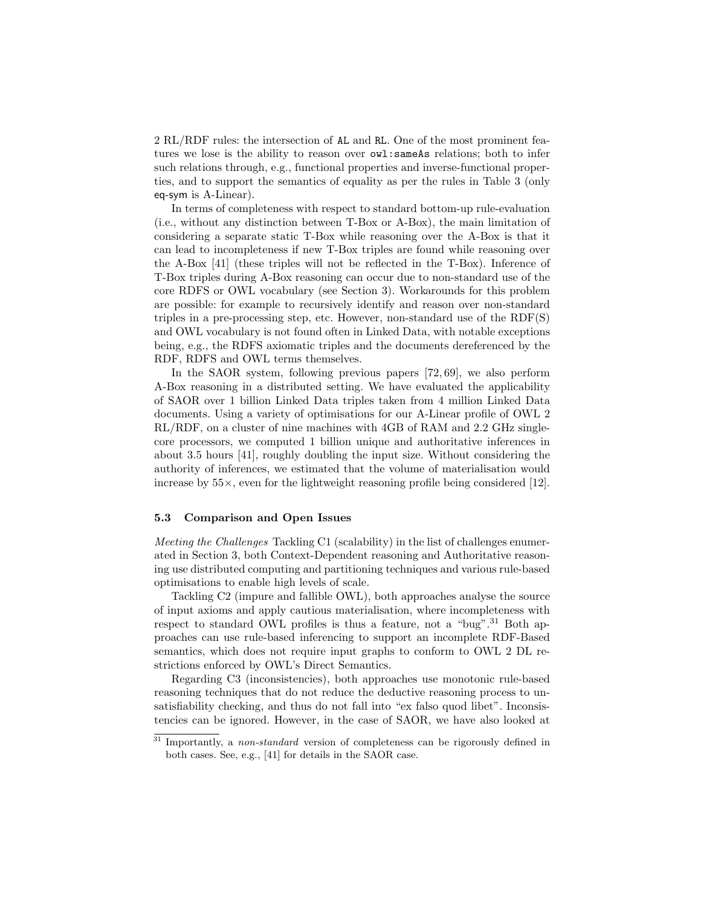2 RL/RDF rules: the intersection of AL and RL. One of the most prominent features we lose is the ability to reason over owl:sameAs relations; both to infer such relations through, e.g., functional properties and inverse-functional properties, and to support the semantics of equality as per the rules in Table 3 (only eq-sym is A-Linear).

In terms of completeness with respect to standard bottom-up rule-evaluation (i.e., without any distinction between T-Box or A-Box), the main limitation of considering a separate static T-Box while reasoning over the A-Box is that it can lead to incompleteness if new T-Box triples are found while reasoning over the A-Box [41] (these triples will not be reflected in the T-Box). Inference of T-Box triples during A-Box reasoning can occur due to non-standard use of the core RDFS or OWL vocabulary (see Section 3). Workarounds for this problem are possible: for example to recursively identify and reason over non-standard triples in a pre-processing step, etc. However, non-standard use of the RDF(S) and OWL vocabulary is not found often in Linked Data, with notable exceptions being, e.g., the RDFS axiomatic triples and the documents dereferenced by the RDF, RDFS and OWL terms themselves.

In the SAOR system, following previous papers [72, 69], we also perform A-Box reasoning in a distributed setting. We have evaluated the applicability of SAOR over 1 billion Linked Data triples taken from 4 million Linked Data documents. Using a variety of optimisations for our A-Linear profile of OWL 2 RL/RDF, on a cluster of nine machines with 4GB of RAM and 2.2 GHz singlecore processors, we computed 1 billion unique and authoritative inferences in about 3.5 hours [41], roughly doubling the input size. Without considering the authority of inferences, we estimated that the volume of materialisation would increase by  $55\times$ , even for the lightweight reasoning profile being considered [12].

#### 5.3 Comparison and Open Issues

Meeting the Challenges Tackling C1 (scalability) in the list of challenges enumerated in Section 3, both Context-Dependent reasoning and Authoritative reasoning use distributed computing and partitioning techniques and various rule-based optimisations to enable high levels of scale.

Tackling C2 (impure and fallible OWL), both approaches analyse the source of input axioms and apply cautious materialisation, where incompleteness with respect to standard OWL profiles is thus a feature, not a "bug".<sup>31</sup> Both approaches can use rule-based inferencing to support an incomplete RDF-Based semantics, which does not require input graphs to conform to OWL 2 DL restrictions enforced by OWL's Direct Semantics.

Regarding C3 (inconsistencies), both approaches use monotonic rule-based reasoning techniques that do not reduce the deductive reasoning process to unsatisfiability checking, and thus do not fall into "ex falso quod libet". Inconsistencies can be ignored. However, in the case of SAOR, we have also looked at

 $31$  Importantly, a *non-standard* version of completeness can be rigorously defined in both cases. See, e.g., [41] for details in the SAOR case.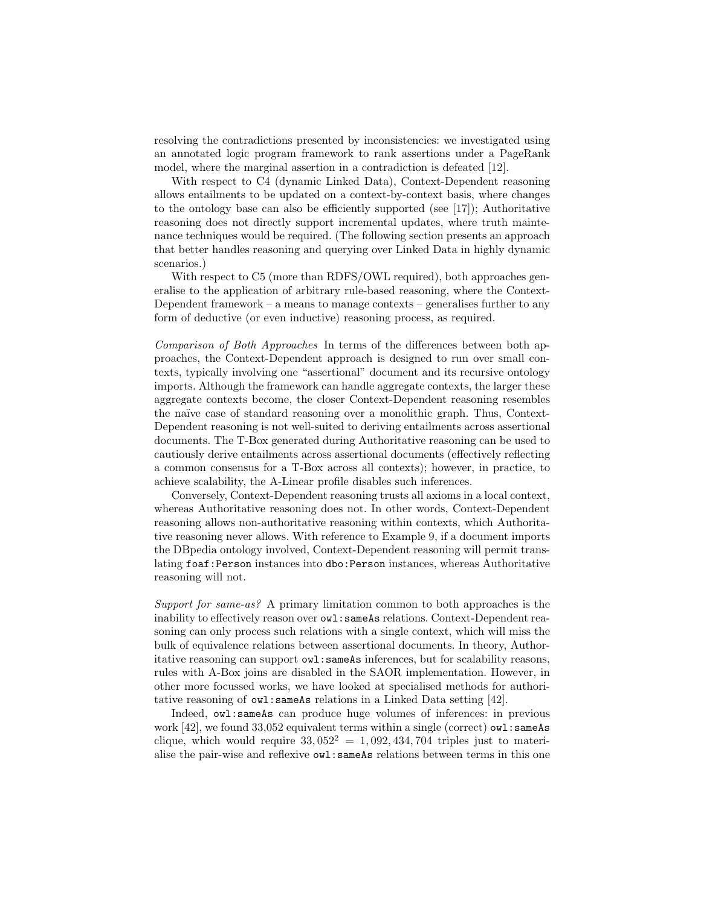resolving the contradictions presented by inconsistencies: we investigated using an annotated logic program framework to rank assertions under a PageRank model, where the marginal assertion in a contradiction is defeated [12].

With respect to C4 (dynamic Linked Data), Context-Dependent reasoning allows entailments to be updated on a context-by-context basis, where changes to the ontology base can also be efficiently supported (see [17]); Authoritative reasoning does not directly support incremental updates, where truth maintenance techniques would be required. (The following section presents an approach that better handles reasoning and querying over Linked Data in highly dynamic scenarios.)

With respect to C5 (more than RDFS/OWL required), both approaches generalise to the application of arbitrary rule-based reasoning, where the Context-Dependent framework – a means to manage contexts – generalises further to any form of deductive (or even inductive) reasoning process, as required.

Comparison of Both Approaches In terms of the differences between both approaches, the Context-Dependent approach is designed to run over small contexts, typically involving one "assertional" document and its recursive ontology imports. Although the framework can handle aggregate contexts, the larger these aggregate contexts become, the closer Context-Dependent reasoning resembles the na¨ıve case of standard reasoning over a monolithic graph. Thus, Context-Dependent reasoning is not well-suited to deriving entailments across assertional documents. The T-Box generated during Authoritative reasoning can be used to cautiously derive entailments across assertional documents (effectively reflecting a common consensus for a T-Box across all contexts); however, in practice, to achieve scalability, the A-Linear profile disables such inferences.

Conversely, Context-Dependent reasoning trusts all axioms in a local context, whereas Authoritative reasoning does not. In other words, Context-Dependent reasoning allows non-authoritative reasoning within contexts, which Authoritative reasoning never allows. With reference to Example 9, if a document imports the DBpedia ontology involved, Context-Dependent reasoning will permit translating foaf:Person instances into dbo:Person instances, whereas Authoritative reasoning will not.

Support for same-as? A primary limitation common to both approaches is the inability to effectively reason over  $\alpha$ <sup>1</sup>: sameAs relations. Context-Dependent reasoning can only process such relations with a single context, which will miss the bulk of equivalence relations between assertional documents. In theory, Authoritative reasoning can support owl:sameAs inferences, but for scalability reasons, rules with A-Box joins are disabled in the SAOR implementation. However, in other more focussed works, we have looked at specialised methods for authoritative reasoning of owl:sameAs relations in a Linked Data setting [42].

Indeed, owl:sameAs can produce huge volumes of inferences: in previous work  $[42]$ , we found  $33,052$  equivalent terms within a single (correct) owl: sameAs clique, which would require  $33,052^2 = 1,092,434,704$  triples just to materialise the pair-wise and reflexive owl:sameAs relations between terms in this one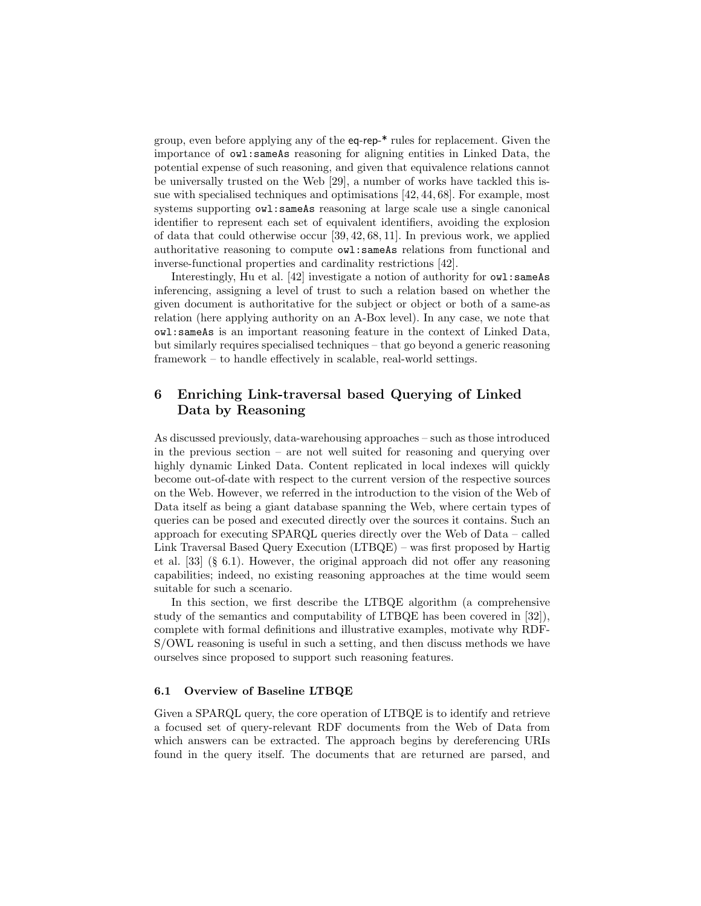group, even before applying any of the eq-rep-\* rules for replacement. Given the importance of owl:sameAs reasoning for aligning entities in Linked Data, the potential expense of such reasoning, and given that equivalence relations cannot be universally trusted on the Web [29], a number of works have tackled this issue with specialised techniques and optimisations [42, 44, 68]. For example, most systems supporting owl:sameAs reasoning at large scale use a single canonical identifier to represent each set of equivalent identifiers, avoiding the explosion of data that could otherwise occur [39, 42, 68, 11]. In previous work, we applied authoritative reasoning to compute owl:sameAs relations from functional and inverse-functional properties and cardinality restrictions [42].

Interestingly, Hu et al. [42] investigate a notion of authority for owl:sameAs inferencing, assigning a level of trust to such a relation based on whether the given document is authoritative for the subject or object or both of a same-as relation (here applying authority on an A-Box level). In any case, we note that owl:sameAs is an important reasoning feature in the context of Linked Data, but similarly requires specialised techniques – that go beyond a generic reasoning framework – to handle effectively in scalable, real-world settings.

# 6 Enriching Link-traversal based Querying of Linked Data by Reasoning

As discussed previously, data-warehousing approaches – such as those introduced in the previous section – are not well suited for reasoning and querying over highly dynamic Linked Data. Content replicated in local indexes will quickly become out-of-date with respect to the current version of the respective sources on the Web. However, we referred in the introduction to the vision of the Web of Data itself as being a giant database spanning the Web, where certain types of queries can be posed and executed directly over the sources it contains. Such an approach for executing SPARQL queries directly over the Web of Data – called Link Traversal Based Query Execution (LTBQE) – was first proposed by Hartig et al. [33] (§ 6.1). However, the original approach did not offer any reasoning capabilities; indeed, no existing reasoning approaches at the time would seem suitable for such a scenario.

In this section, we first describe the LTBQE algorithm (a comprehensive study of the semantics and computability of LTBQE has been covered in [32]), complete with formal definitions and illustrative examples, motivate why RDF-S/OWL reasoning is useful in such a setting, and then discuss methods we have ourselves since proposed to support such reasoning features.

#### 6.1 Overview of Baseline LTBQE

Given a SPARQL query, the core operation of LTBQE is to identify and retrieve a focused set of query-relevant RDF documents from the Web of Data from which answers can be extracted. The approach begins by dereferencing URIs found in the query itself. The documents that are returned are parsed, and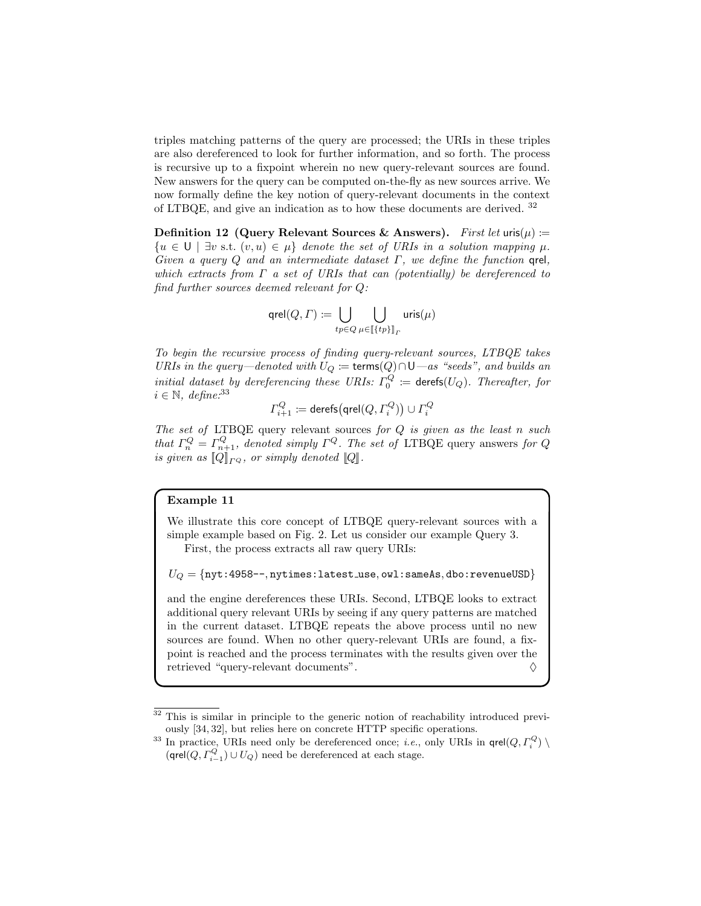triples matching patterns of the query are processed; the URIs in these triples are also dereferenced to look for further information, and so forth. The process is recursive up to a fixpoint wherein no new query-relevant sources are found. New answers for the query can be computed on-the-fly as new sources arrive. We now formally define the key notion of query-relevant documents in the context of LTBQE, and give an indication as to how these documents are derived. <sup>32</sup>

Definition 12 (Query Relevant Sources & Answers). First let uris( $\mu$ ) :=  ${u \in U \mid \exists v \text{ s.t. } (v, u) \in \mu}$  denote the set of URIs in a solution mapping  $\mu$ . Given a query  $Q$  and an intermediate dataset  $\Gamma$ , we define the function qrel, which extracts from  $\Gamma$  a set of URIs that can (potentially) be dereferenced to find further sources deemed relevant for Q:

$$
\text{qrel}(Q,\varGamma):=\bigcup_{tp\in Q}\bigcup_{\mu\in\lbrack\{\text{tp}\}\rbrack_\varGamma}\text{uris}(\mu)
$$

To begin the recursive process of finding query-relevant sources, LTBQE takes URIs in the query—denoted with  $U_Q := \text{terms}(Q) \cap \text{U}-as$  "seeds", and builds an initial dataset by dereferencing these URIs:  $\Gamma_0^Q := \text{deres}(U_Q)$ . Thereafter, for  $i \in \mathbb{N}$ , define:<sup>33</sup>

$$
\varGamma_{i+1}^Q:=\text{derefs}\big(\text{qrel}(Q,\varGamma_i^Q)\big)\cup\varGamma_i^Q
$$

The set of LTBQE query relevant sources for  $Q$  is given as the least n such that  $\Gamma_n^Q = \Gamma_{n+1}^Q$ , denoted simply  $\Gamma^Q$ . The set of LTBQE query answers for Q is given as  $\llbracket Q \rrbracket_{\Gamma^Q}$ , or simply denoted  $\llbracket Q \rrbracket$ .

# Example 11

We illustrate this core concept of LTBQE query-relevant sources with a simple example based on Fig. 2. Let us consider our example Query 3. First, the process extracts all raw query URIs:

 $U_Q = \{\texttt{nyt:4958--}, \texttt{nytimes:lastest_use,owl:sameAs}, \texttt{dbc:revenueUSD}\}$ 

and the engine dereferences these URIs. Second, LTBQE looks to extract additional query relevant URIs by seeing if any query patterns are matched in the current dataset. LTBQE repeats the above process until no new sources are found. When no other query-relevant URIs are found, a fixpoint is reached and the process terminates with the results given over the retrieved "query-relevant documents".  $\Diamond$ 

<sup>&</sup>lt;sup>32</sup> This is similar in principle to the generic notion of reachability introduced previously [34, 32], but relies here on concrete HTTP specific operations.

<sup>&</sup>lt;sup>33</sup> In practice, URIs need only be dereferenced once; *i.e.*, only URIs in  $\mathsf{qrel}(Q, \Gamma_i^Q) \setminus$  $(\text{qrel}(Q, \Gamma_{i-1}^Q) \cup U_Q)$  need be dereferenced at each stage.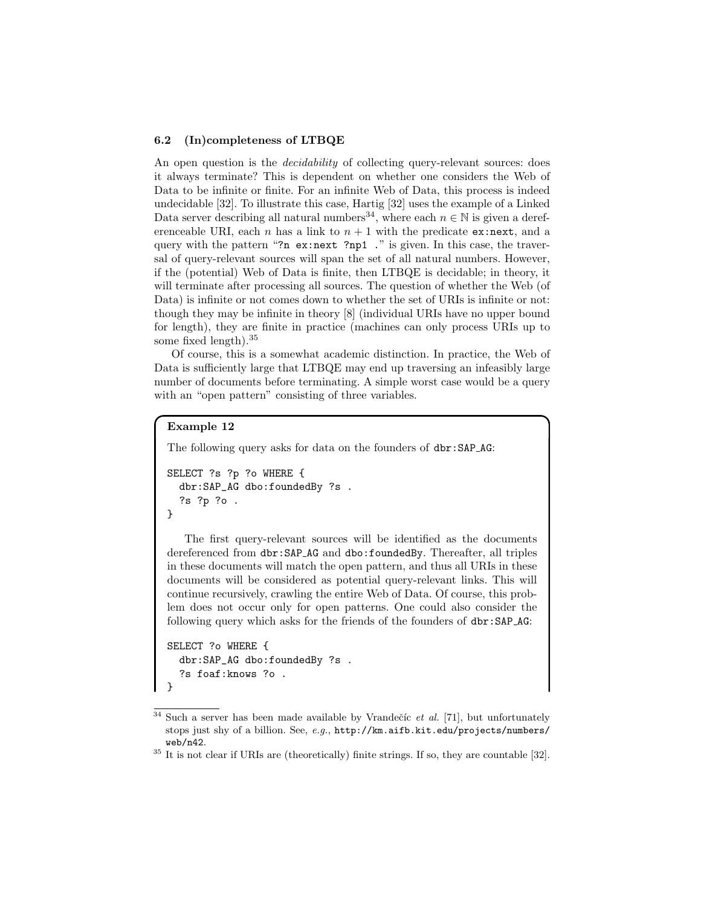### 6.2 (In)completeness of LTBQE

An open question is the *decidability* of collecting query-relevant sources: does it always terminate? This is dependent on whether one considers the Web of Data to be infinite or finite. For an infinite Web of Data, this process is indeed undecidable [32]. To illustrate this case, Hartig [32] uses the example of a Linked Data server describing all natural numbers<sup>34</sup>, where each  $n \in \mathbb{N}$  is given a dereferenceable URI, each *n* has a link to  $n + 1$  with the predicate ex:next, and a query with the pattern "?n ex:next ?np1 ." is given. In this case, the traversal of query-relevant sources will span the set of all natural numbers. However, if the (potential) Web of Data is finite, then LTBQE is decidable; in theory, it will terminate after processing all sources. The question of whether the Web (of Data) is infinite or not comes down to whether the set of URIs is infinite or not: though they may be infinite in theory [8] (individual URIs have no upper bound for length), they are finite in practice (machines can only process URIs up to some fixed length). $35$ 

Of course, this is a somewhat academic distinction. In practice, the Web of Data is sufficiently large that LTBQE may end up traversing an infeasibly large number of documents before terminating. A simple worst case would be a query with an "open pattern" consisting of three variables.

# Example 12

The following query asks for data on the founders of dbr:SAP AG:

```
SELECT ?s ?p ?o WHERE {
  dbr:SAP_AG dbo:foundedBy ?s .
  ?s ?p ?o .
}
```
The first query-relevant sources will be identified as the documents dereferenced from dbr:SAP AG and dbo:foundedBy. Thereafter, all triples in these documents will match the open pattern, and thus all URIs in these documents will be considered as potential query-relevant links. This will continue recursively, crawling the entire Web of Data. Of course, this problem does not occur only for open patterns. One could also consider the following query which asks for the friends of the founders of dbr:SAP AG:

```
SELECT ?o WHERE {
  dbr:SAP_AG dbo:foundedBy ?s .
  ?s foaf:knows ?o .
}
```
 $34$  Such a server has been made available by Vrandečíc et al. [71], but unfortunately stops just shy of a billion. See, e.g., http://km.aifb.kit.edu/projects/numbers/ web/n42.

 $35$  It is not clear if URIs are (theoretically) finite strings. If so, they are countable [32].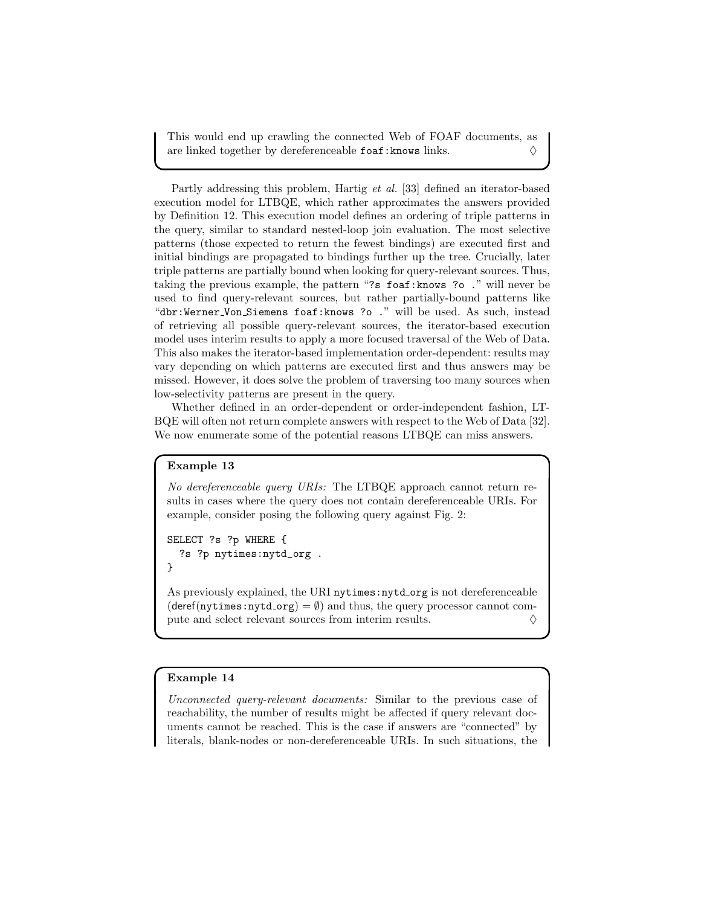This would end up crawling the connected Web of FOAF documents, as are linked together by dereferenceable  $\texttt{foaf:knows}$  links.  $\Diamond$ 

Partly addressing this problem, Hartig et al. [33] defined an iterator-based execution model for LTBQE, which rather approximates the answers provided by Definition 12. This execution model defines an ordering of triple patterns in the query, similar to standard nested-loop join evaluation. The most selective patterns (those expected to return the fewest bindings) are executed first and initial bindings are propagated to bindings further up the tree. Crucially, later triple patterns are partially bound when looking for query-relevant sources. Thus, taking the previous example, the pattern "?s foaf:knows ?o ." will never be used to find query-relevant sources, but rather partially-bound patterns like "dbr:Werner Von Siemens foaf:knows ?o ." will be used. As such, instead of retrieving all possible query-relevant sources, the iterator-based execution model uses interim results to apply a more focused traversal of the Web of Data. This also makes the iterator-based implementation order-dependent: results may vary depending on which patterns are executed first and thus answers may be missed. However, it does solve the problem of traversing too many sources when low-selectivity patterns are present in the query.

Whether defined in an order-dependent or order-independent fashion, LT-BQE will often not return complete answers with respect to the Web of Data [32]. We now enumerate some of the potential reasons LTBQE can miss answers.

# Example 13

No dereferenceable query URIs: The LTBQE approach cannot return results in cases where the query does not contain dereferenceable URIs. For example, consider posing the following query against Fig. 2:

```
SELECT ?s ?p WHERE {
  ?s ?p nytimes:nytd_org .
}
```
As previously explained, the URI nytimes:nytd org is not dereferenceable  $(\text{derf}(\text{nytimes:nytd.org}) = \emptyset)$  and thus, the query processor cannot compute and select relevant sources from interim results.  $\Diamond$ 

# Example 14

Unconnected query-relevant documents: Similar to the previous case of reachability, the number of results might be affected if query relevant documents cannot be reached. This is the case if answers are "connected" by literals, blank-nodes or non-dereferenceable URIs. In such situations, the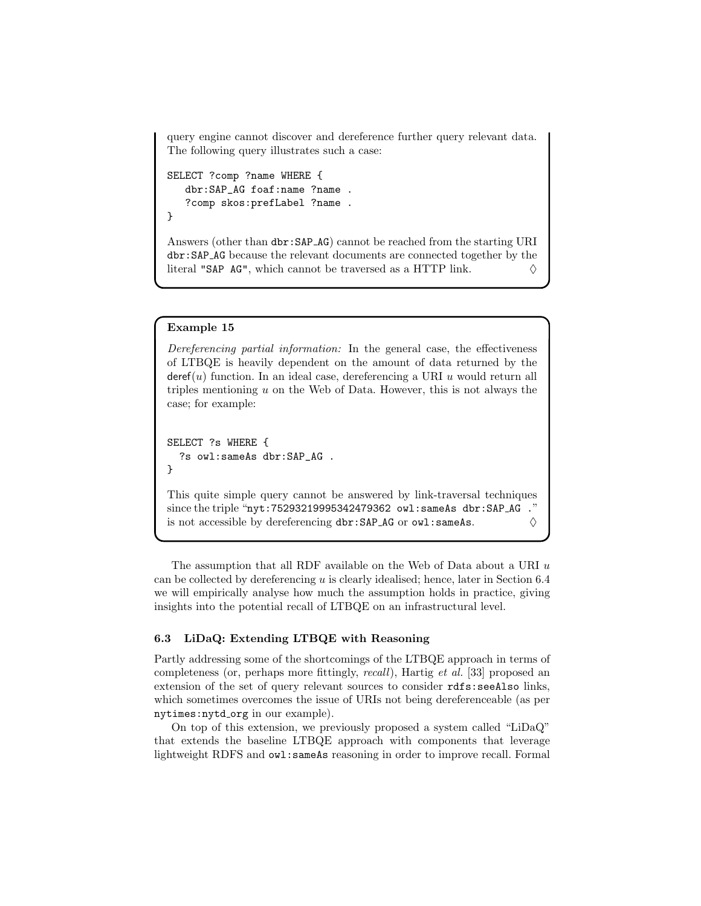query engine cannot discover and dereference further query relevant data. The following query illustrates such a case:

```
SELECT ?comp ?name WHERE {
   dbr:SAP_AG foaf:name ?name .
   ?comp skos:prefLabel ?name .
}
```
Answers (other than dbr:SAP AG) cannot be reached from the starting URI dbr:SAP AG because the relevant documents are connected together by the literal "SAP AG", which cannot be traversed as a HTTP link.  $\Diamond$ 

## Example 15

Dereferencing partial information: In the general case, the effectiveness of LTBQE is heavily dependent on the amount of data returned by the  $\text{deref}(u)$  function. In an ideal case, dereferencing a URI u would return all triples mentioning  $u$  on the Web of Data. However, this is not always the case; for example:

```
SELECT ?s WHERE {
  ?s owl:sameAs dbr:SAP_AG .
}
```
This quite simple query cannot be answered by link-traversal techniques since the triple "nyt:75293219995342479362 owl:sameAs dbr:SAP AG ." is not accessible by dereferencing  $\text{dbr: SAP\_AG}$  or  $\text{owl:sameAs.}$ 

The assumption that all RDF available on the Web of Data about a URI  $\boldsymbol{u}$ can be collected by dereferencing  $u$  is clearly idealised; hence, later in Section 6.4 we will empirically analyse how much the assumption holds in practice, giving insights into the potential recall of LTBQE on an infrastructural level.

### 6.3 LiDaQ: Extending LTBQE with Reasoning

Partly addressing some of the shortcomings of the LTBQE approach in terms of completeness (or, perhaps more fittingly, recall), Hartig et al. [33] proposed an extension of the set of query relevant sources to consider rdfs:seeAlso links, which sometimes overcomes the issue of URIs not being dereferenceable (as per nytimes:nytd org in our example).

On top of this extension, we previously proposed a system called "LiDaQ" that extends the baseline LTBQE approach with components that leverage lightweight RDFS and owl:sameAs reasoning in order to improve recall. Formal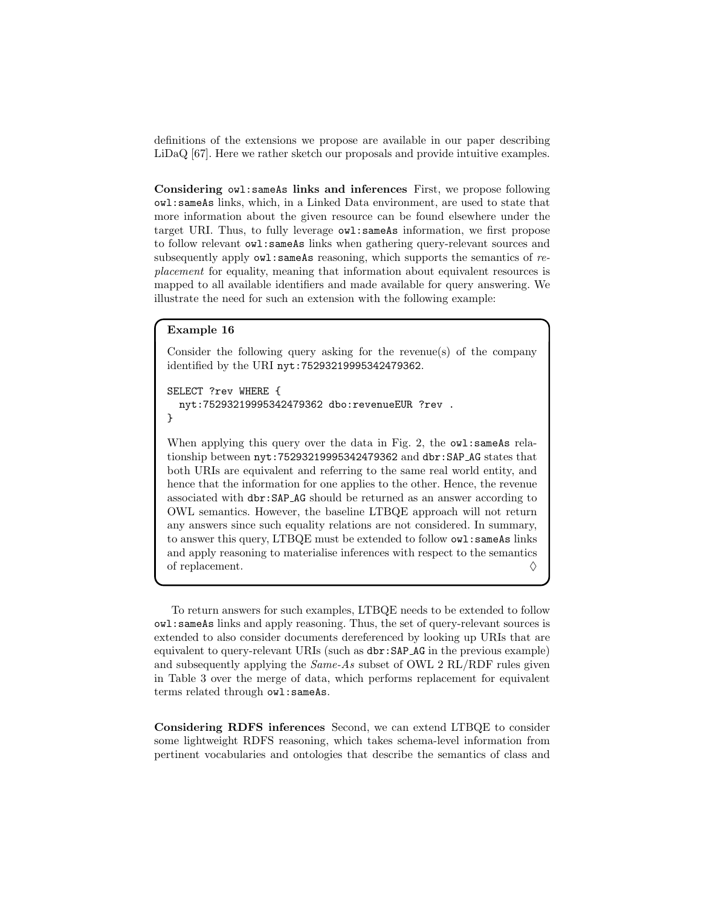definitions of the extensions we propose are available in our paper describing LiDaQ [67]. Here we rather sketch our proposals and provide intuitive examples.

Considering owl:sameAs links and inferences First, we propose following owl:sameAs links, which, in a Linked Data environment, are used to state that more information about the given resource can be found elsewhere under the target URI. Thus, to fully leverage owl:sameAs information, we first propose to follow relevant owl:sameAs links when gathering query-relevant sources and subsequently apply  $ow1:sameAs reasoning, which supports the semantics of re$ placement for equality, meaning that information about equivalent resources is mapped to all available identifiers and made available for query answering. We illustrate the need for such an extension with the following example:

### Example 16

Consider the following query asking for the revenue(s) of the company identified by the URI nyt:75293219995342479362.

```
SELECT ?rev WHERE {
 nyt:75293219995342479362 dbo:revenueEUR ?rev .
}
```
When applying this query over the data in Fig. 2, the owl: sameAs relationship between nyt:75293219995342479362 and dbr:SAP AG states that both URIs are equivalent and referring to the same real world entity, and hence that the information for one applies to the other. Hence, the revenue associated with dbr:SAP AG should be returned as an answer according to OWL semantics. However, the baseline LTBQE approach will not return any answers since such equality relations are not considered. In summary, to answer this query, LTBQE must be extended to follow owl:sameAs links and apply reasoning to materialise inferences with respect to the semantics of replacement.  $\Diamond$ 

To return answers for such examples, LTBQE needs to be extended to follow owl:sameAs links and apply reasoning. Thus, the set of query-relevant sources is extended to also consider documents dereferenced by looking up URIs that are equivalent to query-relevant URIs (such as dbr:SAP AG in the previous example) and subsequently applying the *Same-As* subset of OWL 2 RL/RDF rules given in Table 3 over the merge of data, which performs replacement for equivalent terms related through owl:sameAs.

Considering RDFS inferences Second, we can extend LTBQE to consider some lightweight RDFS reasoning, which takes schema-level information from pertinent vocabularies and ontologies that describe the semantics of class and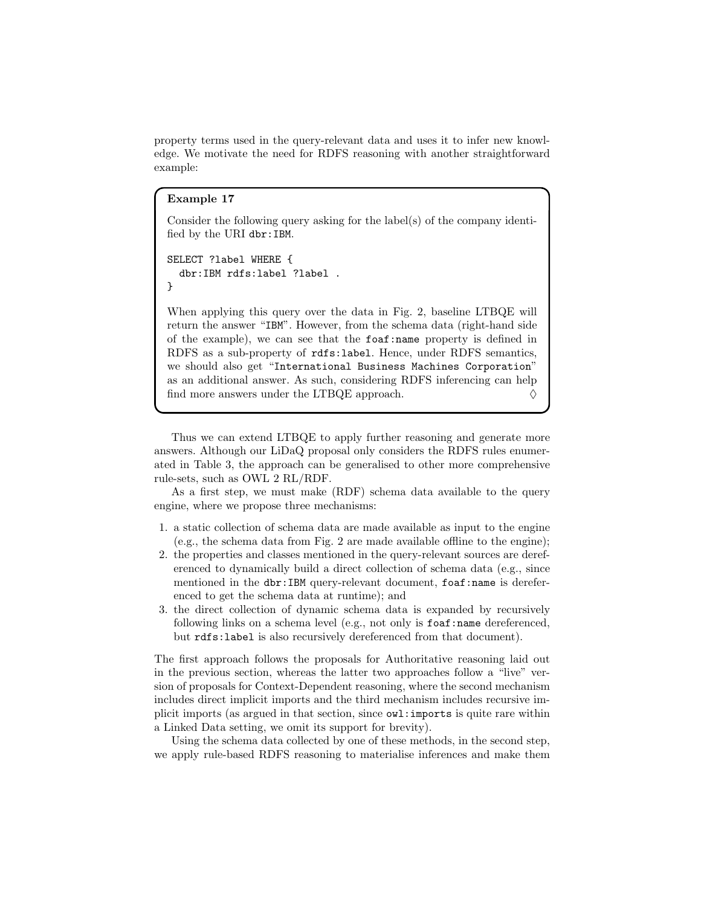property terms used in the query-relevant data and uses it to infer new knowledge. We motivate the need for RDFS reasoning with another straightforward example:

#### Example 17

Consider the following query asking for the label(s) of the company identified by the URI dbr:IBM.

```
SELECT ?label WHERE {
  dbr:IBM rdfs:label ?label .
}
```
When applying this query over the data in Fig. 2, baseline LTBQE will return the answer "IBM". However, from the schema data (right-hand side of the example), we can see that the foaf:name property is defined in RDFS as a sub-property of rdfs:label. Hence, under RDFS semantics, we should also get "International Business Machines Corporation" as an additional answer. As such, considering RDFS inferencing can help find more answers under the LTBQE approach.  $\Diamond$ 

Thus we can extend LTBQE to apply further reasoning and generate more answers. Although our LiDaQ proposal only considers the RDFS rules enumerated in Table 3, the approach can be generalised to other more comprehensive rule-sets, such as OWL 2 RL/RDF.

As a first step, we must make (RDF) schema data available to the query engine, where we propose three mechanisms:

- 1. a static collection of schema data are made available as input to the engine (e.g., the schema data from Fig. 2 are made available offline to the engine);
- 2. the properties and classes mentioned in the query-relevant sources are dereferenced to dynamically build a direct collection of schema data (e.g., since mentioned in the dbr:IBM query-relevant document, foaf:name is dereferenced to get the schema data at runtime); and
- 3. the direct collection of dynamic schema data is expanded by recursively following links on a schema level (e.g., not only is foaf:name dereferenced, but rdfs:label is also recursively dereferenced from that document).

The first approach follows the proposals for Authoritative reasoning laid out in the previous section, whereas the latter two approaches follow a "live" version of proposals for Context-Dependent reasoning, where the second mechanism includes direct implicit imports and the third mechanism includes recursive implicit imports (as argued in that section, since owl:imports is quite rare within a Linked Data setting, we omit its support for brevity).

Using the schema data collected by one of these methods, in the second step, we apply rule-based RDFS reasoning to materialise inferences and make them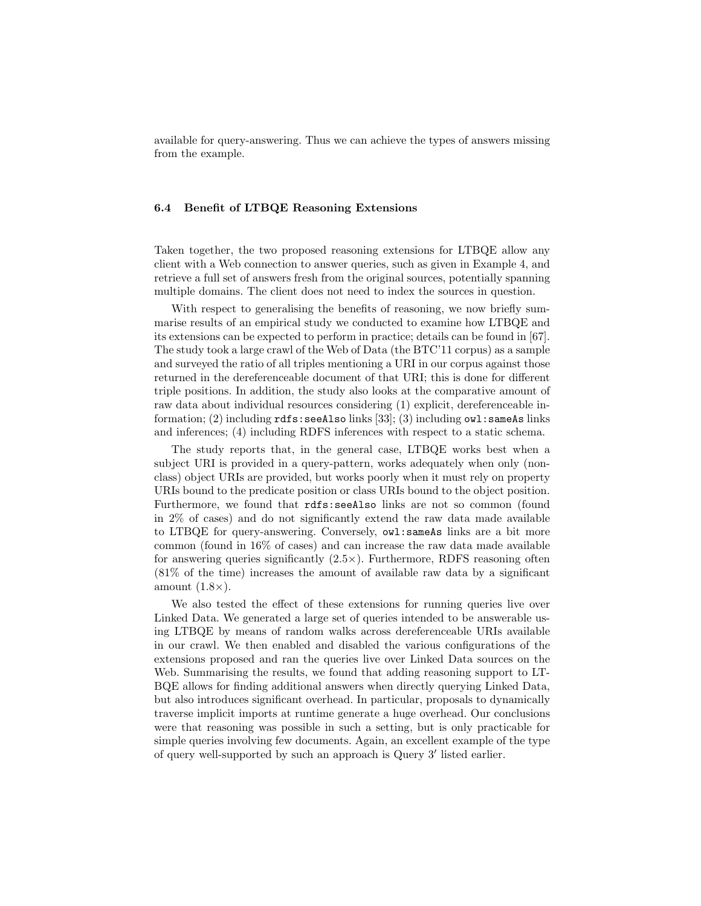available for query-answering. Thus we can achieve the types of answers missing from the example.

## 6.4 Benefit of LTBQE Reasoning Extensions

Taken together, the two proposed reasoning extensions for LTBQE allow any client with a Web connection to answer queries, such as given in Example 4, and retrieve a full set of answers fresh from the original sources, potentially spanning multiple domains. The client does not need to index the sources in question.

With respect to generalising the benefits of reasoning, we now briefly summarise results of an empirical study we conducted to examine how LTBQE and its extensions can be expected to perform in practice; details can be found in [67]. The study took a large crawl of the Web of Data (the BTC'11 corpus) as a sample and surveyed the ratio of all triples mentioning a URI in our corpus against those returned in the dereferenceable document of that URI; this is done for different triple positions. In addition, the study also looks at the comparative amount of raw data about individual resources considering (1) explicit, dereferenceable information; (2) including  $\texttt{rdfs:seeAlso}$  links [33]; (3) including owl:sameAs links and inferences; (4) including RDFS inferences with respect to a static schema.

The study reports that, in the general case, LTBQE works best when a subject URI is provided in a query-pattern, works adequately when only (nonclass) object URIs are provided, but works poorly when it must rely on property URIs bound to the predicate position or class URIs bound to the object position. Furthermore, we found that rdfs:seeAlso links are not so common (found in 2% of cases) and do not significantly extend the raw data made available to LTBQE for query-answering. Conversely, owl:sameAs links are a bit more common (found in 16% of cases) and can increase the raw data made available for answering queries significantly  $(2.5\times)$ . Furthermore, RDFS reasoning often (81% of the time) increases the amount of available raw data by a significant amount  $(1.8\times)$ .

We also tested the effect of these extensions for running queries live over Linked Data. We generated a large set of queries intended to be answerable using LTBQE by means of random walks across dereferenceable URIs available in our crawl. We then enabled and disabled the various configurations of the extensions proposed and ran the queries live over Linked Data sources on the Web. Summarising the results, we found that adding reasoning support to LT-BQE allows for finding additional answers when directly querying Linked Data, but also introduces significant overhead. In particular, proposals to dynamically traverse implicit imports at runtime generate a huge overhead. Our conclusions were that reasoning was possible in such a setting, but is only practicable for simple queries involving few documents. Again, an excellent example of the type of query well-supported by such an approach is Query 3' listed earlier.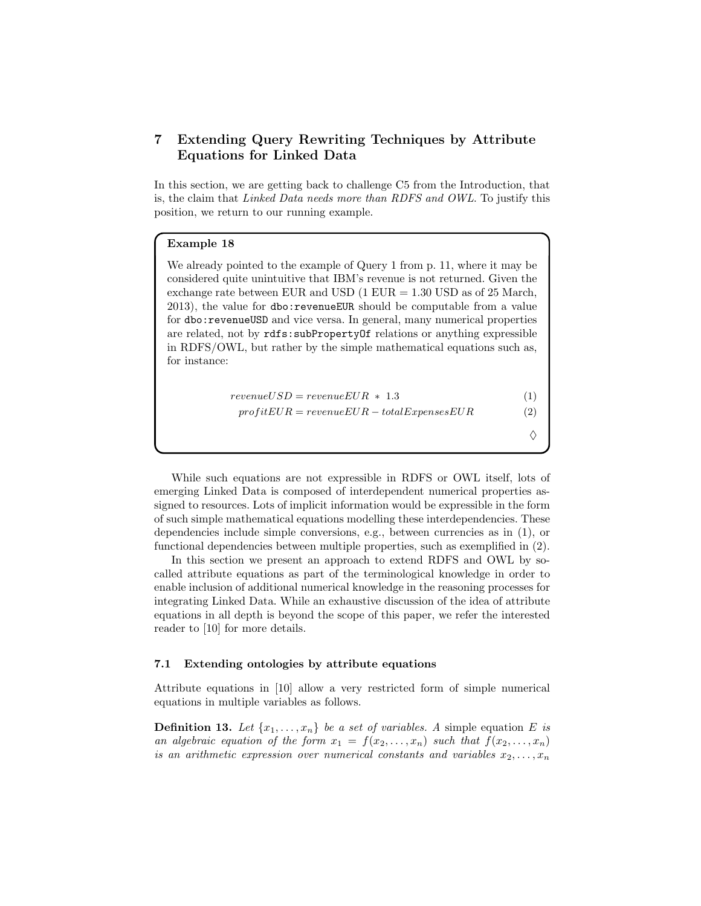# 7 Extending Query Rewriting Techniques by Attribute Equations for Linked Data

In this section, we are getting back to challenge C5 from the Introduction, that is, the claim that Linked Data needs more than RDFS and OWL. To justify this position, we return to our running example.

## Example 18

We already pointed to the example of Query 1 from p. 11, where it may be considered quite unintuitive that IBM's revenue is not returned. Given the exchange rate between EUR and USD  $(1 \text{ EUR} = 1.30 \text{ USD}$  as of 25 March, 2013), the value for dbo:revenueEUR should be computable from a value for dbo:revenueUSD and vice versa. In general, many numerical properties are related, not by rdfs:subPropertyOf relations or anything expressible in RDFS/OWL, but rather by the simple mathematical equations such as, for instance:

> $revenueUSD = revenueEUR * 1.3$  (1)  $profitEUR = revenueEUR - totalExpensesEUR$  (2)

 $\Diamond$ 

While such equations are not expressible in RDFS or OWL itself, lots of emerging Linked Data is composed of interdependent numerical properties assigned to resources. Lots of implicit information would be expressible in the form of such simple mathematical equations modelling these interdependencies. These dependencies include simple conversions, e.g., between currencies as in (1), or functional dependencies between multiple properties, such as exemplified in (2).

In this section we present an approach to extend RDFS and OWL by socalled attribute equations as part of the terminological knowledge in order to enable inclusion of additional numerical knowledge in the reasoning processes for integrating Linked Data. While an exhaustive discussion of the idea of attribute equations in all depth is beyond the scope of this paper, we refer the interested reader to [10] for more details.

#### 7.1 Extending ontologies by attribute equations

Attribute equations in [10] allow a very restricted form of simple numerical equations in multiple variables as follows.

**Definition 13.** Let  $\{x_1, \ldots, x_n\}$  be a set of variables. A simple equation E is an algebraic equation of the form  $x_1 = f(x_2, \ldots, x_n)$  such that  $f(x_2, \ldots, x_n)$ is an arithmetic expression over numerical constants and variables  $x_2, \ldots, x_n$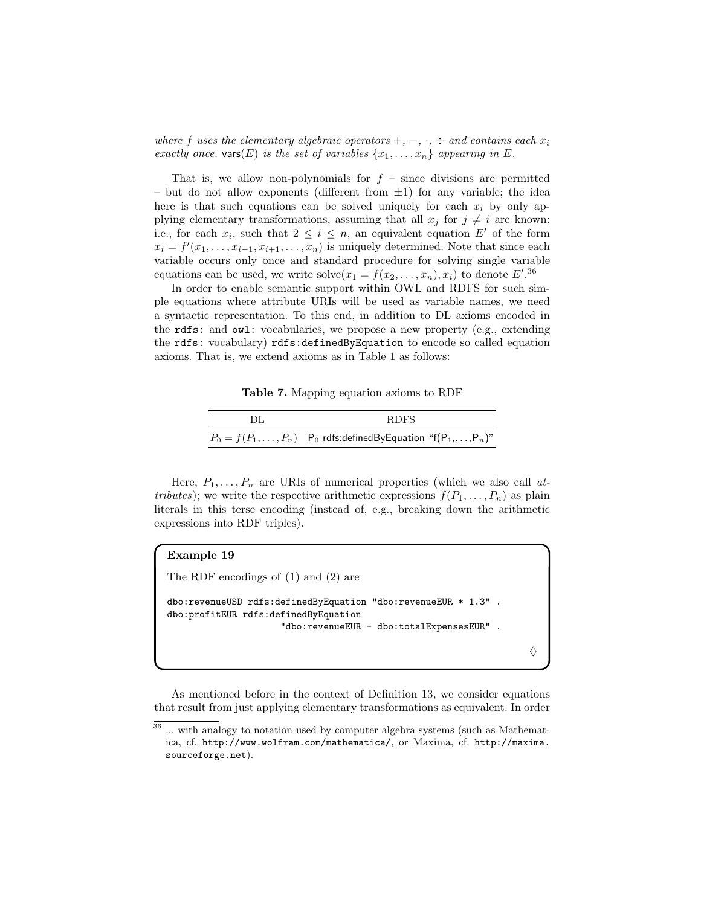where f uses the elementary algebraic operators  $+$ ,  $-$ ,  $\cdot$ ,  $\div$  and contains each  $x_i$ exactly once. vars $(E)$  is the set of variables  $\{x_1, \ldots, x_n\}$  appearing in E.

That is, we allow non-polynomials for  $f$  – since divisions are permitted – but do not allow exponents (different from  $\pm 1$ ) for any variable; the idea here is that such equations can be solved uniquely for each  $x_i$  by only applying elementary transformations, assuming that all  $x_j$  for  $j \neq i$  are known: i.e., for each  $x_i$ , such that  $2 \leq i \leq n$ , an equivalent equation E' of the form  $x_i = f'(x_1, \ldots, x_{i-1}, x_{i+1}, \ldots, x_n)$  is uniquely determined. Note that since each variable occurs only once and standard procedure for solving single variable equations can be used, we write solve $(x_1 = f(x_2, \ldots, x_n), x_i)$  to denote  $E'.^{36}$ 

In order to enable semantic support within OWL and RDFS for such simple equations where attribute URIs will be used as variable names, we need a syntactic representation. To this end, in addition to DL axioms encoded in the rdfs: and owl: vocabularies, we propose a new property (e.g., extending the rdfs: vocabulary) rdfs:definedByEquation to encode so called equation axioms. That is, we extend axioms as in Table 1 as follows:

Table 7. Mapping equation axioms to RDF

| <b>RDFS</b>                                                                                               |
|-----------------------------------------------------------------------------------------------------------|
| $P_0 = f(P_1, \ldots, P_n)$ P <sub>0</sub> rdfs:definedByEquation "f(P <sub>1</sub> , , P <sub>n</sub> )" |

Here,  $P_1, \ldots, P_n$  are URIs of numerical properties (which we also call attributes); we write the respective arithmetic expressions  $f(P_1, \ldots, P_n)$  as plain literals in this terse encoding (instead of, e.g., breaking down the arithmetic expressions into RDF triples).

```
Example 19
The RDF encodings of (1) and (2) are
dbo:revenueUSD rdfs:definedByEquation "dbo:revenueEUR * 1.3"
dbo:profitEUR rdfs:definedByEquation
                         "dob: revenue \texttt{EUR -} \texttt{dbc:totalExpenses} \texttt{EUR"}\\\Diamond
```
As mentioned before in the context of Definition 13, we consider equations that result from just applying elementary transformations as equivalent. In order

<sup>36</sup> ... with analogy to notation used by computer algebra systems (such as Mathematica, cf. http://www.wolfram.com/mathematica/, or Maxima, cf. http://maxima. sourceforge.net).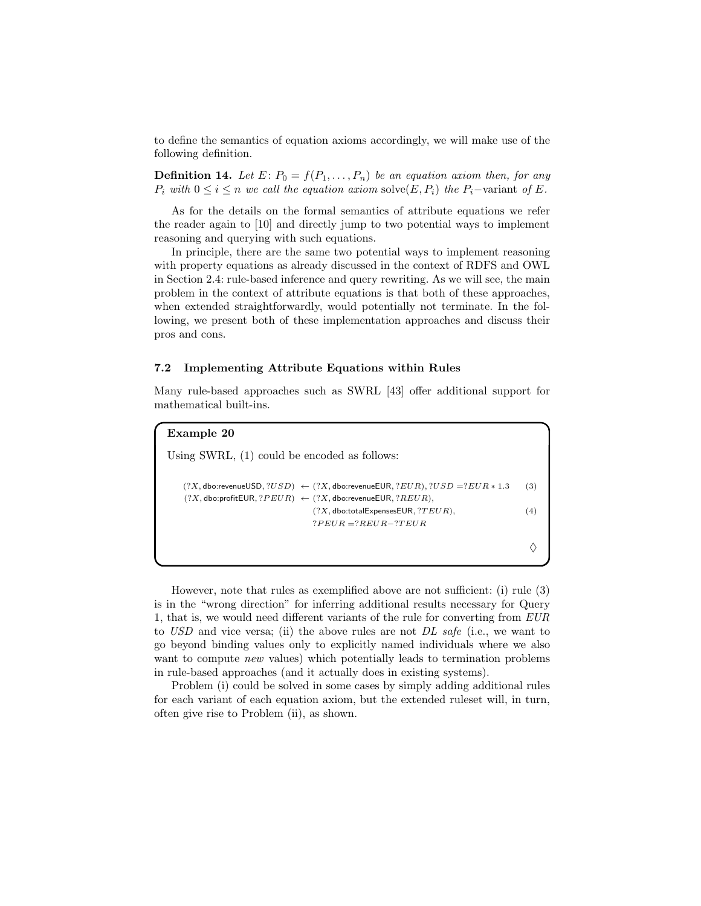to define the semantics of equation axioms accordingly, we will make use of the following definition.

**Definition 14.** Let  $E: P_0 = f(P_1, \ldots, P_n)$  be an equation axiom then, for any  $P_i$  with  $0 \le i \le n$  we call the equation axiom solve $(E, P_i)$  the  $P_i$ -variant of E.

As for the details on the formal semantics of attribute equations we refer the reader again to [10] and directly jump to two potential ways to implement reasoning and querying with such equations.

In principle, there are the same two potential ways to implement reasoning with property equations as already discussed in the context of RDFS and OWL in Section 2.4: rule-based inference and query rewriting. As we will see, the main problem in the context of attribute equations is that both of these approaches, when extended straightforwardly, would potentially not terminate. In the following, we present both of these implementation approaches and discuss their pros and cons.

## 7.2 Implementing Attribute Equations within Rules

Many rule-based approaches such as SWRL [43] offer additional support for mathematical built-ins.

## Example 20

Using SWRL, (1) could be encoded as follows:

```
(?X, \text{dbo:revenueUSD}, ?USD) \leftarrow (?X, \text{dbo:revenueEUR}, ?EUR), ?USD = ?EUR * 1.3 (3)
(?X, \text{dbo:profitEUR}, ?PEUR) \leftarrow (?X, \text{dbo:revenueEUR}, ?REDIR),(?X, \text{dbo:totalExpensesEUR}, ?TEUR), (4)
                                  ?PEUR = ?REUR - ?TEUR
```
♦

However, note that rules as exemplified above are not sufficient: (i) rule (3) is in the "wrong direction" for inferring additional results necessary for Query 1, that is, we would need different variants of the rule for converting from EUR to USD and vice versa; (ii) the above rules are not  $DL$  safe (i.e., we want to go beyond binding values only to explicitly named individuals where we also want to compute *new* values) which potentially leads to termination problems in rule-based approaches (and it actually does in existing systems).

Problem (i) could be solved in some cases by simply adding additional rules for each variant of each equation axiom, but the extended ruleset will, in turn, often give rise to Problem (ii), as shown.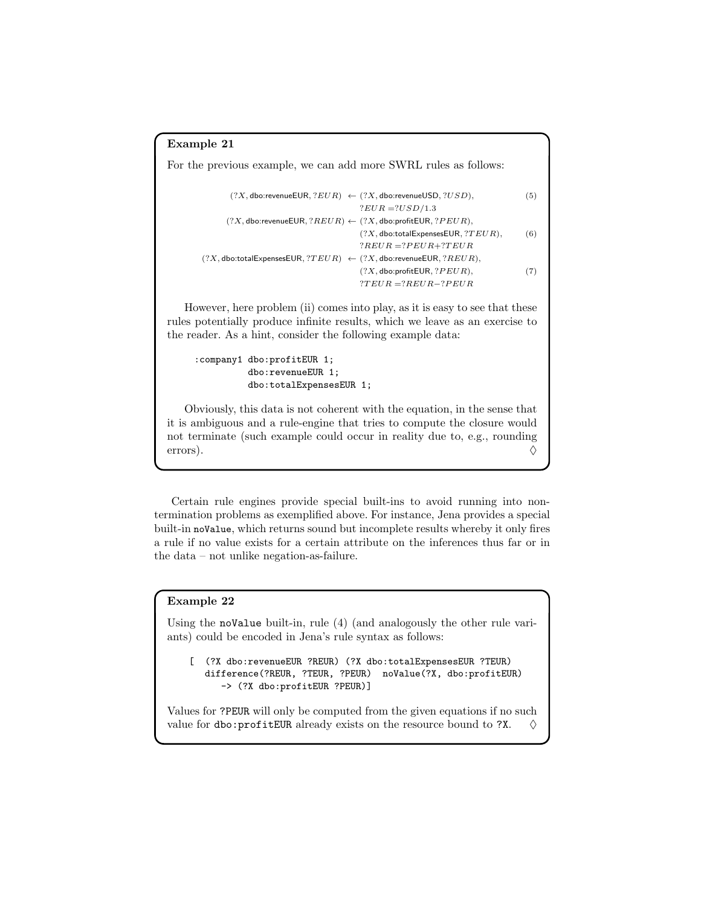## Example 21

For the previous example, we can add more SWRL rules as follows:

| $(?X, dbo: revenueEUR, ?EUR) \leftarrow (?X, dbo: revenueUSD, ?USD),$                     | (5) |
|-------------------------------------------------------------------------------------------|-----|
| $?EUR = ?USD/1.3$                                                                         |     |
| $(?X, dbo: revenueEUR, ?REUR) \leftarrow (?X, dbo:profitEUR, ?PEUR),$                     |     |
| $(?X,$ dbo:totalExpensesEUR, $?TEUR$ ),                                                   | (6) |
| $?REUR = ?PEUR + ?TEUR$                                                                   |     |
| $(?X, \text{dbo:totalExpressEUR}, ?TEUR) \leftarrow (?X, \text{dbo: revenueEUR}, ?REUR),$ |     |
| $(?X, \text{dbo:profitEUR}, ?PEUR),$                                                      | (7) |
| $?TEUR = ?REUR - ?PEUR$                                                                   |     |

However, here problem (ii) comes into play, as it is easy to see that these rules potentially produce infinite results, which we leave as an exercise to the reader. As a hint, consider the following example data:

:company1 dbo:profitEUR 1; dbo:revenueEUR 1; dbo:totalExpensesEUR 1;

Obviously, this data is not coherent with the equation, in the sense that it is ambiguous and a rule-engine that tries to compute the closure would not terminate (such example could occur in reality due to, e.g., rounding errors).

Certain rule engines provide special built-ins to avoid running into nontermination problems as exemplified above. For instance, Jena provides a special built-in noValue, which returns sound but incomplete results whereby it only fires a rule if no value exists for a certain attribute on the inferences thus far or in the data – not unlike negation-as-failure.

# Example 22

Using the noValue built-in, rule (4) (and analogously the other rule variants) could be encoded in Jena's rule syntax as follows:

[ (?X dbo:revenueEUR ?REUR) (?X dbo:totalExpensesEUR ?TEUR) difference(?REUR, ?TEUR, ?PEUR) noValue(?X, dbo:profitEUR) -> (?X dbo:profitEUR ?PEUR)]

Values for ?PEUR will only be computed from the given equations if no such value for dbo: profitEUR already exists on the resource bound to ?X.  $\Diamond$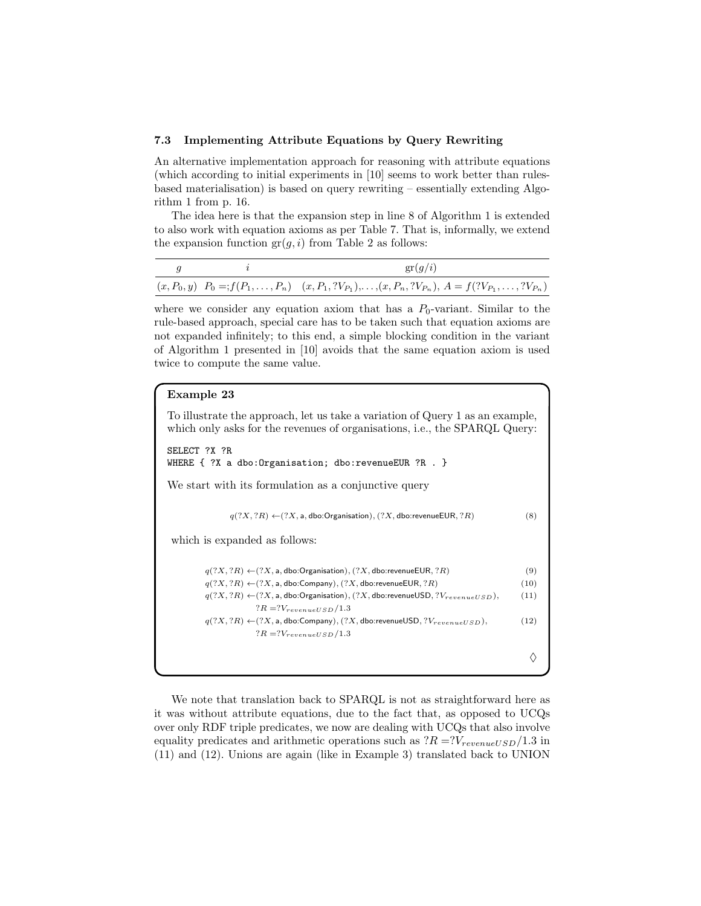### 7.3 Implementing Attribute Equations by Query Rewriting

An alternative implementation approach for reasoning with attribute equations (which according to initial experiments in [10] seems to work better than rulesbased materialisation) is based on query rewriting – essentially extending Algorithm 1 from p. 16.

The idea here is that the expansion step in line 8 of Algorithm 1 is extended to also work with equation axioms as per Table 7. That is, informally, we extend the expansion function  $gr(g, i)$  from Table 2 as follows:

|  | gr(q/i)                                                                                                                       |
|--|-------------------------------------------------------------------------------------------------------------------------------|
|  | $(x, P_0, y)$ $P_0 = f(P_1, \ldots, P_n)$ $(x, P_1, ?V_{P_1}), \ldots, (x, P_n, ?V_{P_n}), A = f(?V_{P_1}, \ldots, ?V_{P_n})$ |

where we consider any equation axiom that has a  $P_0$ -variant. Similar to the rule-based approach, special care has to be taken such that equation axioms are not expanded infinitely; to this end, a simple blocking condition in the variant of Algorithm 1 presented in [10] avoids that the same equation axiom is used twice to compute the same value.

## Example 23

To illustrate the approach, let us take a variation of Query 1 as an example, which only asks for the revenues of organisations, i.e., the SPARQL Query: SELECT ?X ?R WHERE { ?X a dbo: Organisation; dbo: revenueEUR ?R . } We start with its formulation as a conjunctive query  $q(?X, ?R) \leftarrow (?X, \mathsf{a}, \mathsf{dbo:Organisation}), (?X, \mathsf{dbo:revenueEUR}, ?R)$  (8) which is expanded as follows:  $q(?X, ?R) \leftarrow (?X, a, dbo:Organisation), (?X, dbo:revenueEUR, ?R)$  (9)  $q(?X, ?R) \leftarrow (?X, a, dbo:Company), (?X, dbo:revenueEUR, ?R)$  (10)  $q(?X, ?R) \leftarrow (?X, a, dbo:Organisation), (?X, dbo:revenueUSD, ?V_{revenueUSD}),$  (11)  $?R = ?V_{revenueUSD}/1.3$  $q(?X, ?R) \leftarrow (?X, a, dbo: Company), (?X, dbo: revenueUSD, ?V_{revenueUSD}),$  (12)  $?R = ?V_{revenueUSD}/1.3$ ♦

We note that translation back to SPARQL is not as straightforward here as it was without attribute equations, due to the fact that, as opposed to UCQs over only RDF triple predicates, we now are dealing with UCQs that also involve equality predicates and arithmetic operations such as  $?R = ?V_{revenue USD}/1.3$  in (11) and (12). Unions are again (like in Example 3) translated back to UNION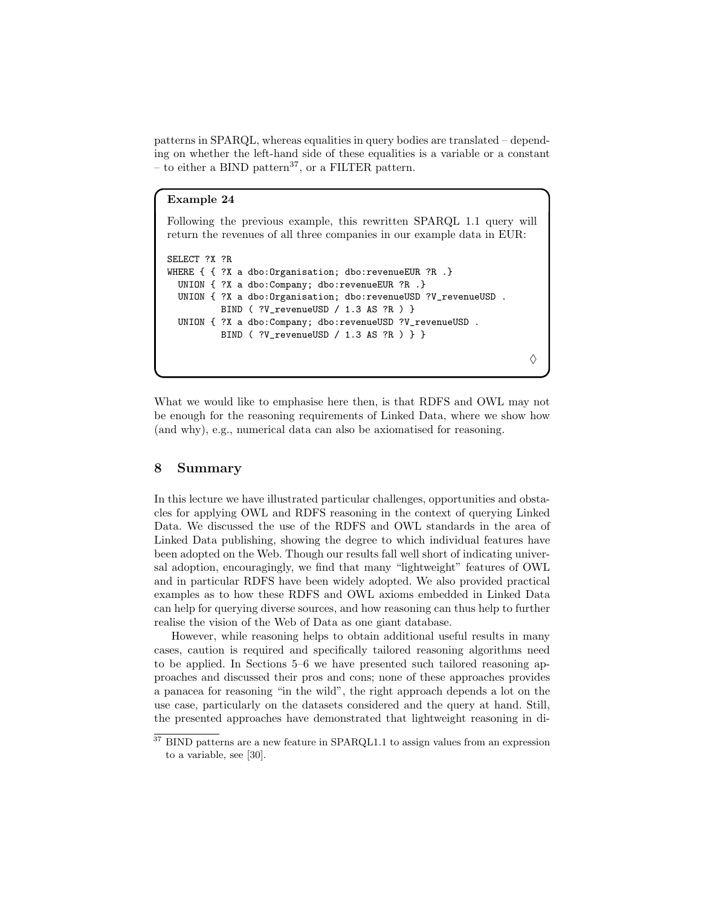patterns in SPARQL, whereas equalities in query bodies are translated – depending on whether the left-hand side of these equalities is a variable or a constant – to either a BIND pattern<sup>37</sup>, or a FILTER pattern.

## Example 24

Following the previous example, this rewritten SPARQL 1.1 query will return the revenues of all three companies in our example data in EUR:

```
SELECT ?X ?R
WHERE { { ?X a dbo: Organisation; dbo: revenueEUR ?R .}
  UNION { ?X a dbo:Company; dbo:revenueEUR ?R .}
  UNION { ?X a dbo:Organisation; dbo:revenueUSD ?V_revenueUSD .
          BIND ( ?V_revenueUSD / 1.3 AS ?R ) }
 UNION { ?X a dbo:Company; dbo:revenueUSD ?V_revenueUSD .
          BIND ( ?V_revenueUSD / 1.3 AS ?R ) } }
```
What we would like to emphasise here then, is that RDFS and OWL may not be enough for the reasoning requirements of Linked Data, where we show how (and why), e.g., numerical data can also be axiomatised for reasoning.

 $\diamond$ 

# 8 Summary

In this lecture we have illustrated particular challenges, opportunities and obstacles for applying OWL and RDFS reasoning in the context of querying Linked Data. We discussed the use of the RDFS and OWL standards in the area of Linked Data publishing, showing the degree to which individual features have been adopted on the Web. Though our results fall well short of indicating universal adoption, encouragingly, we find that many "lightweight" features of OWL and in particular RDFS have been widely adopted. We also provided practical examples as to how these RDFS and OWL axioms embedded in Linked Data can help for querying diverse sources, and how reasoning can thus help to further realise the vision of the Web of Data as one giant database.

However, while reasoning helps to obtain additional useful results in many cases, caution is required and specifically tailored reasoning algorithms need to be applied. In Sections 5–6 we have presented such tailored reasoning approaches and discussed their pros and cons; none of these approaches provides a panacea for reasoning "in the wild", the right approach depends a lot on the use case, particularly on the datasets considered and the query at hand. Still, the presented approaches have demonstrated that lightweight reasoning in di-

<sup>&</sup>lt;sup>37</sup> BIND patterns are a new feature in SPARQL1.1 to assign values from an expression to a variable, see [30].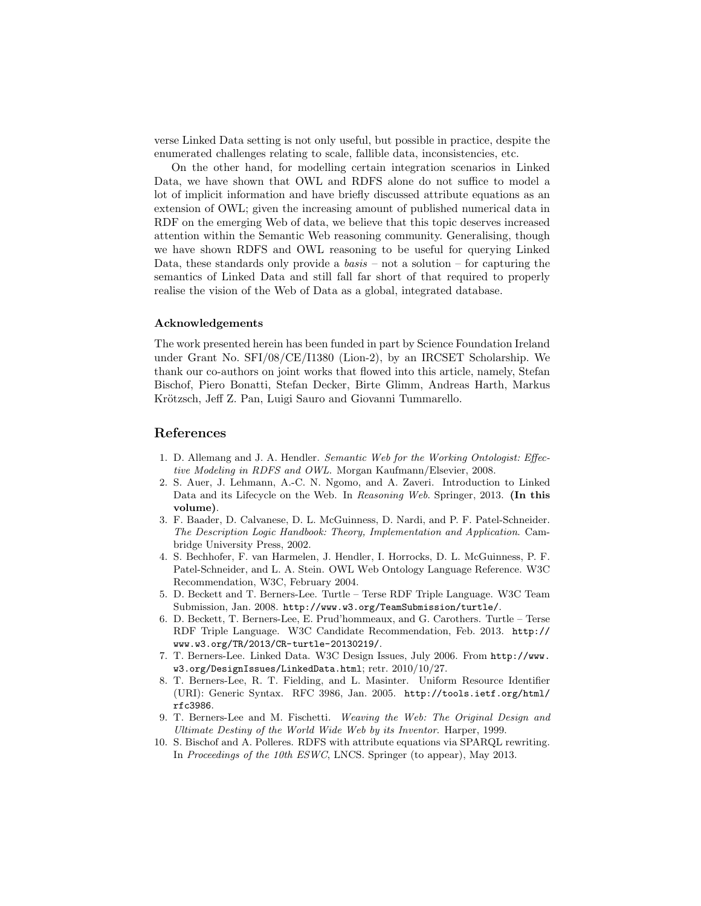verse Linked Data setting is not only useful, but possible in practice, despite the enumerated challenges relating to scale, fallible data, inconsistencies, etc.

On the other hand, for modelling certain integration scenarios in Linked Data, we have shown that OWL and RDFS alone do not suffice to model a lot of implicit information and have briefly discussed attribute equations as an extension of OWL; given the increasing amount of published numerical data in RDF on the emerging Web of data, we believe that this topic deserves increased attention within the Semantic Web reasoning community. Generalising, though we have shown RDFS and OWL reasoning to be useful for querying Linked Data, these standards only provide a  $basis$  – not a solution – for capturing the semantics of Linked Data and still fall far short of that required to properly realise the vision of the Web of Data as a global, integrated database.

#### Acknowledgements

The work presented herein has been funded in part by Science Foundation Ireland under Grant No. SFI/08/CE/I1380 (Lion-2), by an IRCSET Scholarship. We thank our co-authors on joint works that flowed into this article, namely, Stefan Bischof, Piero Bonatti, Stefan Decker, Birte Glimm, Andreas Harth, Markus Krötzsch, Jeff Z. Pan, Luigi Sauro and Giovanni Tummarello.

# References

- 1. D. Allemang and J. A. Hendler. Semantic Web for the Working Ontologist: Effective Modeling in RDFS and OWL. Morgan Kaufmann/Elsevier, 2008.
- 2. S. Auer, J. Lehmann, A.-C. N. Ngomo, and A. Zaveri. Introduction to Linked Data and its Lifecycle on the Web. In Reasoning Web. Springer, 2013. (In this volume).
- 3. F. Baader, D. Calvanese, D. L. McGuinness, D. Nardi, and P. F. Patel-Schneider. The Description Logic Handbook: Theory, Implementation and Application. Cambridge University Press, 2002.
- 4. S. Bechhofer, F. van Harmelen, J. Hendler, I. Horrocks, D. L. McGuinness, P. F. Patel-Schneider, and L. A. Stein. OWL Web Ontology Language Reference. W3C Recommendation, W3C, February 2004.
- 5. D. Beckett and T. Berners-Lee. Turtle Terse RDF Triple Language. W3C Team Submission, Jan. 2008. http://www.w3.org/TeamSubmission/turtle/.
- 6. D. Beckett, T. Berners-Lee, E. Prud'hommeaux, and G. Carothers. Turtle Terse RDF Triple Language. W3C Candidate Recommendation, Feb. 2013. http:// www.w3.org/TR/2013/CR-turtle-20130219/.
- 7. T. Berners-Lee. Linked Data. W3C Design Issues, July 2006. From http://www. w3.org/DesignIssues/LinkedData.html; retr. 2010/10/27.
- 8. T. Berners-Lee, R. T. Fielding, and L. Masinter. Uniform Resource Identifier (URI): Generic Syntax. RFC 3986, Jan. 2005. http://tools.ietf.org/html/ rfc3986.
- 9. T. Berners-Lee and M. Fischetti. Weaving the Web: The Original Design and Ultimate Destiny of the World Wide Web by its Inventor. Harper, 1999.
- 10. S. Bischof and A. Polleres. RDFS with attribute equations via SPARQL rewriting. In Proceedings of the 10th ESWC, LNCS. Springer (to appear), May 2013.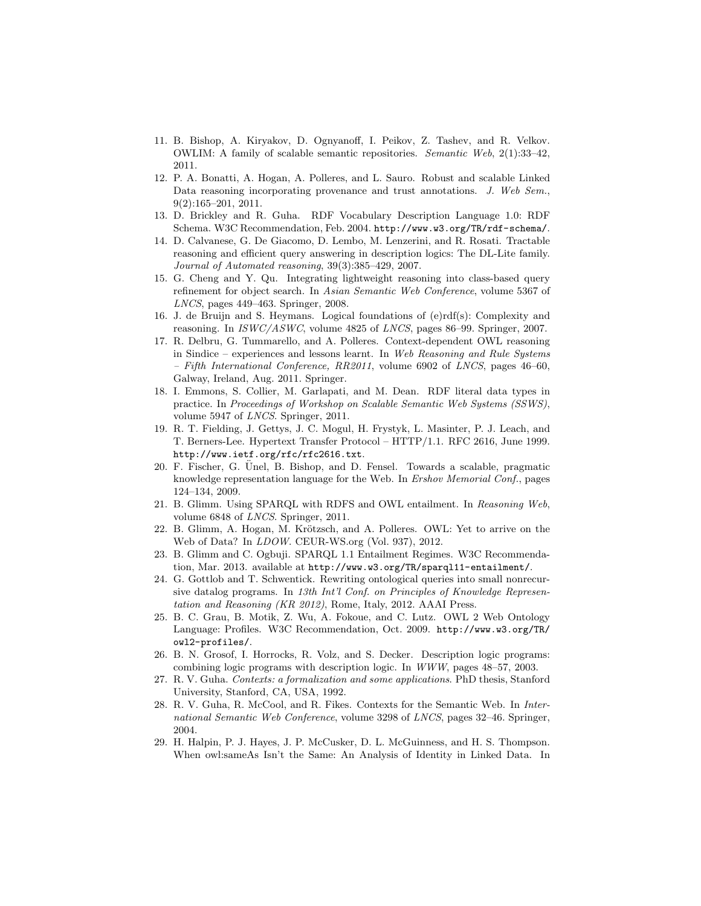- 11. B. Bishop, A. Kiryakov, D. Ognyanoff, I. Peikov, Z. Tashev, and R. Velkov. OWLIM: A family of scalable semantic repositories. Semantic Web, 2(1):33–42, 2011.
- 12. P. A. Bonatti, A. Hogan, A. Polleres, and L. Sauro. Robust and scalable Linked Data reasoning incorporating provenance and trust annotations. J. Web Sem., 9(2):165–201, 2011.
- 13. D. Brickley and R. Guha. RDF Vocabulary Description Language 1.0: RDF Schema. W3C Recommendation, Feb. 2004. http://www.w3.org/TR/rdf-schema/.
- 14. D. Calvanese, G. De Giacomo, D. Lembo, M. Lenzerini, and R. Rosati. Tractable reasoning and efficient query answering in description logics: The DL-Lite family. Journal of Automated reasoning, 39(3):385–429, 2007.
- 15. G. Cheng and Y. Qu. Integrating lightweight reasoning into class-based query refinement for object search. In Asian Semantic Web Conference, volume 5367 of LNCS, pages 449–463. Springer, 2008.
- 16. J. de Bruijn and S. Heymans. Logical foundations of (e)rdf(s): Complexity and reasoning. In ISWC/ASWC, volume 4825 of LNCS, pages 86–99. Springer, 2007.
- 17. R. Delbru, G. Tummarello, and A. Polleres. Context-dependent OWL reasoning in Sindice – experiences and lessons learnt. In Web Reasoning and Rule Systems – Fifth International Conference,  $RR2011$ , volume 6902 of LNCS, pages 46–60, Galway, Ireland, Aug. 2011. Springer.
- 18. I. Emmons, S. Collier, M. Garlapati, and M. Dean. RDF literal data types in practice. In Proceedings of Workshop on Scalable Semantic Web Systems (SSWS), volume 5947 of LNCS. Springer, 2011.
- 19. R. T. Fielding, J. Gettys, J. C. Mogul, H. Frystyk, L. Masinter, P. J. Leach, and T. Berners-Lee. Hypertext Transfer Protocol – HTTP/1.1. RFC 2616, June 1999. http://www.ietf.org/rfc/rfc2616.txt.
- 20. F. Fischer, G. Unel, B. Bishop, and D. Fensel. Towards a scalable, pragmatic ¨ knowledge representation language for the Web. In Ershov Memorial Conf., pages 124–134, 2009.
- 21. B. Glimm. Using SPARQL with RDFS and OWL entailment. In Reasoning Web, volume 6848 of LNCS. Springer, 2011.
- 22. B. Glimm, A. Hogan, M. Krötzsch, and A. Polleres. OWL: Yet to arrive on the Web of Data? In LDOW. CEUR-WS.org (Vol. 937), 2012.
- 23. B. Glimm and C. Ogbuji. SPARQL 1.1 Entailment Regimes. W3C Recommendation, Mar. 2013. available at http://www.w3.org/TR/sparql11-entailment/.
- 24. G. Gottlob and T. Schwentick. Rewriting ontological queries into small nonrecursive datalog programs. In 13th Int'l Conf. on Principles of Knowledge Representation and Reasoning (KR 2012), Rome, Italy, 2012. AAAI Press.
- 25. B. C. Grau, B. Motik, Z. Wu, A. Fokoue, and C. Lutz. OWL 2 Web Ontology Language: Profiles. W3C Recommendation, Oct. 2009. http://www.w3.org/TR/ owl2-profiles/.
- 26. B. N. Grosof, I. Horrocks, R. Volz, and S. Decker. Description logic programs: combining logic programs with description logic. In WWW, pages 48–57, 2003.
- 27. R. V. Guha. Contexts: a formalization and some applications. PhD thesis, Stanford University, Stanford, CA, USA, 1992.
- 28. R. V. Guha, R. McCool, and R. Fikes. Contexts for the Semantic Web. In International Semantic Web Conference, volume 3298 of LNCS, pages 32–46. Springer, 2004.
- 29. H. Halpin, P. J. Hayes, J. P. McCusker, D. L. McGuinness, and H. S. Thompson. When owl:sameAs Isn't the Same: An Analysis of Identity in Linked Data. In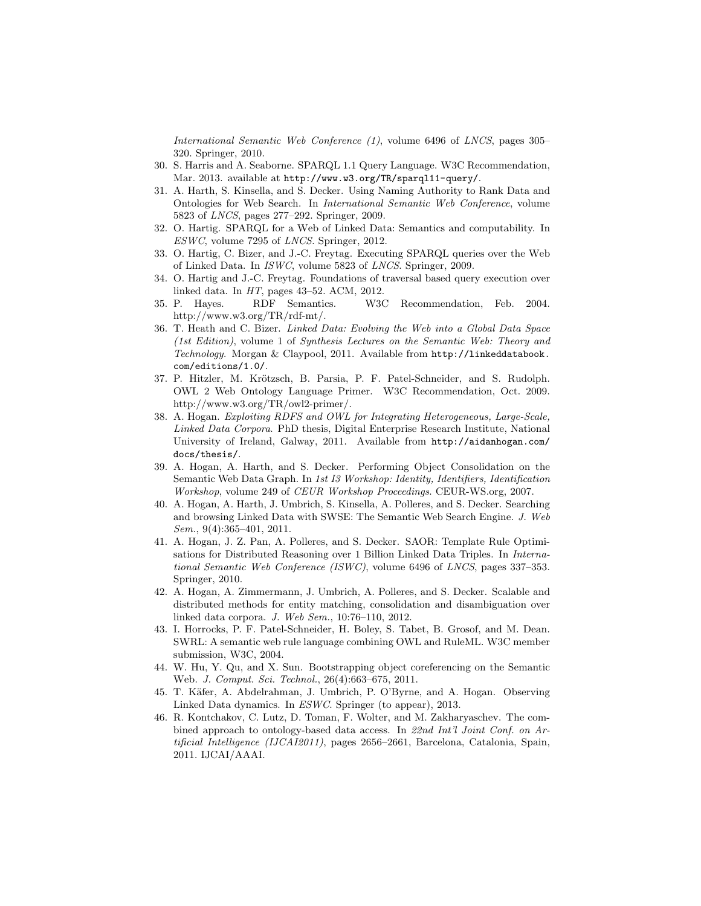International Semantic Web Conference (1), volume 6496 of LNCS, pages 305– 320. Springer, 2010.

- 30. S. Harris and A. Seaborne. SPARQL 1.1 Query Language. W3C Recommendation, Mar. 2013. available at http://www.w3.org/TR/sparql11-query/.
- 31. A. Harth, S. Kinsella, and S. Decker. Using Naming Authority to Rank Data and Ontologies for Web Search. In International Semantic Web Conference, volume 5823 of LNCS, pages 277–292. Springer, 2009.
- 32. O. Hartig. SPARQL for a Web of Linked Data: Semantics and computability. In ESWC, volume 7295 of LNCS. Springer, 2012.
- 33. O. Hartig, C. Bizer, and J.-C. Freytag. Executing SPARQL queries over the Web of Linked Data. In ISWC, volume 5823 of LNCS. Springer, 2009.
- 34. O. Hartig and J.-C. Freytag. Foundations of traversal based query execution over linked data. In HT, pages 43–52. ACM, 2012.
- 35. P. Hayes. RDF Semantics. W3C Recommendation, Feb. 2004. http://www.w3.org/TR/rdf-mt/.
- 36. T. Heath and C. Bizer. Linked Data: Evolving the Web into a Global Data Space (1st Edition), volume 1 of Synthesis Lectures on the Semantic Web: Theory and Technology. Morgan & Claypool, 2011. Available from http://linkeddatabook. com/editions/1.0/.
- 37. P. Hitzler, M. Krötzsch, B. Parsia, P. F. Patel-Schneider, and S. Rudolph. OWL 2 Web Ontology Language Primer. W3C Recommendation, Oct. 2009. http://www.w3.org/TR/owl2-primer/.
- 38. A. Hogan. Exploiting RDFS and OWL for Integrating Heterogeneous, Large-Scale, Linked Data Corpora. PhD thesis, Digital Enterprise Research Institute, National University of Ireland, Galway, 2011. Available from http://aidanhogan.com/ docs/thesis/.
- 39. A. Hogan, A. Harth, and S. Decker. Performing Object Consolidation on the Semantic Web Data Graph. In 1st I3 Workshop: Identity, Identifiers, Identification Workshop, volume 249 of CEUR Workshop Proceedings. CEUR-WS.org, 2007.
- 40. A. Hogan, A. Harth, J. Umbrich, S. Kinsella, A. Polleres, and S. Decker. Searching and browsing Linked Data with SWSE: The Semantic Web Search Engine. J. Web Sem., 9(4):365-401, 2011.
- 41. A. Hogan, J. Z. Pan, A. Polleres, and S. Decker. SAOR: Template Rule Optimisations for Distributed Reasoning over 1 Billion Linked Data Triples. In International Semantic Web Conference (ISWC), volume 6496 of LNCS, pages 337–353. Springer, 2010.
- 42. A. Hogan, A. Zimmermann, J. Umbrich, A. Polleres, and S. Decker. Scalable and distributed methods for entity matching, consolidation and disambiguation over linked data corpora. J. Web Sem., 10:76–110, 2012.
- 43. I. Horrocks, P. F. Patel-Schneider, H. Boley, S. Tabet, B. Grosof, and M. Dean. SWRL: A semantic web rule language combining OWL and RuleML. W3C member submission, W3C, 2004.
- 44. W. Hu, Y. Qu, and X. Sun. Bootstrapping object coreferencing on the Semantic Web. J. Comput. Sci. Technol., 26(4):663–675, 2011.
- 45. T. Käfer, A. Abdelrahman, J. Umbrich, P. O'Byrne, and A. Hogan. Observing Linked Data dynamics. In ESWC. Springer (to appear), 2013.
- 46. R. Kontchakov, C. Lutz, D. Toman, F. Wolter, and M. Zakharyaschev. The combined approach to ontology-based data access. In 22nd Int'l Joint Conf. on Artificial Intelligence (IJCAI2011), pages 2656–2661, Barcelona, Catalonia, Spain, 2011. IJCAI/AAAI.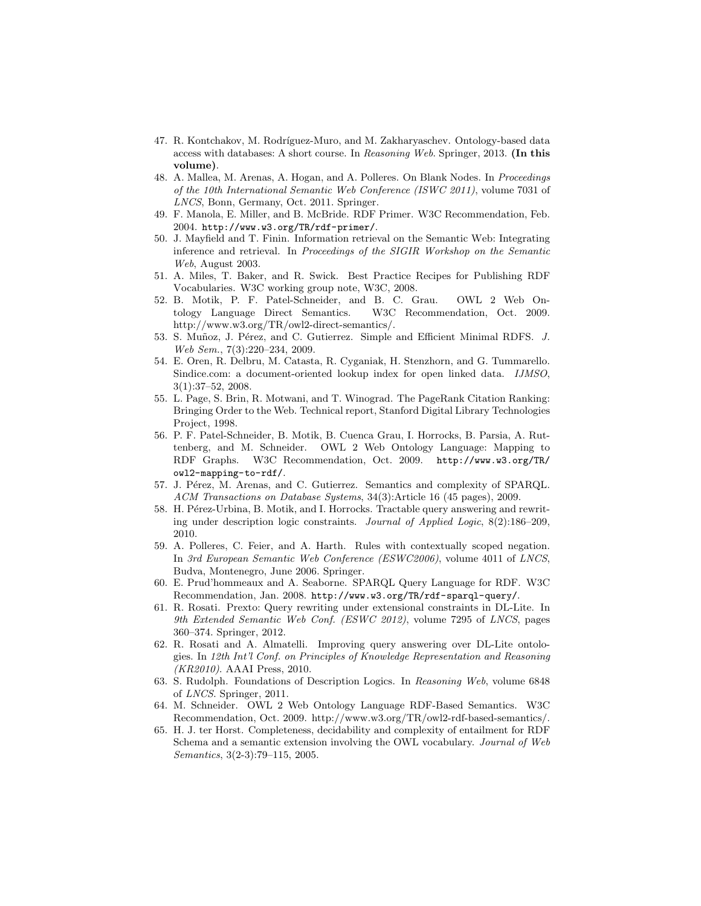- 47. R. Kontchakov, M. Rodríguez-Muro, and M. Zakharyaschev. Ontology-based data access with databases: A short course. In Reasoning Web. Springer, 2013. (In this volume).
- 48. A. Mallea, M. Arenas, A. Hogan, and A. Polleres. On Blank Nodes. In Proceedings of the 10th International Semantic Web Conference (ISWC 2011), volume 7031 of LNCS, Bonn, Germany, Oct. 2011. Springer.
- 49. F. Manola, E. Miller, and B. McBride. RDF Primer. W3C Recommendation, Feb. 2004. http://www.w3.org/TR/rdf-primer/.
- 50. J. Mayfield and T. Finin. Information retrieval on the Semantic Web: Integrating inference and retrieval. In Proceedings of the SIGIR Workshop on the Semantic Web, August 2003.
- 51. A. Miles, T. Baker, and R. Swick. Best Practice Recipes for Publishing RDF Vocabularies. W3C working group note, W3C, 2008.
- 52. B. Motik, P. F. Patel-Schneider, and B. C. Grau. OWL 2 Web Ontology Language Direct Semantics. W3C Recommendation, Oct. 2009. http://www.w3.org/TR/owl2-direct-semantics/.
- 53. S. Muñoz, J. Pérez, and C. Gutierrez. Simple and Efficient Minimal RDFS. J. Web Sem., 7(3):220–234, 2009.
- 54. E. Oren, R. Delbru, M. Catasta, R. Cyganiak, H. Stenzhorn, and G. Tummarello. Sindice.com: a document-oriented lookup index for open linked data. IJMSO, 3(1):37–52, 2008.
- 55. L. Page, S. Brin, R. Motwani, and T. Winograd. The PageRank Citation Ranking: Bringing Order to the Web. Technical report, Stanford Digital Library Technologies Project, 1998.
- 56. P. F. Patel-Schneider, B. Motik, B. Cuenca Grau, I. Horrocks, B. Parsia, A. Ruttenberg, and M. Schneider. OWL 2 Web Ontology Language: Mapping to RDF Graphs. W3C Recommendation, Oct. 2009. http://www.w3.org/TR/ owl2-mapping-to-rdf/.
- 57. J. Pérez, M. Arenas, and C. Gutierrez. Semantics and complexity of SPARQL. ACM Transactions on Database Systems, 34(3):Article 16 (45 pages), 2009.
- 58. H. Pérez-Urbina, B. Motik, and I. Horrocks. Tractable query answering and rewriting under description logic constraints. Journal of Applied Logic, 8(2):186–209, 2010.
- 59. A. Polleres, C. Feier, and A. Harth. Rules with contextually scoped negation. In 3rd European Semantic Web Conference (ESWC2006), volume 4011 of LNCS, Budva, Montenegro, June 2006. Springer.
- 60. E. Prud'hommeaux and A. Seaborne. SPARQL Query Language for RDF. W3C Recommendation, Jan. 2008. http://www.w3.org/TR/rdf-sparql-query/.
- 61. R. Rosati. Prexto: Query rewriting under extensional constraints in DL-Lite. In 9th Extended Semantic Web Conf. (ESWC 2012), volume 7295 of LNCS, pages 360–374. Springer, 2012.
- 62. R. Rosati and A. Almatelli. Improving query answering over DL-Lite ontologies. In 12th Int'l Conf. on Principles of Knowledge Representation and Reasoning (KR2010). AAAI Press, 2010.
- 63. S. Rudolph. Foundations of Description Logics. In Reasoning Web, volume 6848 of LNCS. Springer, 2011.
- 64. M. Schneider. OWL 2 Web Ontology Language RDF-Based Semantics. W3C Recommendation, Oct. 2009. http://www.w3.org/TR/owl2-rdf-based-semantics/.
- 65. H. J. ter Horst. Completeness, decidability and complexity of entailment for RDF Schema and a semantic extension involving the OWL vocabulary. Journal of Web Semantics, 3(2-3):79–115, 2005.